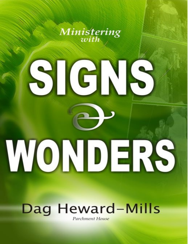

# Dag Heward-Mills Parchment House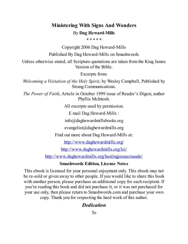## **Ministering With Signs And Wonders** By **Dag Heward-Mills**

\* \* \* \* \*

Copyright 2006 Dag Heward-Mills

Published By Dag Heward-Mills on Smashwords

Unless otherwise stated, all Scripture quotations are taken from the King James Version of the Bible.

Excerpts from:

*Welcoming a Visitation of the Holy Spirit*, by Wesley Campbell, Published by Strang Communications.

*The Power of Faith*, Article in October 1999 issue of Reader's Digest, author Phyllis McIntosh.

All excerpts used by permission.

E mail Dag Heward-Mills :

info@daghewardmillsbooks.org

evangelist@daghewardmills.org

Find out more about Dag Heward-Mills at:

<http://www.daghewardmills.org/>

<http://www.daghewardmills.org/lci/>

<http://www.daghewardmills.org/healingjesuscrusade/>

#### **Smashwords Edition, License Notes**

This ebook is licensed for your personal enjoyment only. This ebook may not be re-sold or given away to other people. If you would like to share this book with another person, please purchase an additional copy for each recipient. If you're reading this book and did not purchase it, or it was not purchased for your use only, then please return to Smashwords.com and purchase your own copy. Thank you for respecting the hard work of this author.

## *Dedication*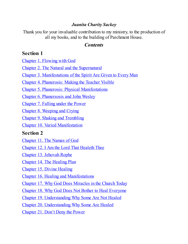## *Juanita Charity Sackey*

Thank you for your invaluable contribution to my ministry, to the production of all my books, and to the building of Parchment House.

## *Contents*

## <span id="page-2-0"></span>**Section 1**

Chapter 1. [Flowing](#page-4-0) with God

Chapter 2. The Natural and the [Supernatural](#page-9-0)

Chapter 3. [Manifestations](#page-19-0) of the Spirit Are Given to Every Man

Chapter 4. [Phanerosis:](#page-21-0) Making the Teacher Visible

Chapter 5. Phanerosis: Physical [Manifestations](#page-26-0)

Chapter 6. [Phanersosis](#page-43-0) and John Wesley

[Chapter](#page-45-0) 7. Falling under the Power

Chapter 8. [Weeping](#page-51-0) and Crying

Chapter 9. Shaking and [Trembling](#page-53-0)

Chapter 10. Varied [Manifestation](#page-55-0)

## **Section 2**

[Chapter](#page-63-0) 11. The Names of God

Chapter 12. I Am the Lord That [Healeth](#page-65-0) Thee

Chapter 13. [Jehovah](#page-66-0) Rophe

Chapter 14. The [Healing](#page-68-0) Plan

Chapter 15. Divine [Healing](#page-72-0)

Chapter 16. Healing and [Manifestations](#page-77-0)

Chapter 17. Why God Does [Miracles](#page-81-0) in the Church Today

Chapter 18. Why God Does Not Bother to Heal [Everyone](#page-81-0)

Chapter 19. [Understanding](#page-90-0) Why Some Are Not Healed

Chapter 20. [Understanding](#page-90-0) Why Some Are Healed

[Chapter](#page-94-0) 21. Don't Deny the Power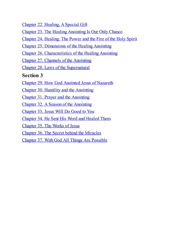Chapter 22. [Healing,](#page-96-0) A Special Gift

Chapter 23. The Healing [Anointing](#page-98-0) Is Our Only Chance

Chapter 24. [Healing:](#page-107-0) The Power and the Fire of the Holy Spirit

Chapter 25. [Dimensions](#page-113-0) of the Healing Anointing

Chapter 26. [Characteristics](#page-118-0) of the Healing Anointing

Chapter 27. Channels of the [Anointing](#page-129-0)

Chapter 28. Laws of the [Supernatural](#page-135-0)

## **Section 3**

Chapter 29. How God [Anointed](#page-143-0) Jesus of Nazareth

Chapter 30. Humility and the [Anointing](#page-154-0)

Chapter 31. Prayer and the [Anointing](#page-158-0)

Chapter 32. A Season of the [Anointing](#page-161-0)

[Chapter](#page-165-0) 33. Jesus Will Do Good to You

[Chapter](#page-167-0) 34. He Sent His Word and Healed Them

[Chapter](#page-172-0) 35. The Works of Jesus

Chapter 36. The Secret behind the [Miracles](#page-176-0)

Chapter 37. With God All Things Are [Possible](#page-179-0)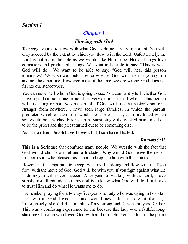## *Section 1*

# *[Chapter](#page-2-0) 1*

# *Flowing with God*

<span id="page-4-0"></span>To recognize and to flow with what God is doing is very important. You will only succeed by the extent to which you flow with the Lord. Unfortunately, the Lord is not as predictable as we would like Him to be. Human beings love computers and predictable things. We want to be able to say; "This is what God will do!" We want to be able to say; "God will heal this person tomorrow." We wish we could predict whether God will use this young man and not the other one. However, most of the time, we are wrong. God does not fit into our stereotypes.

You can never tell whom God is going to use. You can hardly tell whether God is going to heal someone or not. It is very difficult to tell whether this person will live long or not. No one can tell if God will use the pastor's son or a stranger from nowhere. I have seen large families, in which the parents predicted which of their sons would be a priest. They also predicted which son would be a wicked businessman. Surprisingly, the wicked man turned out to be the priest and the priest turned out to be something else.

## **As it is written, Jacob have I loved, but Esau have I hated.**

#### **Romans 9:13**

This is a Scripture that confuses many people. We wrestle with the fact that God would choose a thief and a trickster. Why would God leave the decent firstborn son, who pleased his father and replace him with this con man?

However, it is important to accept what God is doing and flow with it. If you flow with the move of God, God will be with you. If you fight against what He is doing you will never succeed. After years of walking with the Lord, I have simply lost all confidence in my ability to know what God will do. I just have to trust Him and do what He wants me to do.

I remember praying for a twenty-five-year old lady who was dying in hospital. I knew that God loved her and would never let her die at that age. Unfortunately, she did die in spite of my strong and fervent prayers for her. This was a confusing experience for me because this lady was a faithful longstanding Christian who loved God with all her might. Yet she died in the prime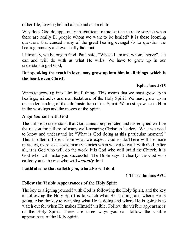of her life, leaving behind a husband and a child.

Why does God do apparently insignificant miracles in a miracle service when there are really ill people whom we want to be healed? It is these looming questions that caused many of the great healing evangelists to question the healing ministry and eventually fade out.

Ultimately, we belong to God. Paul said, "Whose I am and whom I serve". He can and will do with us what He wills. We have to grow up in our understanding of God,

#### **But speaking the truth in love, may grow up into him in all things, which is the head, even Christ:**

## **Ephesians 4:15**

We must grow up into Him in all things. This means that we must grow up in healings, miracles and manifestations of the Holy Spirit. We must grow up in our understanding of the administration of the Spirit. We must grow up in Him in the workings and the moves of the Spirit.

## **Align Yourself with God**

The failure to understand that God cannot be predicted and stereotyped will be the reason for failure of many well-meaning Christian leaders. What we need to know and understand is: "What is God doing at this particular moment?" This is often different from what we expect God to do.There will be more miracles, more successes, more victories when we get to walk with God. After all, it is God who will do the work. It is God who will build the Church. It is God who will make you successful. The Bible says it clearly: the God who called you is the one who will *actually* do it.

#### **Faithful is he that calleth you, who also will do it.**

#### **1 Thessalonians 5:24**

## **Follow the Visible Appearances of the Holy Spirit**

The key to aligning yourself with God is following the Holy Spirit, and the key to following the Holy Spirit is to watch what He is doing and where He is going. Also the key to watching what He is doing and where He is going is to watch out for when He makes Himself visible. Follow the visible appearances of the Holy Spirit. There are three ways you can follow the visible appearances of the Holy Spirit.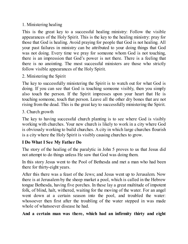## 1. Ministering healing

This is the great key to a successful healing ministry: Follow the visible appearances of the Holy Spirit. This is the key to the healing ministry: pray for those that God is healing. Avoid praying for people that God is not healing. All your past failures in ministry can be attributed to your doing things that God was not doing. Every time we pray for someone whom God is not touching, there is an impression that God's power is not there. There is a feeling that there is no anointing. The most successful ministers are those who strictly follow visible appearances of the Holy Spirit.

2. Ministering the Spirit

The key to successfully ministering the Spirit is to watch out for what God is doing. If you can see that God is touching someone visibly, then you simply also touch the person. If the Spirit impresses upon your heart that He is touching someone, touch that person. Leave all the other dry bones that are not rising from the dead. This is the great key to successfully ministering the Spirit.

3. Church growth

The key to having successful church planting is to see where God is visibly working with churches. Your new church is likely to work in a city where God is obviously working to build churches. A city in which large churches flourish is a city where the Holy Spirit is visibly causing churches to grow.

## **I Do What I See My Father Do**

The story of the healing of the paralytic in John 5 proves to us that Jesus did not attempt to do things unless He saw that God was doing them.

In this story Jesus went to the Pool of Bethesda and met a man who had been there for thirty-eight years.

After this there was a feast of the Jews; and Jesus went up to Jerusalem. Now there is at Jerusalem by the sheep market a pool, which is called in the Hebrew tongue Bethesda, having five porches. In these lay a great multitude of impotent folk, of blind, halt, withered, waiting for the moving of the water. For an angel went down at a certain season into the pool, and troubled the water: whosoever then first after the troubling of the water stepped in was made whole of whatsoever disease he had.

**And a certain man was there, which had an infirmity thirty and eight**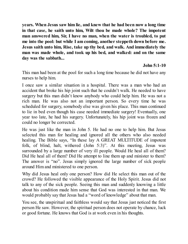**years. When Jesus saw him lie, and knew that he had been now a long time in that case, he saith unto him, Wilt thou be made whole? The impotent man answered him, Sir, I have no man, when the water is troubled, to put me into the pool: but while I am coming, another steppeth down before me. Jesus saith unto him, Rise, take up thy bed, and walk. And immediately the man was made whole, and took up his bed, and walked: and on the same day was the sabbath...**

## **John 5:1-10**

This man had been at the pool for such a long time because he did not have any nurses to help him.

I once saw a similar situation in a hospital. There was a man who had an accident that broke his hip joint such that he couldn't walk. He needed to have surgery but this man didn't know anybody who could help him. He was not a rich man. He was also not an important person. So every time he was scheduled for surgery, somebody else was given his place. This man continued to lie in bed even though his case needed immediate surgery! Eventually, one year too late, he had his surgery. Unfortunately, his hip joint was frozen and could no longer be corrected.

He was just like the man in John 5. He had no one to help him. But Jesus selected this man for healing and ignored all the others who also needed healing. The Bible says, "In these lay A GREAT MULTITUDE of impotent folk, of blind, halt, withered (John 5:3)". At this meeting, Jesus was surrounded by a large number of very ill people. Would He heal all of them? Did He heal all of them? Did He attempt to line them up and minister to them? The answer is "no". Jesus simply ignored the large number of sick people around Him and ministered to one person.

Why did Jesus heal only one person? How did He select this man out of the crowd? He followed the visible appearance of the Holy Spirit. Jesus did not talk to any of the sick people. Seeing this man and suddenly knowing a little about his condition made him sense that God was interested in that man. We would probably say that Jesus had a "word of knowledge" about that man.

You see, the unspiritual and faithless would say that Jesus just noticed the first person He saw. However, the spiritual person does not operate by chance, luck or good fortune. He knows that God is at work even in his thoughts.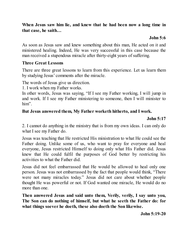#### **When Jesus saw him lie, and knew that he had been now a long time in that case, he saith…**

## **John 5:6**

As soon as Jesus saw and knew something about this man, He acted on it and ministered healing. Indeed, He was very successful in this case because the man received a stupendous miracle after thirty-eight years of suffering.

## **Three Great Lessons**

There are three great lessons to learn from this experience. Let us learn them by studying Jesus' comments after the miracle.

The words of Jesus give us direction.

1. I work when my Father works.

In other words, Jesus was saying, "If I see my Father working, I will jump in and work. If I see my Father ministering to someone, then I will minister to him".

## **But Jesus answered them, My Father worketh hitherto, and I work.**

#### **John 5:17**

2. I cannot do anything in the ministry that is from my own ideas. I can only do what I see my Father do.

Jesus was teaching that He restricted His ministration to what He could see the Father doing. Unlike some of us, who want to pray for everyone and heal everyone, Jesus restricted Himself to doing only what His Father did. Jesus knew that He could fulfil the purposes of God better by restricting his activities to what the Father did.

Jesus did not feel embarrassed that He would be allowed to heal only one person. Jesus was not embarrassed by the fact that people would think, "There were not many miracles today." Jesus did not care about whether people thought He was powerful or not. If God wanted one miracle, He would do no more than one.

**Then answered Jesus and said unto them, Verily, verily, I say unto you, The Son can do nothing of himself, but what he seeth the Father do: for what things soever he doeth, these also doeth the Son likewise.**

**John 5:19-20**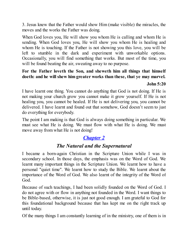3. Jesus knew that the Father would show Him (make visible) the miracles, the moves and the works the Father was doing.

When God loves you, He will show you whom He is calling and whom He is sending. When God loves you, He will show you whom He is healing and whom He is touching. If the Father is not showing you this love, you will be left to stumble in the dark and experiment with unworkable options. Occasionally, you will find something that works. But most of the time, you will be found beating the air, sweating away to no purpose.

# **For the Father loveth the Son, and sheweth him all things that himself doeth: and he will shew him greater works than these, that ye may marvel.**

#### **John 5:20**

I have learnt one thing. You cannot do anything that God is not doing. If He is not making your church grow you cannot make it grow yourself. If He is not healing you, you cannot be healed. If He is not delivering you, you cannot be delivered. I have learnt and found out that somehow, God doesn't seem to just do everything for everybody.

The point I am making is that God is always doing something in particular. We must see what He is doing. We must flow with what He is doing. We must move away from what He is not doing!

# *[Chapter](#page-2-0) 2*

## *The Natural and the Supernatural*

<span id="page-9-0"></span>I became a born-again Christian in the Scripture Union while I was in secondary school. In those days, the emphasis was on the Word of God. We learnt many important things in the Scripture Union. We learnt how to have a personal "quiet time". We learnt how to study the Bible. We learnt about the importance of the Word of God. We also learnt of the integrity of the Word of God.

Because of such teachings, I had been solidly founded on the Word of God. I do not agree with or flow in anything not founded in the Word. I want things to be Bible-based, otherwise, it is just not good enough. I am grateful to God for this foundational background because that has kept me on the right track up until today.

Of the many things I am constantly learning of in the ministry, one of them is in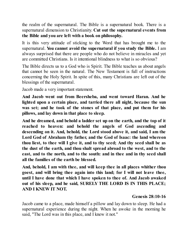the realm of the supernatural. The Bible is a supernatural book. There is a supernatural dimension to Christianity. **Cut out the supernatural events from the Bible and you are left with a book on philosophy.**

It is this very attitude of sticking to the Word that has brought me to the supernatural. **You cannot avoid the supernatural if you study the Bible.** I am always surprised that there are people who do not believe in miracles and yet are committed Christians. Is it intentional blindness to what is so obvious?

The Bible directs us to a God who is Spirit. The Bible teaches us about angels that cannot be seen in the natural. The New Testament is full of instructions concerning the Holy Spirit. In spite of this, many Christians are left out of the blessings of the supernatural.

Jacob made a very important statement.

**And Jacob went out from Beersheba, and went toward Haran. And he lighted upon a certain place, and tarried there all night, because the sun was set; and he took of the stones of that place, and put them for his pillows, and lay down in that place to sleep.**

**And he dreamed, and behold a ladder set up on the earth, and the top of it reached to heaven: and behold the angels of God ascending and descending on it. And, behold, the Lord stood above it, and said, I am the Lord God of Abraham thy father, and the God of Isaac: the land whereon thou liest, to thee will I give it, and to thy seed; And thy seed shall be as the dust of the earth, and thou shalt spread abroad to the west, and to the east, and to the north, and to the south: and in thee and in thy seed shall all the families of the earth be blessed.**

**And, behold, I am with thee, and will keep thee in all places whither thou goest, and will bring thee again into this land; for I will not leave thee, until I have done that which I have spoken to thee of. And Jacob awaked out of his sleep, and he said, SURELY THE LORD IS IN THIS PLACE; AND I KNEW IT NOT.**

#### **Genesis 28:10-16**

Jacob came to a place, made himself a pillow and lay down to sleep. He had a supernatural experience during the night. When he awoke in the morning he said, "The Lord was in this place, and I knew it not."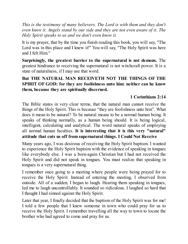*This is the testimony of many believers. The Lord is with them and they don't even know it. Angels stand by our side and they are not even aware of it. The Holy Spirit speaks to us and we don't even know it.*

It is my prayer, that by the time you finish reading this book, you will say, "The Lord was in this place and I knew it!" You will say, "The Holy Spirit was here and I felt Him."

**Surprisingly, the greatest barrier to the supernatural is not demons.** The greatest hindrance to receiving the supernatural is not witchcraft power. It is a state of naturalness, if I may use that word.

## **But THE NATURAL MAN RECEIVETH NOT THE THINGS OF THE SPIRIT OF GOD: for they are foolishness unto him: neither can he know them, because they are spiritually discerned.**

## **1 Corinthians 2:14**

The Bible states in very clear terms, that the natural man cannot receive the things of the Holy Spirit. This is because "they are foolishness unto him". What does it mean to be natural? To be natural means to be a normal human being. It speaks of thinking normally, as a human being should. It is being logical, intelligent, calculating and analytical. The word natural speaks of employing all normal human faculties. **It is interesting that it is this very "natural" attitude that cuts us off from supernatural things. I Could Not Receive**

Many years ago, I was desirous of receiving the Holy Spirit baptism. I wanted to experience the Holy Spirit baptsim with the evidence of speaking in tongues like everybody else. I was a born-again Christian but I had not received the Holy Spirit and did not speak in tongues. You must realize that speaking in tongues is a very supernatural thing.

I remember once going to a meeting where people were being prayed for to receive the Holy Spirit. Instead of entering the meeting, I observed from outside. All of a sudden, I began to laugh. Hearing them speaking in tongues, led me to laugh uncontrollably. It sounded so ridiculous. I laughed so hard that I thought I had sinned against the Holy Spirit.

Later that year, I finally decided that the baptism of the Holy Spirit was for me! I told a few people that I knew someone in town who could pray for us to receive the Holy Spirit. I remember travelling all the way to town to locate the brother who had agreed to come and pray for us.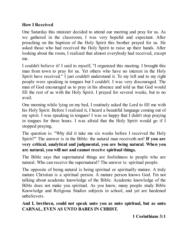## **How I Received**

One Saturday this minister decided to attend our meeting and pray for us. As we gathered in the classroom, I was very hopeful and expectant. After preaching on the baptism of the Holy Spirit this brother prayed for us. He asked those who had received the Holy Spirit to raise up their hands. After looking about the room, I realized that almost everybody had received, except me.

I couldn't believe it! I said to myself, "I organized this meeting. I brought this man from town to pray for us. Yet others who have no interest in the Holy Spirit have received." I just couldn't understand it. To my left and to my right people were speaking in tongues but I couldn't. I was very discouraged. The man of God encouraged us to pray in his absence and told us that God would fill the rest of us with the Holy Spirit. I prayed for several weeks, but to no avail.

One morning while lying on my bed, I routinely asked the Lord to fill me with his Holy Spirit. Before I realized it, I heard a beautiful language coming out of my spirit. I was speaking in tongues! I was so happy that I didn't stop praying in tongues for three hours. I was afraid that the Holy Spirit would go if I stopped praying.

The question is: "Why did it take me six weeks before I received the Holy Spirit?" The answer is in the Bible: the natural man receiveth not! **If you are very critical, analytical and judgmental, you are being natural. When you are natural, you will not and cannot receive spiritual things.**

The Bible says that supernatural things are foolishness to people who are natural. Who can receive the supernatural? The answer is: spiritual people.

The opposite of being natural is being spiritual or spiritually mature. A truly mature Christian is a spiritual person. A mature person knows God. I'm not talking about academic knowledge of the Bible. Academic knowledge of the Bible does not make you spiritual. As you know, many people study Bible Knowledge and Religious Studies subjects in school, and yet are hardened unbelievers.

**And I, brethren, could not speak unto you as unto spiritual, but as unto CARNAL, EVEN AS UNTO BABES IN CHRIST.**

**1 Corinthians 3:1**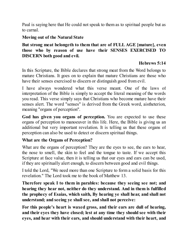Paul is saying here that He could not speak to them as to spiritual people but as to carnal.

#### **Moving out of the Natural State**

## **But strong meat belongeth to them that are of FULL AGE [mature], even those who by reason of use have their SENSES EXERCISED TO DISCERN both good and evil.**

## **Hebrews 5:14**

In this Scripture, the Bible declares that strong meat from the Word belongs to mature Christians. It goes on to explain that mature Christians are those who have their senses exercised to discern or distinguish good from evil.

I have always wondered what this verse meant. One of the laws of interpretation of the Bible is simply to accept the literal meaning of the words you read. This verse simply says that Christians who become mature have their senses alert. The word "senses" is derived from the Greek word, aistheterion, meaning "organs of perception".

**God has given you organs of perception.** You are expected to use these organs of perception to manoeuver in this life. Here, the Bible is giving us an additional but very important revelation. It is telling us that these organs of perception can also be used to detect or discern spiritual things.

## **What are the Organs of Perception?**

What are the organs of perception? They are the eyes to see, the ears to hear, the nose to smell, the skin to feel and the tongue to taste. If we accept this Scripture at face value, then it is telling us that our eyes and ears can be used, if they are spiritually alert enough, to discern between good and evil things.

I told the Lord, "We need more than one Scripture to form a solid basis for this revelation." The Lord took me to the book of Matthew 13.

**Therefore speak I to them in parables: because they seeing see not; and hearing they hear not, neither do they understand. And in them is fulfilled the prophecy of Esaias, which saith, By hearing ye shall hear, and shall not understand; and seeing ye shall see, and shall not perceive:**

**For this people's heart is waxed gross, and their ears are dull of hearing, and their eyes they have closed; lest at any time they should see with their eyes, and hear with their ears, and should understand with their heart, and**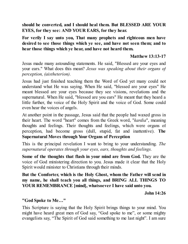**should be converted, and I should heal them. But BLESSED ARE YOUR EYES, for they see: AND YOUR EARS, for they hear.**

**For verily I say unto you, That many prophets and righteous men have desired to see those things which ye see, and have not seen them; and to hear those things which ye hear, and have not heard them.**

#### **Matthew 13:13-17**

Jesus made many astounding statements. He said, "Blessed are your eyes and your ears." What does this mean? *Jesus was speaking about their organs of perception, (aistheterion).*

Jesus had just finished teaching them the Word of God yet many could not understand what He was saying. When He said, "blessed are your eyes" He meant blessed are your eyes because they see visions, revelations and the supernatural. When He said, "blessed are you ears" He meant that they heard a little further, the voice of the Holy Spirit and the voice of God. Some could even hear the voices of angels.

At another point in the passage, Jesus said that the people had waxed gross in their heart. The word "heart" comes from the Greek word, "*kardia*", meaning thoughts and feelings. Their thoughts and feelings, which were organs of perception, had become gross (dull, stupid, fat and inattentive). **The Supernatural Moves through Your Organs of Perception**

This is the principal revelation I want to bring to your understanding. *The supernatural operates through your eyes, ears, thoughts and feelings.*

**Some of the thoughts that flash in your mind are from God.** They are the voice of God ministering direction to you. Jesus made it clear that the Holy Spirit would minister to Christians through their minds.

**But the Comforter, which is the Holy Ghost, whom the Father will send in my name, he shall teach you all things, and BRING ALL THINGS TO YOUR REMEMBRANCE [mind], whatsoever I have said unto you.**

**John 14:26**

#### **"God Spoke to Me…"**

This Scripture is saying that the Holy Spirit brings things to your mind. You might have heard great men of God say, "God spoke to me", or some mighty evangelists say, "The Spirit of God said something to me last night". I am sure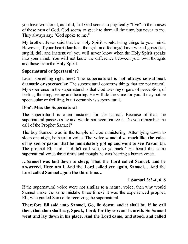you have wondered, as I did, that God seems to physically "live" in the houses of these men of God. God seems to speak to them all the time, but never to me. They always say, "God spoke to me."

My brother, Jesus said that the Holy Spirit would bring things to your mind. However, if your heart (kardia - thoughts and feelings) have waxed gross (fat, stupid, dull and inattentive) you will never know when the Holy Spirit speaks into your mind. You will not know the difference between your own thoughts and those from the Holy Spirit.

## **Supernatural or Spectacular?**

Learn something right here**! The supernatural is not always sensational, dramatic or spectacular.** The supernatural concerns things that are not natural. My experience in the supernatural is that God uses my organs of perception, of feeling, thinking, seeing and hearing. He will do the same for you. It may not be spectacular or thrilling, but it certainly is supernatural.

## **Don't Miss the Supernatural**

The supernatural is often mistaken for the natural. Because of that, the supernatural passes us by and we do not even realize it. Do you remember the call of the Prophet Samuel?

The boy Samuel was in the temple of God ministering. After lying down to sleep one night, he heard a voice. **The voice sounded so much like the voice of his senior pastor that he immediately got up and went to see Pastor Eli.** The prophet Eli said, "I didn't call you, so go back." He heard this same supernatural voice three times and thought he was hearing a human voice.

## **…Samuel was laid down to sleep; That the Lord called Samuel: and he answered, Here am I. And the Lord called yet again, Samuel… And the Lord called Samuel again the third time…**

## **1 Samuel 3:3-4, 6, 8**

If the supernatural voice were not similar to a natural voice, then why would Samuel make the same mistake three times? It was the experienced prophet, Eli, who guided Samuel to receiving the supernatural.

**Therefore Eli said unto Samuel, Go, lie down: and it shall be, if he call thee, that thou shalt say, Speak, Lord; for thy servant heareth. So Samuel went and lay down in his place. And the Lord came, and stood, and called**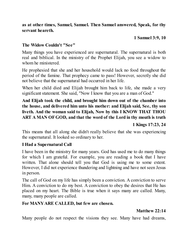**as at other times, Samuel, Samuel. Then Samuel answered, Speak, for thy servant heareth.**

#### **1 Samuel 3:9, 10**

#### **The Widow Couldn't "See"**

Many things you have experienced are supernatural. The supernatural is both real and biblical. In the ministry of the Prophet Elijah, you see a widow to whom he ministered.

He prophesied that she and her household would lack no food throughout the period of the famine. That prophecy came to pass! However, secretly she did not believe that the supernatural had occurred in her life.

When her child died and Elijah brought him back to life, she made a very significant statement. She said, "Now I know that you are a man of God."

## **And Elijah took the child, and brought him down out of the chamber into the house, and delivered him unto his mother: and Elijah said, See, thy son liveth. And the woman said to Elijah, Now by this I KNOW THAT THOU ART A MAN OFGOD, and that the word of the Lord in thy mouth is truth**

## **1 Kings 17:23, 24**

This means that all along she didn't really believe that she was experiencing the supernatural. It looked so ordinary to her.

#### **I Had a Supernatural Call**

I have been in the ministry for many years. God has used me to do many things for which I am grateful. For example, you are reading a book that I have written. That alone should tell you that God is using me to some extent. However, I did not experience thundering and lightning and have not seen Jesus in person.

The call of God on my life has simply been a conviction. A conviction to serve Him. A conviction to do my best. A conviction to obey the desires that He has placed on my heart. The Bible is true when it says many are called. Many, many, many people are called.

#### **For MANYARE CALLED, but few are chosen.**

#### **Matthew 22:14**

Many people do not respect the visions they see. Many have had dreams,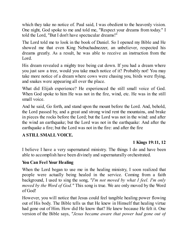which they take no notice of. Paul said, I was obedient to the heavenly vision. One night, God spoke to me and told me, "Respect your dreams from today." I told the Lord, "But I don't have spectacular dreams!"

The Lord told me to look in the book of Daniel. So I opened my Bible and He showed me that even King Nebuchadnezzer, an unbeliever, respected his dreams greatly. As a result, he was able to receive an instruction from the Lord.

His dream revealed a mighty tree being cut down. If you had a dream where you just saw a tree, would you take much notice of it? Probably not! You may take more notice of a dream where cows were chasing you, birds were flying, and snakes were appearing all over the place.

What did Elijah experience? He experienced the still small voice of God. When God spoke to him He was not in the fire, wind, etc. He was in the still small voice.

And he said, Go forth, and stand upon the mount before the Lord. And, behold, the Lord passed by, and a great and strong wind rent the mountains, and brake in pieces the rocks before the Lord; but the Lord was not in the wind: and after the wind an earthquake; but the Lord was not in the earthquake: And after the earthquake a fire; but the Lord was not in the fire: and after the fire

## **A STILL SMALL VOICE.**

## **1 Kings 19:11, 12**

I believe I have a very supernatural ministry. The things I do and have been able to accomplish have been divinely and supernaturally orchestrated.

## **You Can Feel Your Healing**

When the Lord began to use me in the healing ministry, I soon realized that people were actually being healed in the service. Coming from a faith background, I used to sing the song, *"I'm not moved by what I feel. I'm only moved by the Word of God."* This song is true. We are only moved by the Word of God!

However, you will notice that Jesus could feel tangible healing power flowing out of His body. The Bible tells us that He knew in Himself that healing virtue had gone out of Him. How did He know that? He knew because He felt it. One version of the Bible says, *"Jesus became aware that power had gone out of*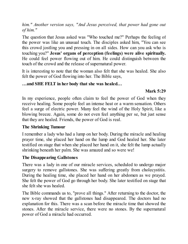*him." Another version says, "And Jesus perceived, that power had gone out of him."*

The question that Jesus asked was "Who touched me?" Perhaps the feeling of the power was like an unusual touch. The disciples asked him, "You can see this crowd jostling you and pressing in on all sides. How can you ask who is touching you?" **Jesus' organs of perception (feelings) were alive spiritually.** He could feel power flowing out of him. He could distinguish between the touch of the crowd and the release of supernatural power.

It is interesting to note that the woman also felt that she was healed. She also felt the power of God flowing into her. The Bible says,

#### **…and SHE FELT in her body that she was healed…**

## **Mark 5:29**

In my experience, people often claim to feel the power of God when they receive healing. Some people feel an intense heat or a warm sensation. Others feel a surge of electric power. Many feel the wind of the Holy Spirit, like a blowing breeze. Again, some do not even feel anything per se, but just sense that they are healed. Friends, the power of God is real.

## **The Shrinking Tumour**

I remember a lady who had a lump on her body. During the miracle and healing prayer time, she placed her hand on the lump and God healed her. She later testified on stage that when she placed her hand on it, she felt the lump actually shrinking beneath her palm. She was amazed and so were we!

## **The Disappearing Gallstones**

There was a lady in one of our miracle services, scheduled to undergo major surgery to remove gallstones. She was suffering greatly from cholecystitis. During the healing time, she placed her hand on her abdomen as we prayed. She felt the power of God go through her body. She later testified on stage that she felt she was healed.

The Bible commands us to, "prove all things." After returning to the doctor, the new x-ray showed that the gallstones had disappeared. The doctors had no explanation for this. There was a scan before the miracle time that showed the stones. After the miracle service, there were no stones. By the supernatural power of God a miracle had occurred.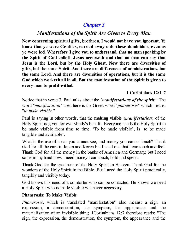# *[Chapter](#page-2-0) 3*

# *Manifestations of the Spirit Are Given to Every Man*

<span id="page-19-0"></span>**Now concerning spiritual gifts, brethren, I would not have you ignorant. Ye know that ye were Gentiles, carried away unto these dumb idols, even as ye were led. Wherefore I give you to understand, that no man speaking by the Spirit of God calleth Jesus accursed: and that no man can say that Jesus is the Lord, but by the Holy Ghost. Now there are diversities of gifts, but the same Spirit. And there are differences of administrations, but the same Lord. And there are diversities of operations, but it is the same God which worketh all in all. But the manifestation of the Spirit is given to every man to profit withal.**

## **1 Corinthians 12:1-7**

Notice that in verse 3, Paul talks about the "*manifestations of the spirit.*" The word "*manifestation*" used here is the Greek word "*phanerosis*" which means, "*to make visible.*"

Paul is saying in other words, that the **making visible (***manifestation***)** of the Holy Spirit is given for everybody's benefit. Everyone needs the Holy Spirit to be made visible from time to time. 'To be made visible', is 'to be made tangible and available'.

What is the use of a car you cannot see, and money you cannot touch? Thank God for all the cars in Japan and Korea but I need one that I can touch and feel. Thank God for all the money in the banks of America and Germany, but I need some in my hand now. I need money I can touch, hold and spend.

Thank God for the greatness of the Holy Spirit in Heaven. Thank God for the wonders of the Holy Spirit in the Bible. But I need the Holy Spirit practically, tangibly and visibly today.

God knows this need of a comforter who can be contacted. He knows we need a Holy Spirit who is made visible whenever necessary.

## **Phanerosis: To Make Visible**

*Phanerosis*, which is translated "manifestation" also means: a sign, an expression, a demonstration, the symptom, the appearance and the materialisation of an invisible thing. 1Corinthians 12:7 therefore reads: "The sign, the expression, the demonstration, the symptom, the appearance and the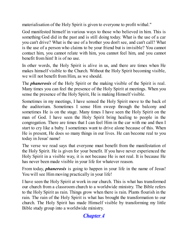materialisation of the Holy Spirit is given to everyone to profit withal."

God manifested himself in various ways to those who believed in him. This is something God did in the past and is still doing today. What is the use of a car you can't drive? What is the use of a brother you don't see, and can't call? What is the use of a person who claims to be your friend but is invisible? You cannot contact him, you cannot relate with him, you cannot feel him, and you cannot benefit from him! It is of no use.

In other words, the Holy Spirit is alive in us, and there are times when He makes himself visible to the Church. Without the Holy Spirit becoming visible, we will not benefit from Him, as we should.

The *phanerosis* of the Holy Spirit or the making visible of the Spirit is real. Many times you can feel the presence of the Holy Spirit at meetings. When you sense the presence of the Holy Spirit, He is making Himself visible.

Sometimes in my meetings, I have sensed the Holy Spirit move to the back of the auditorium. Sometimes I sense Him sweep through the balcony and sometimes He is on the stage. Many times I have seen the Holy Spirit on the man of God. I have seen the Holy Spirit bring healing to people in the congregation. There are times that I can feel Him in the car with me and then I start to cry like a baby. I sometimes want to drive alone because of this. When He is present, He does so many things in our lives. He can become real to you today in Jesus' name!

The verse we read says that everyone must benefit from the manifestation of the Holy Spirit. He is given for your benefit. If you have never experienced the Holy Spirit in a visible way, it is not because He is not real. It is because He has never been made visible in your life for whatever reason.

From today, *phanerosis* is going to happen in your life in the name of Jesus! You will see Him moving practically in your life!

I have seen the Holy Spirit at work in our church. This is what has transformed our church from a classroom church to a worldwide ministry. The Bible refers to the Holy Spirit as rain. Things grow when there is rain. Plants flourish in the rain. The rain of the Holy Spirit is what has brought the transformation to our church. The Holy Spirit has made Himself visible by transforming my little Bible study group into a worldwide ministry.

*[Chapter](#page-2-0) 4*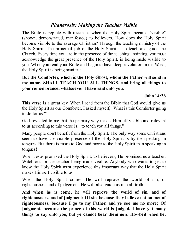## *Phanerosis: Making the Teacher Visible*

<span id="page-21-0"></span>The Bible is replete with instances when the Holy Spirit became "visible" (shown, demonstrated, manifested) to believers. How does the Holy Spirit become visible to the average Christian? Through the teaching ministry of the Holy Spirit! The principal job of the Holy Spirit is to teach and guide the Church. Every time you are in the presence of the teaching anointing, you must acknowledge the great presence of the Holy Spirit. is being made visible to you. When you read your Bible and begin to have deep revelation in the Word, the Holy Spirit is being manifest.

**But the Comforter, which is the Holy Ghost, whom the Father will send in my name, SHALL TEACH YOU ALL THINGS, and bring all things to your remembrance, whatsoever I have said unto you.**

#### **John 14:26**

This verse is a great key. When I read from the Bible that God would give us the Holy Spirit as our Comforter, I asked myself, "What is this Comforter going to do for us?"

God revealed to me that the primary way makes Himself visible and relevant to us according to this verse is, "to teach you all things."

Many people don't benefit from the Holy Spirit. The only way some Christians seem to have the visible presence of the Holy Spirit is by the speaking in tongues. But there is more to God and more to the Holy Spirit than speaking in tongues!

When Jesus promised the Holy Spirit, to believers, He promised us a teacher. Watch out for the teacher being made visible. Anybody who wants to get to know the Holy Spirit must experience this important way that the Holy Spirit makes Himself visible to us.

When the Holy Spirit comes, He will reprove the world of sin, of righteousness and of judgement. He will also guide us into all truth.

**And when he is come, he will reprove the world of sin, and of righteousness, and of judgment: Of sin, because they believe not on me; of righteousness, because I go to my Father, and ye see me no more; Of judgment, because the prince of this world is judged. I have yet many things to say unto you, but ye cannot bear them now. Howbeit when he,**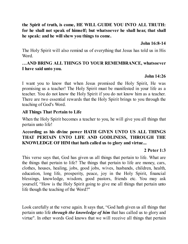## **the Spirit of truth, is come, HE WILL GUIDE YOU INTO ALL TRUTH: for he shall not speak of himself; but whatsoever he shall hear, that shall he speak: and he will shew you things to come.**

#### **John 16:8-14**

The Holy Spirit will also remind us of everything that Jesus has told us in His Word.

#### **…AND BRING ALL THINGS TO YOUR REMEMBRANCE, whatsoever I have said unto you.**

## **John 14:26**

I want you to know that when Jesus promised the Holy Spirit, He was promising us a teacher! The Holy Spirit must be manifested in your life as a teacher. You do not know the Holy Spirit if you do not know him as a teacher. There are two essential rewards that the Holy Spirit brings to you through the teaching of God's Word.

## **All Things That Pertain to Life**

When the Holy Spirit becomes a teacher to you, he will give you all things that pertain unto life!

## **According as his divine power HATH GIVEN UNTO US ALL THINGS THAT PERTAIN UNTO LIFE AND GODLINESS, THROUGH THE KNOWLEDGE OFHIM that hath called us to glory and virtue...**

## **2 Peter 1:3**

This verse says that, God has given us all things that pertain to life. What are the things that pertain to life? The things that pertain to life are money, cars, clothes, houses, healing, jobs, good jobs, wives, husbands, children, health, education, long life, prosperity, peace, joy in the Holy Spirit, financial blessings, knowledge, wisdom, good pastors, friends etc. You may ask yourself, "How is the Holy Spirit going to give me all things that pertain unto life though the teaching of the Word?"

Look carefully at the verse again. It says that, "God hath given us all things that pertain unto life *through the knowledge of him* that has called us to glory and virtue". In other words God knows that we will receive all things that pertain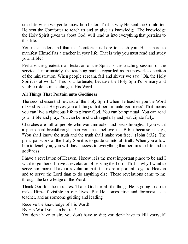unto life when we get to know him better. That is why He sent the Comforter. He sent the Comforter to teach us and to give us knowledge. The knowledge the Holy Spirit gives us about God, will lead us into everything that pertains to this life.

You must understand that the Comforter is here to teach you. He is here to manifest Himself as a teacher in your life. That is why you must read and study your Bible!

Perhaps the greatest manifestation of the Spirit is the teaching session of the service. Unfortunately, the teaching part is regarded as the powerless section of the ministration. When people scream, fall and shiver we say, "Oh, the Holy Spirit is at work." This is unfortunate, because the Holy Spirit's primary and visible role is in teaching us His Word.

## **All Things That Pertain unto Godliness**

The second essential reward of the Holy Spirit when He teaches you the Word of God is that He gives you all things that pertain unto godliness! That means you can live a righteous life to please God. You can be spiritual. You can read your Bible and pray. You can be in church regularly and participate fully.

Churches are full of people who want miracles and breakthroughs. If you want a permanent breakthrough then you must believe the Bible because it says, "You shall know the truth and the truth shall make you free," (John 8:32). The principal work of the Holy Spirit is to guide us into all truth. When you allow him to teach you, you will have access to everything that pertains to life and to godliness.

I have a revelation of Heaven. I know it is the most important place to be and I want to go there. I have a revelation of serving the Lord. That is why I want to serve him more. I have a revelation that it is more important to get to Heaven and to serve the Lord than to do anything else. These revelations came to me through the knowledge of the Word.

Thank God for the miracles. Thank God for all the things He is going to do to make Himself visible in our lives. But He comes first and foremost as a teacher, and as someone guiding and leading.

Receive the knowledge of His Word!

By His Word you can be free!

You don't have to sin, you don't have to die; you don't have to kill yourself!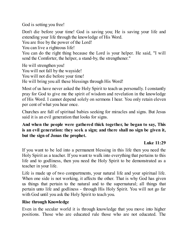God is setting you free!

Don't die before your time! God is saving you; He is saving your life and extending your life through the knowledge of His Word.

You are free by the power of the Lord!

You can live a righteous life!

You can do the right thing because the Lord is your helper. He said, "I will send the Comforter, the helper, a stand-by, the strengthener."

He will strengthen you!

You will not fall by the wayside!

You will not die before your time!

He will bring you all these blessings through His Word!

Most of us have never asked the Holy Spirit to teach us personally. I constantly pray for God to give me the spirit of wisdom and revelation in the knowledge of His Word. I cannot depend solely on sermons I hear. You only retain eleven per cent of what you hear once.

Churches are full of spiritual babies seeking for miracles and signs. But Jesus said it is an evil generation that looks for signs.

## **And when the people were gathered thick together, he began to say, This is an evil generation: they seek a sign; and there shall no sign be given it, but the sign of Jonas the prophet.**

## **Luke 11:29**

If you want to be led into a permanent blessing in this life then you need the Holy Spirit as a teacher. If you want to walk into everything that pertains to this life and to godliness, then you need the Holy Spirit to be demonstrated as a teacher in your life.

Life is made up of two compartments, your natural life and your spiritual life. When one side is not working, it affects the other. That is why God has given us things that pertain to the natural and to the supernatural; all things that pertain unto life and godliness - through His Holy Spirit. You will not go far with God until you ask the Holy Spirit to teach you.

## **Rise through Knowledge**

Even in the secular world it is through knowledge that you move into higher positions. Those who are educated rule those who are not educated. The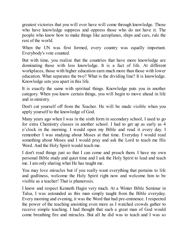greatest victories that you will ever have will come through knowledge. Those who have knowledge suppress and oppress those who do not have it. The people who know how to make things like aeroplanes, ships and cars, rule the rest of the world.

When the UN was first formed, every country was equally important. Everybody's vote counted.

But with time, you realize that the countries that have more knowledge are dominating those with less knowledge. It is a fact of life. At different workplaces, those with higher education earn much more than those with lower education. What separates the two? What is the dividing line? It is knowledge. Knowledge sets you apart in this life.

It is exactly the same with spiritual things. Knowledge puts you in another category. When you know certain things, you will begin to move ahead in life and in ministry.

Don't cut yourself off from the Teacher. He will be made visible when you apply yourself to the knowledge of God.

Many years ago when I was in the sixth form in secondary school, I used to go for extra Chemistry classes in another school. I had to get up as early as 4 o'clock in the morning. I would open my Bible and read it every day. I remember I was studying about Moses at that time. Everyday I would read something about Moses and I would pray and ask the Lord to teach me His Word. And the Holy Spirit would teach me.

I don't read things just so that I can come and preach them. I have my own personal Bible study and quiet time and I ask the Holy Spirit to lead and teach me. I am only sharing what He has taught me.

You may love miracles but if you really want everything that pertains to life and godliness, welcome the Holy Spirit right now and welcome him to be visible as a teacher! That is phanerosis.

I know and respect Kenneth Hagin very much. At a Winter Bible Seminar in Tulsa, I was astounded as this man simply taught from the Bible everyday. Every morning and evening, it was the Word that had pre-eminence. I respected the power of the teaching anointing even more as I watched crowds gather to receive simple teaching. I had thought that such a great man of God would come breathing fire and miracles. But all he did was to teach and I was so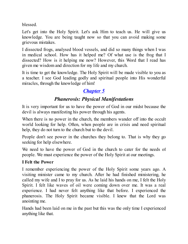blessed.

Let's get into the Holy Spirit. Let's ask Him to teach us. He will give us knowledge. You are being taught now so that you can avoid making some grievous mistakes.

I dissected frogs, analysed blood vessels, and did so many things when I was in medical school. How has it helped me? Of what use is the frog that I dissected? How is it helping me now? However, this Word that I read has given me wisdom and direction for my life and my church.

It is time to get the knowledge. The Holy Spirit will be made visible to you as a teacher. I see God leading godly and spiritual people into His wonderful miracles, through the knowledge of him!

# *[Chapter](#page-2-0) 5*

# *Phanerosis: Physical Manifestations*

<span id="page-26-0"></span>It is very important for us to have the power of God in our midst because the devil is always manifesting his power through his agents.

When there is no power in the church, the members wander off into the occult world looking for help. Often, when people are in crisis and need spiritual help, they do not turn to the church but to the devil.

People don't see power in the churches they belong to. That is why they go seeking for help elsewhere.

We need to have the power of God in the church to cater for the needs of people. We must experience the power of the Holy Spirit at our meetings.

## **I Felt the Power**

I remember experiencing the power of the Holy Spirit some years ago. A visiting minister came to my church. After he had finished ministering, he called my wife and I to pray for us. As he laid his hands on me, I felt the Holy Spirit. I felt like waves of oil were coming down over me. It was a real experience. I had never felt anything like that before. I experienced the phanerosis. The Holy Spirit became visible. I knew that the Lord was anointing me.

Hands had been laid on me in the past but this was the only time I experienced anything like that.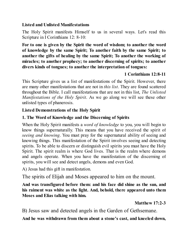#### **Listed and Unlisted Manifestations**

The Holy Spirit manifests Himself to us in several ways. Let's read this Scripture in I Corinthians 12: 8-10:

**For to one is given by the Spirit the word of wisdom; to another the word of knowledge by the same Spirit; To another faith by the same Spirit; to another the gifts of healing by the same Spirit; To another the working of miracles; to another prophecy; to another discerning of spirits; to another divers kinds of tongues; to another the interpretation of tongues:**

## **1 Corinthians 12:8-11**

This Scripture gives us a list of manifestations of the Spirit. However, there are many other manifestations that are not in *this list*. They are found scattered throughout the Bible. I call manifestations that are not in this list, *The Unlisted Manifestations of the Holy Spirit*. As we go along we will see these other unlisted types of phanerosis.

## **Listed Demonstrations of the Holy Spirit**

## **1. The Word of Knowledge and the Discerning of Spirits**

When the Holy Spirit manifests a *word of knowledge* to you, you will begin to know things supernaturally. This means that you have received the spirit of *seeing and knowing*. You must pray for the supernatural ability of seeing and knowing things. This manifestation of the Spirit involves seeing and detecting spirits. To be able to discern or distinguish evil spirits you must have the Holy Spirit. The spirit realm is where God lives. That is the realm where demons and angels operate. When you have the manifestation of the discerning of spirits, you will see and detect angels, demons and even God.

A) Jesus had this gift in manifestation.

The spirits of Elijah and Moses appeared to him on the mount.

**And was transfigured before them: and his face did shine as the sun, and his raiment was white as the light. And, behold, there appeared unto them Moses and Elias talking with him.**

**Matthew 17:2-3**

B) Jesus saw and detected angels in the Garden of Gethsemane.

**And he was withdrawn from them about a stone's cast, and kneeled down,**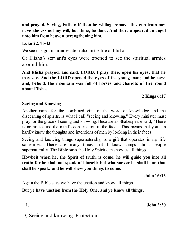**and prayed, Saying, Father, if thou be willing, remove this cup from me: nevertheless not my will, but thine, be done. And there appeared an angel unto him from heaven, strengthening him.**

#### **Luke 22:41-43**

We see this gift in manifestation also in the life of Elisha.

C) Elisha's servant's eyes were opened to see the spiritual armies around him.

**And Elisha prayed, and said, LORD, I pray thee, open his eyes, that he may see. And the LORD opened the eyes of the young man; and he saw: and, behold, the mountain was full of horses and chariots of fire round about Elisha.**

## **2 Kings 6:17**

#### **Seeing and Knowing**

Another name for the combined gifts of the word of knowledge and the discerning of spirits, is what I call "seeing and knowing." Every minister must pray for the grace of seeing and knowing. Because as Shakespeare said, "There is no art to find the mind's construction in the face." This means that you can hardly know the thoughts and intentions of men by looking in their faces.

Seeing and knowing things supernaturally, is a gift that operates in my life sometimes. There are many times that I know things about people supernaturally. The Bible says the Holy Spirit can show us all things.

**Howbeit when he, the Spirit of truth, is come, he will guide you into all truth: for he shall not speak of himself; but whatsoever he shall hear, that shall he speak: and he will shew you things to come.**

**John 16:13**

Again the Bible says we have the unction and know all things.

## **But ye have unction from the Holy One, and ye know all things.**

1. **John 2:20**

D) Seeing and knowing: Protection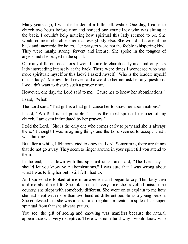Many years ago, I was the leader of a little fellowship. One day, I came to church two hours before time and noticed one young lady who was sitting at the back. I couldn't help noticing how spiritual this lady seemed to be. She would come to church earlier than everybody else. She would sit alone at the back and intercede for hours. Her prayers were not the feeble whispering kind. They were manly, strong, fervent and intense. She spoke in the tongues of angels and she prayed in the spirit.

On many different occasions I would come to church early and find only this lady interceding intensely at the back. There were times I wondered who was more spiritual: myself or this lady? I asked myself, "Who is the leader: myself or this lady?" Meanwhile, I never said a word to her nor ask her any questions. I wouldn't want to disturb such a prayer time.

However, one day, the Lord said to me, "Cause her to know her abominations."

I said, "What!"

The Lord said, "That girl is a bad girl; cause her to know her abominations,"

I said, "What! It is not possible. This is the most spiritual member of my church. I am even intimidated by her prayers."

I told the Lord, "She is the only one who comes early to pray and she is always there." I thought I was imagining things and the Lord seemed to accept what I was thinking.

But after a while, I felt convicted to obey the Lord. Sometimes, there are things that do not go away. They seem to linger around in your spirit till you attend to them.

In the end, I sat down with this spiritual sister and said; "The Lord says I should let you know your abominations." I was sure that I was wrong about what I was telling her but I still felt I had to.

As I spoke, she looked at me in amazement and began to cry. This lady then told me about her life. She told me that every time she travelled outside the country, she slept with somebody different. She went on to explain to me how she had slept with more than two hundred different people as a young person. She confessed that she was a serial and regular fornicator in spite of the super spiritual front that she always put up.

You see, the gift of seeing and knowing was manifest because the natural appearance was very deceptive. There was no natural way I would know who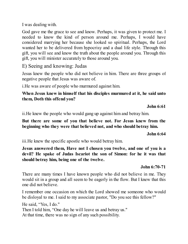I was dealing with.

God gave me the grace to see and know. Perhaps, it was given to protect me. I needed to know the kind of person around me. Perhaps, I would have considered marrying her because she looked so spiritual. Perhaps, the Lord wanted her to be delivered from hypocrisy and a dual life style. Through this gift, you will see and know the truth about the people around you. Through this gift, you will minister accurately to those around you.

# E) Seeing and knowing: Judas

Jesus knew the people who did not believe in him. There are three groups of negative people that Jesus was aware of.

i.He was aware of people who murmured against him.

#### **When Jesus knew in himself that his disciples murmured at it, he said unto them, Doth this offend you?**

**John 6:61**

ii.He knew the people who would gang up against him and betray him.

**But there are some of you that believe not. For Jesus knew from the beginning who they were that believed not, and who should betray him.**

**John 6:64**

iii.He knew the specific apostle who would betray him.

**Jesus answered them, Have not I chosen you twelve, and one of you is a devil? He spake of Judas Iscariot the son of Simon: for he it was that should betray him, being one of the twelve.**

#### **John 6:70-71**

There are many times I have known people who did not believe in me. They would sit in a group and all seem to be eagerly in the flow. But I knew that this one did not believe.

I remember one occasion on which the Lord showed me someone who would be disloyal to me. I said to my associate pastor, "Do you see this fellow?"

He said, "Yes, I do."

Then I told him, "One day he will leave us and betray us."

At that time, there was no sign of any such possibility.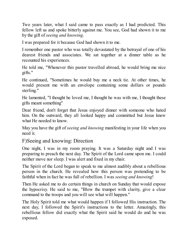Two years later, what I said came to pass exactly as I had predicted. This fellow left us and spoke bitterly against me. You see, God had shown it to me by the gift of *seeing and knowing*.

I was prepared for it because God had shown it to me.

I remember one pastor who was totally devastated by the betrayal of one of his dearest friends and associates. We sat together at a dinner table as he recounted his experiences.

He told me, "Whenever this pastor travelled abroad, he would bring me nice gifts."

He continued, "Sometimes he would buy me a neck tie. At other times, he would present me with an envelope containing some dollars or pounds sterling."

He lamented, "I thought he loved me, I thought he was with me, I thought these gifts meant something"

Dear friend, don't forget that Jesus enjoyed dinner with someone who hated him. On the outward, they all looked happy and committed but Jesus knew what He needed to know.

May you have the gift of *seeing and knowing* manifesting in your life when you need it.

F)Seeing and knowing: Direction

One night, I was in my room praying. It was a Saturday night and I was preparing to preach the next day. The Spirit of the Lord came upon me. I could neither move nor sleep. I was alert and fixed in my chair.

The Spirit of the Lord began to speak to me almost audibly about a rebellious person in the church. He revealed how this person was pretending to be faithful when in fact he was full of rebellion. I was *seeing and knowing*!

Then He asked me to do certain things in church on Sunday that would expose the hypocrisy. He said to me, "Blow the trumpet with clarity, give a clear command to the troops and you will see what will happen."

The Holy Spirit told me what would happen if I followed His instruction. The next day, I followed the Spirit's instructions to the letter. Amazingly, this rebellious fellow did exactly what the Spirit said he would do and he was exposed.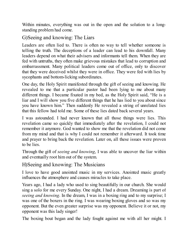Within minutes, everything was out in the open and the solution to a longstanding problem had come.

## G)Seeing and knowing: The Liars

Leaders are often lied to. There is often no way to tell whether someone is telling the truth. The deceptions of a leader can lead to his downfall. Many leaders depend on what their advisers and informants tell them. When they are fed with untruths, they often make grievous mistakes that lead to corruption and embarrassment. Many political leaders come out of office, only to discover that they were deceived whilst they were in office. They were fed with lies by sycophants and bottom-licking subordinates.

One day, the Holy Spirit manifested through the gift of seeing and knowing. He revealed to me that a particular pastor had been lying to me about many different things. I became fixated in my bed, as the Holy Spirit said, "He is a liar and I will show you five different things that he has lied to you about since you have known him." Then suddenly He revealed a string of unrelated lies that this fellow had told me. Some of these lies dated back several years.

I was astounded. I had never known that all those things were lies. This revelation came so quickly that immediately after the revelation, I could not remember it anymore. God wanted to show me that the revelation did not come from my mind and that is why I could not remember it afterward. It took time and prayer to bring back the revelation. Later on, all these issues were proven to be lies.

Through the gift of *seeing and knowing*, I was able to uncover the liar within and eventually root him out of the system.

H)Seeing and knowing: The Musicians

I love to have good anointed music in my services. Anointed music greatly influences the atmosphere and causes miracles to take place.

Years ago, I had a lady who used to sing beautifully in our church. She would sing a solo for me every Sunday. One night, I had a dream. Dreaming is part of *seeing and knowing*. In the dream, I was in a boxing ring and to my surprise; I was one of the boxers in the ring. I was wearing boxing gloves and so was my opponent. But the even greater surprise was my opponent. Believe it or not, my opponent was this lady singer!

The boxing bout began and the lady fought against me with all her might. I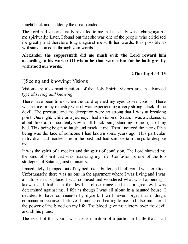fought back and suddenly the dream ended.

The Lord had supernaturally revealed to me that this lady was fighting against me spiritually. Later, I found out that she was one of the people who criticised me greatly and therefore fought against me with her words. It is possible to withstand someone through your words.

#### **Alexander the coppersmith did me much evil: the Lord reward him according to his works: Of whom be thou ware also; for he hath greatly withstood our words.**

## **2Timothy 4:14-15**

## I)Seeing and knowing: Visions

Visions are also manifestations of the Holy Spirit. Visions are an advanced type of *seeing and knowing.*

There have been times when the Lord opened my eyes to see visions. There was a time in my ministry when I was experiencing a very strong attack of the devil. The pressure and the deception were so strong that I was at breaking point. One night, while on a journey, I had a vision of Satan. I was awakened at about three a.m. I suddenly saw a tall black being standing to the right of my bed. This being began to laugh and mock at me. Then I noticed the face of this being was the face of someone I had known some years ago. This particular individual had mocked me in the past and had said certain things to despise me.

It was the spirit of a mocker and the spirit of confusion. The Lord showed me the kind of spirit that was harassing my life. Confusion is one of the top strategies of Satan against ministers.

Immediately, I jumped out of my bed like a bullet and I tell you, I was terrified. Unfortunately, there was no one in the apartment where I was living and I was all alone in this place. I was confused and wondered what was happening. I knew that I had seen the devil at close range and that a great evil was determined against me. I felt as though I was all alone in a haunted house. I decided to have communion by myself. I will never forget that midnight communion because I believe it ministered healing to me and also ministered the power of the blood on my life. The blood gave me victory over the devil and all his plans.

The result of this vision was the termination of a particular battle that I had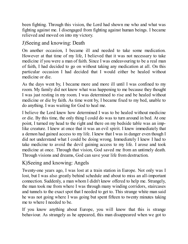been fighting. Through this vision, the Lord had shown me who and what was fighting against me. I disengaged from fighting against human beings. I became relieved and moved on into my victory.

# J)Seeing and knowing: Death

On another occasion, I became ill and needed to take some medication. However at that time of my life, I believed that it was not necessary to take medicine if you were a man of faith. Since I was endeavouring to be a real man of faith, I had decided to go on without taking any medication at all. On this particular occasion I had decided that I would either be healed without medicine or die.

As the days went by, I became more and more ill until I was confined to my room. My family did not know what was happening to me because they thought I was just resting in my room. I was determined to rise and be healed without medicine or die by faith. As time went by, I became fixed to my bed, unable to do anything. I was waiting for God to heal me.

I believe the Lord knew how determined I was to be healed without medicine or die. By this time, the only thing I could do was to turn around in bed. At one point, I turned my head to the right and there on my bedside table was an implike creature. I knew at once that it was an evil spirit. I knew immediately that a demon had gained access to my life. I knew that I was in danger even though I did not understand what I could be doing wrong. Immediately I knew I had to take medicine to avoid the devil gaining access to my life. I arose and took medicine at once. Through that vision, God saved me from an untimely death. Through visions and dreams, God can save your life from destruction.

# K)Seeing and knowing: Angels

Twenty-one years ago, I was lost at a train station in Europe. Not only was I lost, but I was also greatly behind schedule and about to miss an all-important connection. Suddenly, a man whom I didn't know offered to help me. Strangely, the man took me from where I was through many winding corridors, staircases and tunnels to the exact spot that I needed to get to. This strange white man said he was not going where I was going but spent fifteen to twenty minutes taking me to where I needed to be.

If you know anything about Europe, you will know that this is strange behaviour. As strangely as he appeared, this man disappeared when we got to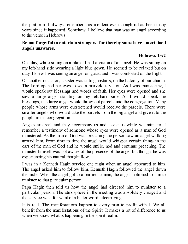the platform. I always remember this incident even though it has been many years since it happened. Somehow, I believe that man was an angel according to the verse in Hebrews

#### **Be not forgetful to entertain strangers: for thereby some have entertained angels unawares.**

## **Hebrews 13:2**

One day, while sitting on a plane, I had a vision of an angel. He was sitting on my left-hand side wearing a light blue gown. He seemed to be relaxed but on duty. I knew I was seeing an angel on guard and I was comforted on the flight.

On another occasion, a sister was sitting upstairs, on the balcony of our church. The Lord opened her eyes to see a marvelous vision. As I was ministering, I would speak out blessings and words of faith. Her eyes were opened and she saw a large angel standing on my left-hand side. As I would speak the blessings, this large angel would throw out parcels into the congregation. Many people whose arms were outstretched would receive the parcels. There were smaller angels who would take the parcels from the big angel and give it to the people in the congregation.

Angels are real and they accompany us and assist us while we minister. I remember a testimony of someone whose eyes were opened as a man of God ministered. As the man of God was preaching the person saw an angel walking around him. From time to time the angel would whisper certain things in the ears of the man of God and he would smile, nod and continue preaching. The minister himself was not aware of the presence of the angel but thought he was experiencing his natural thought flow.

I was in a Kenneth Hagin service one night when an angel appeared to him. The angel asked him to follow him. Kenneth Hagin followed the angel down the aisle. When the angel got to a particular man, the angel motioned to him to minister to that particular person.

Papa Hagin then told us how the angel had directed him to minister to a particular person. The atmosphere in the meeting was absolutely charged and the service was, for want of a better word, electrifying!

It is real. The manifestations happen to every man to profit withal. We all benefit from the manifestations of the Spirit. It makes a lot of difference to us when we know what is happening in the spirit realm.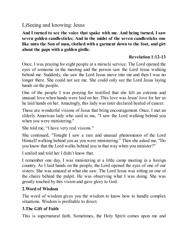# L)Seeing and knowing: Jesus

**And I turned to see the voice that spake with me. And being turned, I saw seven golden candlesticks; And in the midst of the seven candlesticks one like unto the Son of man, clothed with a garment down to the foot, and girt about the paps with a golden girdle.**

## **Revelation 1:12-13**

Once, I was praying for eight people at a miracle service. The Lord opened the eyes of someone in the meeting and the person saw the Lord Jesus walking behind me. Suddenly, she saw the Lord Jesus move into me and then I was no longer there. She could not see me. She could only see the Lord Jesus laying hands on the people.

One of the people I was praying for testified that she felt an extreme and unusual love when hands were laid on her. This love was Jesus' love for her as he laid hands on her. Amazingly, this lady was later declared healed of cancer.

These are wonderful visions of Jesus that bring encouragement. Once, I met an elderly American lady who said to me, "I saw the Lord walking behind you when you were ministering."

She told me, "I have very real visions."

She continued, "Tonight I saw a rare and unusual phenomenon of the Lord Himself walking behind you as you were ministering." Then she asked me, "Do you know that the Lord walks behind you in that way when you minister?"

I smiled and told her I didn't know that.

I remember one day, I was ministering at a little camp meeting in a foreign country. As I laid hands on the people, the Lord opened the eyes of one of our sisters. She was amazed at what she saw. The Lord Jesus was sitting on one of the chairs behind the pulpit. He was observing what I was doing. She was greatly touched by this vision and gave glory to God.

## **2.Word of Wisdom**

The word of wisdom gives you the wisdom to know how to handle complex situations. Wisdom is profitable to direct.

## **3.The Gift of Faith**

This is supernatural faith. Sometimes, the Holy Spirit comes upon me and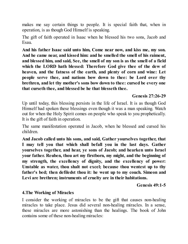makes me say certain things to people. It is special faith that, when in operation, is as though God Himself is speaking.

The gift of faith operated in Isaac when he blessed his two sons, Jacob and Esau.

**And his father Isaac said unto him, Come near now, and kiss me, my son. And he came near, and kissed him: and he smelled the smell of his raiment, and blessed him, and said, See, the smell of my son is as the smell of a field which the LORD hath blessed: Therefore God give thee of the dew of heaven, and the fatness of the earth, and plenty of corn and wine: Let people serve thee, and nations bow down to thee: be Lord over thy brethren, and let thy mother's sons bow down to thee: cursed be every one that curseth thee, and blessed be he that blesseth thee.**

#### **Genesis 27:26-29**

Up until today, this blessing persists in the life of Israel. It is as though God Himself had spoken these blessings even though it was a man speaking. Watch out for when the Holy Spirit comes on people who speak to you prophetically. It is the gift of faith in operation.

The same manifestation operated in Jacob, when he blessed and cursed his children.

**And Jacob called unto his sons, and said, Gather yourselves together, that I may tell you that which shall befall you in the last days. Gather yourselves together, and hear, ye sons of Jacob; and hearken unto Israel your father. Reuben, thou art my firstborn, my might, and the beginning of my strength, the excellency of dignity, and the excellency of power: Unstable as water, thou shalt not excel; because thou wentest up to thy father's bed; then defiledst thou it: he went up to my couch. Simeon and Levi are brethren; instruments of cruelty are in their habitations.**

**Genesis 49:1-5**

#### **4.The Working of Miracles**

I consider the working of miracles to be the gift that causes non-healing miracles to take place. Jesus did several non-healing miracles. In a sense, these miracles are more astonishing than the healings. The book of John contains some of these non-healing miracles: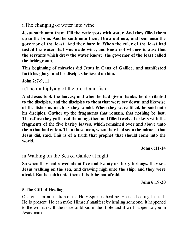## i.The changing of water into wine

**Jesus saith unto them, Fill the waterpots with water. And they filled them up to the brim. And he saith unto them, Draw out now, and bear unto the governor of the feast. And they bare it. When the ruler of the feast had tasted the water that was made wine, and knew not whence it was: (but the servants which drew the water knew;) the governor of the feast called the bridegroom,**

**This beginning of miracles did Jesus in Cana of Galilee, and manifested forth his glory; and his disciples believed on him.**

**John 2:7-9, 11**

## ii.The multiplying of the bread and fish

**And Jesus took the loaves; and when he had given thanks, he distributed to the disciples, and the disciples to them that were set down; and likewise of the fishes as much as they would. When they were filled, he said unto his disciples, Gather up the fragments that remain, that nothing be lost. Therefore they gathered them together, and filled twelve baskets with the fragments of the five barley loaves, which remained over and above unto them that had eaten. Then those men, when they had seen the miracle that Jesus did, said, This is of a truth that prophet that should come into the world.**

**John 6:11-14**

## iii.Walking on the Sea of Galilee at night

**So when they had rowed about five and twenty or thirty furlongs, they see Jesus walking on the sea, and drawing nigh unto the ship: and they were afraid. But he saith unto them, It is I; be not afraid.**

**John 6:19-20**

#### **5.The Gift of Healing**

One other manifestation of the Holy Spirit is healing. He is a healing Jesus. If He is present, He can make Himself manifest by healing someone. It happened to the woman with the issue of blood in the Bible and it will happen to you in Jesus' name!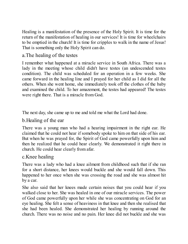Healing is a manifestation of the presence of the Holy Spirit. It is time for the return of the manifestation of healing in our services! It is time for wheelchairs to be emptied in the church! It is time for cripples to walk in the name of Jesus! That is something only the Holy Spirit can do.

# a.The healing of the testes

I remember what happened at a miracle service in South Africa. There was a lady in the meeting whose child didn't have testes (an undescended testes condition). The child was scheduled for an operation in a few weeks. She came forward in the healing line and I prayed for her child as I did for all the others. When she went home, she immediately took off the clothes of the baby and examined the child. To her amazement, the testes had appeared! The testes were right there. That is a miracle from God.

The next day, she came up to me and told me what the Lord had done.

## b.Healing of the ear

There was a young man who had a hearing impairment in the right ear. He claimed that he could not hear if somebody spoke to him on that side of his ear. But when he was prayed for, the Spirit of God came powerfully upon him and then he realized that he could hear clearly. We demonstrated it right there in church. He could hear clearly from afar.

## c.Knee healing

There was a lady who had a knee ailment from childhood such that if she ran for a short distance, her knees would buckle and she would fall down. This happened to her once when she was crossing the road and she was almost hit by a car.

She also said that her knees made certain noises that you could hear if you walked close to her. She was healed in one of our miracle services. The power of God came powerfully upon her while she was concentrating on God for an eye healing. She felt a sense of heaviness in that knee and then she realised that she had been healed. She demonstrated her healing by running around the church. There was no noise and no pain. Her knee did not buckle and she was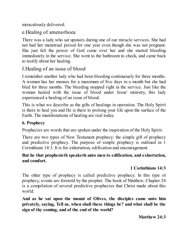miraculously delivered.

# e.Healing of amenorhoea

There was a lady who sat upstairs during one of our miracle services. She had not had her menstrual period for one year even though she was not pregnant. She just felt the power of God come over her and she started bleeding immediately in the service. She went to the bathroom to check, and came back to testify about her healing.

# f.Healing of an issue of blood

I remember another lady who had been bleeding continuously for three months. A woman has her menses for a maximum of five days in a month but she had bled for three months. The bleeding stopped right in the service. Just like the woman healed with the issue of blood under Jesus' ministry, this lady experienced a healing of an issue of blood.

This is what we describe as the gifts of healings in operation. The Holy Spirit is there to heal you and He is there to prolong your life upon the surface of the Earth. The manifestations of healing are real today.

## **6. Prophecy**

Prophecies are words that are spoken under the inspiration of the Holy Spirit.

There are two types of New Testament prophecy: the simple gift of prophecy and predictive prophecy. The purpose of simple prophecy is outlined in 1 Corinthians 14:3. It is for exhortation, edification and encouragement.

## **But he that prophesieth speaketh unto men to edification, and exhortation, and comfort.**

## **1 Corinthians 14:3**

The other type of prophecy is called predictive prophecy. In this type of prophecy, events are foretold by the prophet. The book of Matthew, Chapter 24 is a compilation of several predictive prophecies that Christ made about this world.

**And as he sat upon the mount of Olives, the disciples came unto him privately, saying, Tell us, when shall these things be? and what shall be the sign of thy coming, and of the end of the world?**

#### **Matthew 24:3**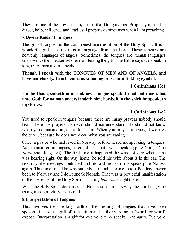They are one of the powerful mysteries that God gave us. Prophecy is used to direct, help, influence and lead us. I prophesy sometimes when I am preaching

## **7.Divers Kinds of Tongues**

The gift of tongues is the commonest manifestation of the Holy Spirit. It is a wonderful gift because it is a language from the Lord. These tongues are heavenly languages of angels. Sometimes, the tongues are human languages unknown to the speaker who is manifesting the gift. The Bible says we speak in tongues of men and of angels.

**Though I speak with the TONGUES OF MEN AND OF ANGELS, and have not charity, I am become as sounding brass, or a tinkling cymbal.**

## **1 Corinthians 13:1**

**For he that speaketh in an unknown tongue speaketh not unto men, but unto God: for no man understandeth him; howbeit in the spirit he speaketh mysteries.**

## **1 Corinthians 14:2**

You need to speak in tongues because there are many prayers nobody should hear. There are prayers the devil should not understand. He should not know when you command angels to kick him. When you pray in tongues, it worries the devil, because he does not know what you are saying.

Once, a pastor who had lived in Norway before, heard me speaking in tongues. As I ministered in tongues, he could hear that I was speaking pure Norgsk (the Norwegian language). The first time it happened, he was not sure whether he was hearing right. On the way home, he told his wife about it in the car. The next day, the meetings continued and he said he heard me speak pure Norgsk again. This time round he was sure about it and he came to testify. I have never been to Norway and I don't speak Norgsk. That was a powerful manifestation of the presence of the Holy Spirit. That is *phanerosis* right there!

When the Holy Spirit demonstrates His presence in this way, the Lord is giving us a glimpse of glory. He is real!

## **8.Interpretation of Tongues**

This involves the speaking forth of the meaning of tongues that have been spoken. It is not the gift of translation and is therefore not a "word for word" exposé. Interpretation is a gift for everyone who speaks in tongues. Everyone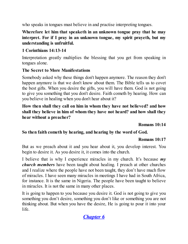who speaks in tongues must believe in and practise interpreting tongues.

## **Wherefore let him that speaketh in an unknown tongue pray that he may interpret. For if I pray in an unknown tongue, my spirit prayeth, but my understanding is unfruitful.**

# **1 Corinthians 14:13-14**

Interpretation greatly multiplies the blessing that you get from speaking in tongues alone.

## **The Secret to More Manifestations**

Somebody asked why these things don't happen anymore. The reason they don't happen anymore is that we don't know about them. The Bible tells us to covet the best gifts. When you desire the gifts, you will have them. God is not going to give you something that you don't desire. Faith cometh by hearing. How can you believe in healing when you don't hear about it?

**How then shall they call on him in whom they have not believed? and how shall they believe in him of whom they have not heard? and how shall they hear without a preacher?**

**Romans 10:14**

## **So then faith cometh by hearing, and hearing by the word of God.**

## **Romans 10:17**

But as we preach about it and you hear about it, you develop interest. You begin to desire it. As you desire it, it comes into the church.

I believe that is why I experience miracles in my church. It's because *my church members* have been taught about healing. I preach at other churches and I realize where the people have not been taught, they don't have much flow of miracles. I have seen many miracles in meetings I have had in South Africa, for instance. It is the same in Nigeria. The people have been taught to believe in miracles. It is not the same in many other places.

It is going to happen to you because you desire it. God is not going to give you something you don't desire, something you don't like or something you are not thinking about. But when you have the desire, He is going to pour it into your life.

# *[Chapter](#page-2-0) 6*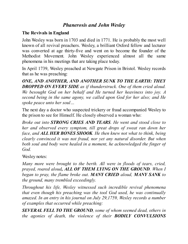# *Phanerosis and John Wesley*

## **The Revivals in England**

John Wesley was born in 1703 and died in 1771. He is probably the most well known of all revival preachers. Wesley, a brilliant Oxford fellow and lecturer was converted at age thirty-five and went on to become the founder of the Methodist Movement. John Wesley experienced almost all the same phenomena in his meetings that are taking place today.

In April 1739, Wesley preached at Newgate Prison in Bristol. Wesley records that as he was preaching:

*ONE, AND ANOTHER, AND ANOTHER SUNK TO THE EARTH: THEY DROPPED ON EVERY SIDE as if thunderstruck. One of them cried aloud. We besought God on her behalf and He turned her heaviness into joy. A second being in the same agony, we called upon God for her also; and He spoke peace unto her soul…*

The next day a doctor who suspected trickery or fraud accompanied Wesley to the prison to see for Himself. He closely observed a woman who:

*Broke out into STRONG CRIES AND TEARS. He went and stood close to her and observed every symptom, till great drops of sweat ran down her face, and ALL HER BONES SHOOK. He then knew not what to think, being clearly convinced it was not fraud, nor yet any natural disorder. But when both soul and body were healed in a moment, he acknowledged the finger of God.*

Wesley notes:

*Many more were brought to the berth. All were in floods of tears, cried, prayed, roared aloud, ALL OF THEM LYING ON THE GROUND. When I began to pray, the flame broke out. MANY CRIED aloud, MANY SANK to the ground, many trembled exceedingly.*

*Throughout his life, Wesley witnessed such incredible revival phenomena that even though his preaching was the tool God used, he was continually amazed. In an entry in his journal on July 29,1759, Wesley records a number of examples that occurred while preaching:*

*SEVERAL FELL TO THE GROUND, some of whom seemed dead, others in the agonies of death, the violence of their BODILY CONVULSIONS*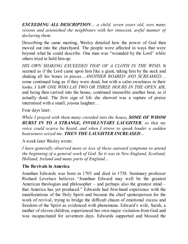*EXCEEDING ALL DESCRIPTION… a child, seven years old, sees many visions and astonished the neighbours with her innocent, awful manner of declaring them.*

Describing the same meeting, Wesley detailed how the power of God then moved out into the churchyard. The people were affected in ways that were beyond what he could describe. One man was "wounded by the Lord" while others tried to hold him up:

*HIS OWN SHAKING EXCEEDED THAT OF A CLOTH IN THE WIND*. It seemed as if the Lord came upon him like a giant, taking him by the neck and shaking all his bones in pieces…*ANOTHER ROARED AND SCREAMED*… some continued long as if they were dead, but with a calm sweetness in their looks. *I SAW ONE WHO LAY TWO OR THREE HOURS IN THE OPEN AIR*, and being then carried into the house, continued insensible another hour, as if actually dead. The first sign of life she showed was a rapture of praise intermixed with a small, joyous laughter…

Four days later:

*While I prayed with them many crowded into the house, SOME OF WHOM BURST IN TO A STRANGE, INVOLUNTARY LAUGHTER, so that my voice could scarce be heard, and when I strove to speak louder a sudden hoarseness seized me. THEN THE LAUGHTER INCREASED…*

A week later Wesley wrote:

*I have generally observed more or less of these outward symptoms to attend the beginning of a general work of God. So it was in New England, Scotland, Holland, Ireland and many parts of England…*

## **The Revivals in America**

Jonathan Edwards was born in 1703 and died in 1758. Seminary professor Richard Lovelace believes "Jonathan Edward may well be the greatest American theologian and philosopher – and perhaps also the greatest mind – that America has yet produced." Edwards had first-hand experience with the manifestations of the Holy Spirit and became the chief spokesperson for the work of revival, trying to bridge the difficult chasm of emotional excess and freedom of the Spirit as evidenced with phenomena. Edward's wife, Sarah, a mother of eleven children, experienced her own major visitation from God and was incapacitated for seventeen days. Edwards supported and blessed the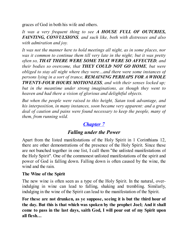graces of God in both his wife and others.

*It was a very frequent thing to see A HOUSE FULL OF OUTCRIES, FAINTING, CONVULSIONS, and such like, both with distresses and also with admiration and joy.*

*It was not the manner here to hold meetings all night, as in some places, nor was it common to continue them till very late in the night; but it was pretty often so, THAT THERE WERE SOME THAT WERE SO AFFECTED, and their bodies so overcome, that THEY COULD NOT GO HOME, but were obliged to stay all night where they were…and there were some instances of persons lying in a sort of trance, REMAINING PERHAPS FOR A WHOLE TWENTY-FOUR HOURS MOTIONLESS, and with their senses locked up; but in the meantime under strong imaginations, as though they went to heaven and had there a vision of glorious and delightful objects.*

*But when the people were raised to this height, Satan took advantage, and his interposition, in many instances, soon became very apparent: and a great deal of caution and pains were found necessary to keep the people, many of them, from running wild.*

# *[Chapter](#page-2-0) 7*

# *Falling under the Power*

Apart from the listed manifestations of the Holy Spirit in 1 Corinthians 12, there are other demonstrations of the presence of the Holy Spirit. Since these are not bunched together in one list, I call them "the unlisted manifestations of the Holy Spirit". One of the commonest unlisted manifestations of the spirit and power of God is falling down. Falling down is often caused by the wine, the wind and the rain.

#### **The Wine of the Spirit**

The new wine is often seen as a type of the Holy Spirit. In the natural, overindulging in wine can lead to falling, shaking and trembling. Similarly, indulging in the wine of the Spirit can lead to the manifestation of the Spirit.

**For these are not drunken, as ye suppose, seeing it is but the third hour of the day. But this is that which was spoken by the prophet Joel; And it shall come to pass in the last days, saith God, I will pour out of my Spirit upon all flesh…**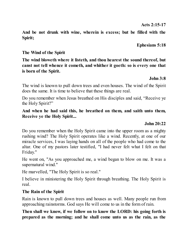**Acts 2:15-17**

**And be not drunk with wine, wherein is excess; but be filled with the Spirit;**

**Ephesians 5:18**

#### **The Wind of the Spirit**

**The wind bloweth where it listeth, and thou hearest the sound thereof, but canst not tell whence it cometh, and whither it goeth: so is every one that is born of the Spirit.**

#### **John 3:8**

The wind is known to pull down trees and even houses. The wind of the Spirit does the same. It is time to believe that these things are real.

Do you remember when Jesus breathed on His disciples and said, "Receive ye the Holy Spirit?"

#### **And when he had said this, he breathed on them, and saith unto them, Receive ye the Holy Spirit...**

#### **John 20:22**

Do you remember when the Holy Spirit came into the upper room as a mighty rushing wind? The Holy Spirit operates like a wind. Recently, at one of our miracle services, I was laying hands on all of the people who had come to the altar. One of my pastors later testified, "I had never felt what I felt on that Friday."

He went on, "As you approached me, a wind began to blow on me. It was a supernatural wind."

He marvelled, "The Holy Spirit is so real."

I believe in ministering the Holy Spirit through breathing. The Holy Spirit is real.

#### **The Rain of the Spirit**

Rain is known to pull down trees and houses as well. Many people run from approaching rainstorms. God says He will come to us in the form of rain.

**Then shall we know, if we follow on to know the LORD: his going forth is prepared as the morning; and he shall come unto us as the rain, as the**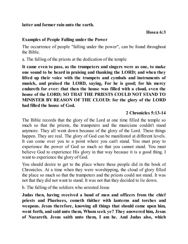**latter and former rain unto the earth.**

### **Examples of People Falling under the Power**

The occurrence of people "falling under the power", can be found throughout the Bible.

a. The falling of the priests at the dedication of the temple

**It came even to pass, as the trumpeters and singers were as one, to make one sound to be heard in praising and thanking the LORD; and when they lifted up their voice with the trumpets and cymbals and instruments of musick, and praised the LORD, saying, For he is good; for his mercy endureth for ever: that then the house was filled with a cloud, even the house of the LORD; SO THAT THE PRIESTS COULD NOT STAND TO MINISTER BY REASON OF THE CLOUD: for the glory of the LORD had filled the house of God.**

## **2 Chronicles 5:13-14**

The Bible records that the glory of the Lord at one time filled the temple so much so that the priests, the trumpeters and the musicians couldn't stand anymore. They all went down because of the glory of the Lord. These things happen. They are real. The glory of God can be manifested at different levels. It can come over you to a point where you can't stand. You must pray to experience the power of God so much so that you cannot stand. You must believe God to experience His glory in that way because it is a good thing. I want to experience the glory of God.

You should desire to get to the place where these people did in the book of Chronicles. At a time when they were worshipping, the cloud of glory filled the place so much so that the trumpeters and the priests could not stand. It was not that they did not want to stand. It was not that they decided to lie down.

b. The falling of the soldiers who arrested Jesus

**Judas then, having received a band of men and officers from the chief priests and Pharisees, cometh thither with lanterns and torches and weapons. Jesus therefore, knowing all things that should come upon him, went forth, and said unto them, Whom seek ye? They answered him, Jesus of Nazareth. Jesus saith unto them, I am he. And Judas also, which**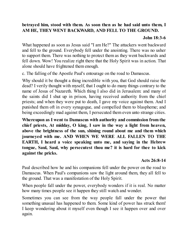## **betrayed him, stood with them. As soon then as he had said unto them, I AM HE, THEYWENT BACKWARD, AND FELL TO THE GROUND.**

#### **John 18:3-6**

What happened as soon as Jesus said "I am He?" The attackers went backward and fell to the ground. Everybody fell under the anointing. There was no usher to support them. There was nothing to protect them as they went backwards and fell down. Wow! You realize right there that the Holy Spirit was in action. That alone should have frightened them enough.

c. The falling of the Apostle Paul's entourage on the road to Damascus.

Why should it be thought a thing incredible with you, that God should raise the dead? I verily thought with myself, that I ought to do many things contrary to the name of Jesus of Nazareth. Which thing I also did in Jerusalem: and many of the saints did I shut up in prison, having received authority from the chief priests; and when they were put to death, I gave my voice against them. And I punished them oft in every synagogue, and compelled them to blaspheme; and being exceedingly mad against them, I persecuted them even unto strange cities.

**Whereupon as I went to Damascus with authority and commission from the chief priests, At midday, O king, I saw in the way a light from heaven, above the brightness of the sun, shining round about me and them which journeyed with me. AND WHEN WE WERE ALL FALLEN TO THE EARTH, I heard a voice speaking unto me, and saying in the Hebrew tongue, Saul, Saul, why persecutest thou me? it is hard for thee to kick against the pricks.**

## **Acts 26:8-14**

Paul described how he and his companions fell under the power on the road to Damascus. When Paul's companions saw the light around them, they all fell to the ground. That was a manifestation of the Holy Spirit.

When people fall under the power, everybody wonders if it is real. No matter how many times people see it happen they still watch and wonder.

Sometimes you can see from the way people fall under the power that something unusual has happened to them. Some kind of power has struck them! I keep wondering about it myself even though I see it happen over and over again.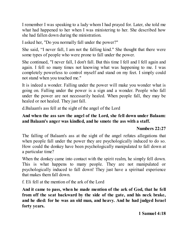I remember I was speaking to a lady whom I had prayed for. Later, she told me what had happened to her when I was ministering to her. She described how she had fallen down during the ministration.

I asked her, "Do you normally fall under the power?"

She said, "I never fall, I am not the falling kind." She thought that there were some types of people who were prone to fall under the power.

She continued, "I never fall, I don't fall. But this time I fell and I fell again and again. I fell so many times not knowing what was happening to me. I was completely powerless to control myself and stand on my feet. I simply could not stand when you touched me."

It is indeed a wonder. Falling under the power will make you wonder what is going on. Falling under the power is a sign and a wonder. People who fall under the power are not necessarily healed. When people fall, they may be healed or not healed. They just fall.

d.Balaam's ass fell at the sight of the angel of the Lord

## **And when the ass saw the angel of the Lord, she fell down under Balaam: and Balaam's anger was kindled, and he smote the ass with a staff.**

## **Numbers 22:27**

The falling of Balaam's ass at the sight of the angel refutes allegations that when people fall under the power they are psychologically induced to do so. How could the donkey have been psychologically manipulated to fall down at a particular time?

When the donkey came into contact with the spirit realm, he simply fell down. This is what happens to many people. They are not manipulated or psychologically induced to fall down! They just have a spiritual experience that makes them fall down.

f. Eli fell at the mention of the ark of the Lord

**And it came to pass, when he made mention of the ark of God, that he fell from off the seat backward by the side of the gate, and his neck brake, and he died: for he was an old man, and heavy. And he had judged Israel forty years.**

**1 Samuel 4:18**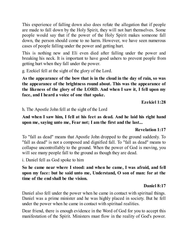This experience of falling down also does refute the allegation that if people are made to fall down by the Holy Spirit, they will not hurt themselves. Some people would say that if the power of the Holy Spirit makes someone fall down, the person should come to no harm. However, we have seen numerous cases of people falling under the power and getting hurt.

This is nothing new and Eli even died after falling under the power and breaking his neck. It is important to have good ushers to prevent people from getting hurt when they fall under the power.

g. Ezekiel fell at the sight of the glory of the Lord.

**As the appearance of the bow that is in the cloud in the day of rain, so was the appearance of the brightness round about. This was the appearance of the likeness of the glory of the LORD. And when I saw it, I fell upon my face, and I heard a voice of one that spake.**

**Ezekiel 1:28**

h. The Apostle John fell at the sight of the Lord

**And when I saw him, I fell at his feet as dead. And he laid his right hand upon me, saying unto me, Fear not; I am the first and the last...**

## **Revelation 1:17**

To "fall as dead" means that Apostle John dropped to the ground suddenly. To "fall as dead" is not a composed and dignified fall. To "fall as dead" means to collapse uncontrollably to the ground. When the power of God is moving, you will see many people fall to the ground as though they are dead.

i. Daniel fell as God spoke to him

**So he came near where I stood: and when he came, I was afraid, and fell upon my face: but he said unto me, Understand, O son of man: for at the time of the end shall be the vision.**

## **Daniel 8:17**

Daniel also fell under the power when he came in contact with spiritual things. Daniel was a prime minister and he was highly placed in society. But he fell under the power when he came in contact with spiritual realities.

Dear friend, there is enough evidence in the Word of God for you to accept this manifestation of the Spirit. Ministers must flow in the reality of God's power.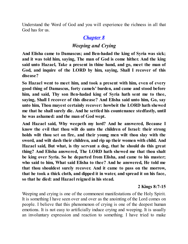Understand the Word of God and you will experience the richness in all that God has for us.

# *[Chapter](#page-2-0) 8*

# *Weeping and Crying*

**And Elisha came to Damascus; and Ben-hadad the king of Syria was sick; and it was told him, saying, The man of God is come hither. And the king said unto Hazael, Take a present in thine hand, and go, meet the man of God, and inquire of the LORD by him, saying, Shall I recover of this disease?**

**So Hazael went to meet him, and took a present with him, even of every good thing of Damascus, forty camels' burden, and came and stood before him, and said, Thy son Ben-hadad king of Syria hath sent me to thee, saying, Shall I recover of this disease? And Elisha said unto him, Go, say unto him, Thou mayest certainly recover: howbeit the LORD hath shewed me that he shall surely die. And he settled his countenance stedfastly, until he was ashamed: and the man of God wept.**

**And Hazael said, Why weepeth my lord? And he answered, Because I know the evil that thou wilt do unto the children of Israel: their strong holds wilt thou set on fire, and their young men wilt thou slay with the sword, and wilt dash their children, and rip up their women with child. And Hazael said, But what, is thy servant a dog, that he should do this great thing? And Elisha answered, The LORD hath shewed me that thou shalt be king over Syria. So he departed from Elisha, and came to his master; who said to him, What said Elisha to thee? And he answered, He told me that thou shouldest surely recover. And it came to pass on the morrow, that he took a thick cloth, and dipped it in water, and spread it on his face, so that he died: and Hazael reigned in his stead.**

## **2 Kings 8:7-15**

Weeping and crying is one of the commonest manifestations of the Holy Spirit. It is something I have seen over and over as the anointing of the Lord comes on people. I believe that this phenomenon of crying is one of the deepest human emotions. It is not easy to artificially induce crying and weeping. It is usually an involuntary expression and reaction to something. I have tried to make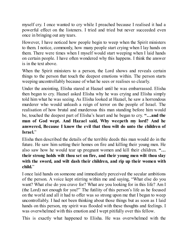myself cry. I once wanted to cry while I preached because I realised it had a powerful effect on the listeners. I tried and tried but never succeeded even once in bringing out any tears.

However, I have noticed how people begin to weep when the Spirit ministers to them. I notice, commonly, how many people start crying when I lay hands on them. There were times when I myself would start weeping when I laid hands on certain people. I have often wondered why this happens. I think the answer is in the text above.

When the Spirit ministers to a person, the Lord shows and reveals certain things to the person that touch the deepest emotions within. The person starts weeping uncontrollably because of what he sees or realises so clearly.

Under the anointing, Elisha stared at Hazael until he was embarrassed. Elisha then began to cry. Hazael asked Elisha why he was crying and Elisha simply told him what he was seeing. As Elisha looked at Hazael, he saw a horrendous murderer who would unleash a reign of terror on the people of Israel. The realisation of how brutal and murderous this man standing before him would be, touched the deepest part of Elisha's heart and he began to cry. **"…and the man of God wept. And Hazael said, Why weepeth my lord? And he answered, Because I know the evil that thou wilt do unto the children of Israel.**"

Elisha then described the details of the terrible deeds this man would do in the future. He saw him setting their homes on fire and killing their young men. He also saw how he would tear up pregnant women and kill their children. **"… their strong holds wilt thou set on fire, and their young men wilt thou slay with the sword, and wilt dash their children, and rip up their women with child.**"

I once laid hands on someone and immediately perceived the secular ambitions of the person. A voice kept stirring within me and saying, "What else do you want? What else do you crave for? What are you looking for in this life? Am I (the Lord) not enough for you?" The futility of this person's life as he focused on the world and all it had to offer was so strong upon me that I began to weep uncontrollably. I had not been thinking about those things but as soon as I laid hands on this person, my spirit was flooded with these thoughts and feelings. I was overwhelmed with this emotion and I wept pitifully over this fellow.

This is exactly what happened to Elisha. He was overwhelmed with the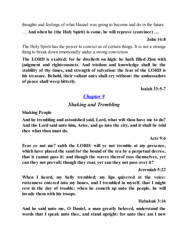thoughts and feelings of what Hazael was going to become and do in the future.

… **And when he (the Holy Spirit) is come, he will reprove (convince) …**

**John 16:8**

The Holy Spirit has the power to convict us of certain things. It is not a strange thing to break down emotionally under a strong conviction.

**The LORD is exalted; for he dwelleth on high: he hath filled Zion with judgment and righteousness. And wisdom and knowledge shall be the stability of thy times, and strength of salvation: the fear of the LORD is his treasure. Behold, their valiant ones shall cry without: the ambassadors of peace shall weep bitterly.**

**Isaiah 33:5-7**

# *[Chapter](#page-2-0) 9*

# *Shaking and Trembling*

**Shaking People**

**And he trembling and astonished said, Lord, what wilt thou have me to do? And the Lord said unto him, Arise, and go into the city, and it shall be told thee what thou must do.**

**Acts 9:6**

**Fear ye not me? saith the LORD: will ye not tremble at my presence, which have placed the sand for the bound of the sea by a perpetual decree, that it cannot pass it: and though the waves thereof toss themselves, yet can they not prevail; though they roar, yet can they not pass over it?**

**Jeremiah 5:22**

**When I heard, my belly trembled; my lips quivered at the voice: rottenness entered into my bones, and I trembled in myself, that I might rest in the day of trouble: when he cometh up unto the people, he will invade them with his troops.**

**Habakuk 3:16**

**And he said unto me, O Daniel, a man greatly beloved, understand the words that I speak unto thee, and stand upright: for unto thee am I now**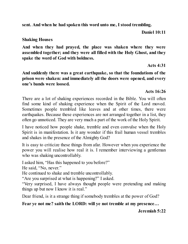**sent. And when he had spoken this word unto me, I stood trembling.**

**Daniel 10:11**

#### **Shaking Houses**

**And when they had prayed, the place was shaken where they were assembled together; and they were all filled with the Holy Ghost, and they spake the word of God with boldness.**

**Acts 4:31**

**And suddenly there was a great earthquake, so that the foundations of the prison were shaken: and immediately all the doors were opened, and every one's bands were loosed.**

#### **Acts 16:26**

There are a lot of shaking experiences recorded in the Bible. You will often find some kind of shaking experience when the Spirit of the Lord moved. Sometimes people trembled like leaves and at other times, there were earthquakes. Because these experiences are not arranged together in a list, they often go unnoticed. They are very much a part of the work of the Holy Spirit.

I have noticed how people shake, tremble and even convulse when the Holy Spirit is in manifestation. Is it any wonder if this frail human vessel trembles and shakes in the presence of the Almighty God?

It is easy to criticize these things from afar. However when you experience the power you will realise how real it is. I remember interviewing a gentleman who was shaking uncontrollably.

I asked him, "Has this happened to you before?"

He said, "No, never."

He continued to shake and tremble uncontrollably.

"Are you surprised at what is happening?" I asked.

"Very surprised, I have always thought people were pretending and making things up but now I know it is real."

Dear friend, is it a strange thing if somebody trembles at the power of God?

**Fear ye not me? saith the LORD: will ye not tremble at my presence…**

**Jeremiah 5:22**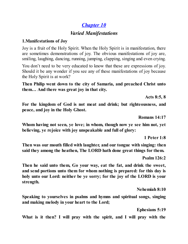# *[Chapter](#page-2-0) 10*

# *Varied Manifestations*

### **1.Manifestations of Joy**

Joy is a fruit of the Holy Spirit. When the Holy Spirit is in manifestation, there are sometimes demonstrations of joy. The obvious manifestations of joy are, smiling, laughing, dancing, running, jumping, clapping, singing and even crying.

You don't need to be very educated to know that these are expressions of joy. Should it be any wonder if you see any of these manifestations of joy because the Holy Spirit is at work?

**Then Philip went down to the city of Samaria, and preached Christ unto them… And there was great joy in that city.**

**Acts 8:5, 8**

**For the kingdom of God is not meat and drink; but righteousness, and peace, and joy in the Holy Ghost.**

**Romans 14:17**

**Whom having not seen, ye love; in whom, though now ye see him not, yet believing, ye rejoice with joy unspeakable and full of glory:**

**1 Peter 1:8**

**Then was our mouth filled with laughter, and our tongue with singing: then said they among the heathen, The LORD hath done great things for them.**

**Psalm 126:2**

**Then he said unto them, Go your way, eat the fat, and drink the sweet, and send portions unto them for whom nothing is prepared: for this day is holy unto our Lord: neither be ye sorry; for the joy of the LORD is your strength.**

**Nehemiah 8:10**

**Speaking to yourselves in psalms and hymns and spiritual songs, singing and making melody in your heart to the Lord;**

**Ephesians 5:19**

**What is it then? I will pray with the spirit, and I will pray with the**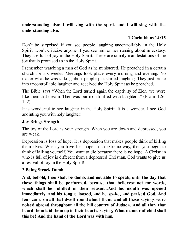**understanding also: I will sing with the spirit, and I will sing with the understanding also.**

# **1 Corinthians 14:15**

Don't be surprised if you see people laughing uncontrollably in the Holy Spirit. Don't criticize anyone if you see him or her running about in ecstasy. They are full of joy in the Holy Spirit. These are simply manifestations of the joy that is promised us in the Holy Spirit.

I remember watching a man of God as he ministered. He preached in a certain church for six weeks. Meetings took place every morning and evening. No matter what he was talking about people just started laughing. They just broke into uncontrollable laughter and received the Holy Spirit as he preached.

The Bible says "When the Lord turned again the captivity of Zion, we were like them that dream. Then was our mouth filled with laughter..." (Psalm 126: 1, 2).

It is wonderful to see laughter in the Holy Spirit. It is a wonder. I see God anointing you with holy laughter!

## **Joy Brings Srength**

The joy of the Lord is your strength. When you are down and depressed, you are weak.

Depression is loss of hope. It is depression that makes people think of killing themselves. When you have lost hope in an extreme way, then you begin to think of killing yourself. You want to die because there is no hope. A Christian who is full of joy is different from a depressed Christian. God wants to give us a revival of joy in the Holy Spirit!

## **2.Being Struck Dumb**

**And, behold, thou shalt be dumb, and not able to speak, until the day that these things shall be performed, because thou believest not my words, which shall be fulfilled in their season...And his mouth was opened immediately, and his tongue loosed, and he spake, and praised God. And fear came on all that dwelt round about them: and all these sayings were noised abroad throughout all the hill country of Judaea. And all they that heard them laid them up in their hearts, saying, What manner of child shall this be! And the hand of the Lord was with him.**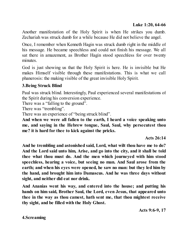Another manifestation of the Holy Spirit is when He strikes you dumb. Zechariah was struck dumb for a while because He did not believe the angel.

Once, I remember when Kenneth Hagin was struck dumb right in the middle of his message. He became speechless and could not finish his message. We all sat there in amazement, as Brother Hagin stood speechless for over twenty minutes.

God is just showing us that the Holy Spirit is here. He is invisible but He makes Himself visible through these manifestations. This is what we call phanerosis: the making visible of the great invisible Holy Spirit.

## **3.Being Struck Blind**

Paul was struck blind. Interestingly, Paul experienced several manifestations of the Spirit during his conversion experience.

There was a "falling to the ground".

There was "trembling".

There was an experience of "being struck blind".

**And when we were all fallen to the earth, I heard a voice speaking unto me, and saying in the Hebrew tongue, Saul, Saul, why persecutest thou me? it is hard for thee to kick against the pricks.**

**Acts 26:14**

**And he trembling and astonished said, Lord, what wilt thou have me to do? And the Lord said unto him, Arise, and go into the city, and it shall be told thee what thou must do. And the men which journeyed with him stood speechless, hearing a voice, but seeing no man. And Saul arose from the earth; and when his eyes were opened, he saw no man: but they led him by the hand, and brought him into Damascus. And he was three days without sight, and neither did eat nor drink.**

**And Ananias went his way, and entered into the house; and putting his hands on him said, Brother Saul, the Lord, even Jesus, that appeared unto thee in the way as thou camest, hath sent me, that thou mightest receive thy sight, and be filled with the Holy Ghost.**

**Acts 9:6-9, 17**

**4.Screaming**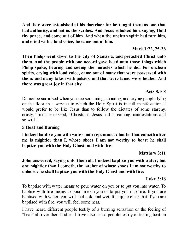**And they were astonished at his doctrine: for he taught them as one that had authority, and not as the scribes. And Jesus rebuked him, saying, Hold thy peace, and come out of him. And when the unclean spirit had torn him, and cried with a loud voice, he came out of him.**

**Mark 1:22, 25-26**

**Then Philip went down to the city of Samaria, and preached Christ unto them. And the people with one accord gave heed unto those things which Philip spake, hearing and seeing the miracles which he did. For unclean spirits, crying with loud voice, came out of many that were possessed with them: and many taken with palsies, and that were lame, were healed. And there was great joy in that city.**

Do not be surprised when you see screaming, shouting, and crying people lying on the floor in a service in which the Holy Spirit is in full manifestation. I would prefer to be like Jesus than to follow the dictates of some starchy, crusty, "immune to God," Christians. Jesus had screaming manifestations and so will I.

## **5.Heat and Burning**

**I indeed baptize you with water unto repentance: but he that cometh after me is mightier than I, whose shoes I am not worthy to bear: he shall baptize you with the Holy Ghost, and with fire:**

**Matthew 3:11**

**John answered, saying unto them all, I indeed baptize you with water; but one mightier than I cometh, the latchet of whose shoes I am not worthy to unloose: he shall baptize you with the Holy Ghost and with fire:**

## **Luke 3:16**

To baptise with water means to pour water on you or to put you into water. To baptise with fire means to pour fire on you or to put you into fire. If you are baptised with water, you will feel cold and wet. It is quite clear that if you are baptised with fire, you will feel some heat.

I have heard different people testify of a burning sensation or the feeling of "heat" all over their bodies. I have also heard people testify of feeling heat on

## **Acts 8:5-8**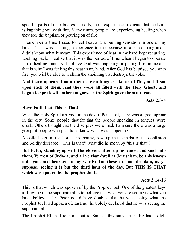specific parts of their bodies. Usually, these experiences indicate that the Lord is baptising you with fire. Many times, people are experiencing healing when they feel the baptism or pouring on of fire.

I remember a time I used to feel heat and a burning sensation in one of my hands. This was a strange experience to me because it kept recurring and I didn't know what it meant. This experience of heat in my hand kept recurring. Looking back, I realise that it was the period of time when I began to operate in the healing ministry. I believe God was baptising or putting fire on me and that is why I was feeling this heat in my hand. After God has baptised you with fire, you will be able to walk in the anointing that destroys the yoke.

**And there appeared unto them cloven tongues like as of fire, and it sat upon each of them. And they were all filled with the Holy Ghost, and began to speak with other tongues, as the Spirit gave them utterance.**

**Acts 2:3-4**

## **Have Faith that This Is That!**

When the Holy Spirit arrived on the day of Pentecost, there was a great uproar in the city. Some people thought that the people speaking in tongues were drunk. Others thought that the disciples were mad. I am sure there was a large group of people who just didn't know what was happening.

Apostle Peter, at the Lord's prompting, rose up in the midst of the confusion and boldly declared, "This is that!" What did he mean by "this is that"?

**But Peter, standing up with the eleven, lifted up his voice, and said unto them, Ye men of Judaea, and all ye that dwell at Jerusalem, be this known unto you, and hearken to my words: For these are not drunken, as ye suppose, seeing it is but the third hour of the day. But THIS IS THAT which was spoken by the prophet Joel...**

#### **Acts 2:14-16**

This is that which was spoken of by the Prophet Joel. One of the greatest keys to flowing in the supernatural is to believe that what you are seeing is what you have believed for. Peter could have doubted that he was seeing what the Prophet Joel had spoken of. Instead, he boldly declared that he was seeing the supernatural.

The Prophet Eli had to point out to Samuel this same truth. He had to tell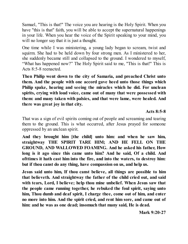Samuel, "This is that!" The voice you are hearing is the Holy Spirit. When you have "this is that" faith, you will be able to accept the supernatural happenings in your life. When you hear the voice of the Spirit speaking to your mind, you will no longer say that it is just a thought.

One time while I was ministering, a young lady began to scream, twist and squirm. She had to be held down by four strong men. As I ministered to her, she suddenly became still and collapsed to the ground. I wondered to myself, "What has happened now?" The Holy Spirit said to me, "This is that!" This is Acts 8:5-8 reenacted.

**Then Philip went down to the city of Samaria, and preached Christ unto them. And the people with one accord gave heed unto those things which Philip spake, hearing and seeing the miracles which he did. For unclean spirits, crying with loud voice, came out of many that were possessed with them: and many taken with palsies, and that were lame, were healed. And there was great joy in that city.**

**Acts 8:5-8**

That was a sign of evil spirits coming out of people and screaming and tearing them to the ground. This is what occurred, after Jesus prayed for someone oppressed by an unclean spirit.

**And they brought him [the child] unto him: and when he saw him, straightway THE SPIRIT TARE HIM; AND HE FELL ON THE GROUND, AND WALLOWED FOAMING. And he asked his father, How long is it ago since this came unto him? And he said, Of a child. And ofttimes it hath cast him into the fire, and into the waters, to destroy him: but if thou canst do any thing, have compassion on us, and help us.**

**Jesus said unto him, If thou canst believe, all things are possible to him that believeth. And straightway the father of the child cried out, and said with tears, Lord, I believe; help thou mine unbelief. When Jesus saw that the people came running together, he rebuked the foul spirit, saying unto him, Thou dumb and deaf spirit, I charge thee, come out of him, and enter no more into him. And the spirit cried, and rent him sore, and came out of him: and he was as one dead; insomuch that many said, He is dead.**

**Mark 9:20-27**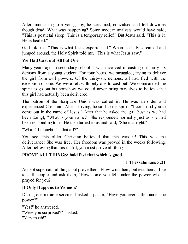After ministering to a young boy, he screamed, convulsed and fell down as though dead. What was happening? Some modern analysts would have said, "This is postictal sleep. This is a temporary relief." But Jesus said, "This is it. He is healed."

God told me, "This is what Jesus experienced." When the lady screamed and jumped around, the Holy Spirit told me, "This is what Jesus saw."

## **We Had Cast out All but One**

Many years ago in secondary school, I was involved in casting out thirty-six demons from a young student. For four hours, we struggled, trying to deliver the girl from evil powers. Of the thirty-six demons, all had fled with the exception of one. We were left with only one to cast out! We commanded the spirit to go out but somehow we could never bring ourselves to believe that this girl had actually been delivered.

The patron of the Scripture Union was called in. He was an older and experienced Christian. After arriving, he said to the spirit, "I command you to come out in the name of Jesus." After that he asked the girl (just as we had been doing), "What is your name?" She responded normally just as she had been responding to us. He then turned to us and said, "She is alright."

"What!" I thought, "Is that all?"

You see, this older Christian believed that this was it! This was the deliverance! She was free. Her freedom was proved in the weeks following. After believing that this is that, you must prove all things.

## **PROVE ALL THINGS; hold fast that which is good.**

## **1 Thessalonians 5:21**

Accept supernatural things but prove them. Flow with them, but test them. I like to call people and ask them, "How come you fell under the power when I prayed for you?"

## **It Only Happens to Women?**

During one miracle service, I asked a pastor, "Have you ever fallen under the power?"

```
"Yes!" he answered.
"Were you surprised?" I asked.
"Very much!"
```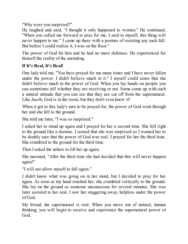"Why were you surprised?"

He laughed and said, "I thought it only happened to women." He continued, "When you called me forward to pray for me, I said to myself, this thing will never happen to me." I came up there with a posture of resisting any such fall. But before I could realize it, I was on the floor."

The power of God hit him and he had no more defenses. He experienced for himself the reality of the anointing.

# **If It's Real, It's Real!**

One lady told me, "You have prayed for me many times and I have never fallen under the power. I didn't believe much in it." I myself could sense that she didn't believe much in the power of God. When you lay hands on people you can sometimes tell whether they are receiving or not. Some come up with such a natural attitude that you can see that they are cut off from the supernatural. Like Jacob, God is in the room, but they don't even know it!

When it got to this lady's turn to be prayed for, the power of God went through her and she fell to the ground.

She told me later, "I was so surprised."

I asked her to stand up again and I prayed for her a second time. She fell right to the ground like a domino. I sensed that she was surprised so I wanted her to be doubly sure that the power of God was real. I prayed for her the third time. She crumbled to the ground for the third time.

Then I asked the ushers to lift her up again.

She narrated, "After the third time she had decided that this will never happen again!"

"I will not allow myself to fall again."

I didn't know what was going on in her mind, but I decided to pray for her again. As soon as my hand touched her, she crumbled vertically to the ground. She lay on the ground as someone unconscious for several minutes. She was later assisted to her seat. I saw her staggering away, helpless under the power of God.

My friend, the supernatural is real. When you move out of natural, human thinking, you will begin to receive and experience the supernatural power of God.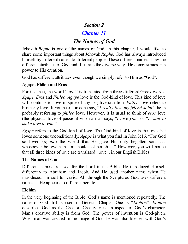# *Section 2*

# *[Chapter](#page-2-0) 11*

# *The Names of God*

Jehovah *Rophe* is one of the names of God. In this chapter, I would like to share some important things about Jehovah *Rophe*. God has always introduced himself by different names to different people. These different names show the different attributes of God and illustrate the diverse ways He demonstrates His power to His creation.

God has different attributes even though we simply refer to Him as "God".

## **Agape, Phileo and Eros**

For instance, the word "love" is translated from three different Greek words: *Agape, Eros* and *Phileo*. *Agape* love is the God-kind of love. This kind of love will continue to love in spite of any negative situation. *Phileo* love refers to brotherly love. If you hear someone say, "*I really love my friend John*," he is probably referring to *phileo* love. However, it is usual to think of *eros* love (the physical love of passion) when a man says, "*I love you*" or "*I want to make love to you.*"

*Agape* refers to the God-kind of love. The God-kind of love is the love that loves someone unconditionally. *Agape* is what you find in John 3:16, "For God so loved (*agape*) the world that He gave His only begotten son, that whosoever believeth in him should not perish ..." However, you will notice that all three kinds of love are translated "love", in our English Bibles.

## **The Names of God**

Different names are used for the Lord in the Bible. He introduced Himself differently to Abraham and Jacob. And He used another name when He introduced Himself to David. All through the Scriptures God uses different names as He appears to different people.

## **Elohim**

In the very beginning of the Bible, God's name is mentioned repeatedly. The name of God that is used in Genesis Chapter One is "*Elohim*". *Elohim* describes God as the Creator. Creativity is an aspect of God's character. Man's creative ability is from God. The power of invention is God-given. When man was created in the image of God, he was also blessed with God's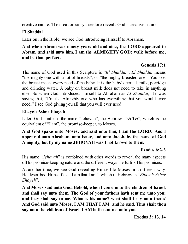creative nature. The creation story therefore reveals God's creative nature.

## **El Shaddai**

Later on in the Bible, we see God introducing Himself to Abraham.

## **And when Abram was ninety years old and nine, the LORD appeared to Abram, and said unto him, I am the ALMIGHTY GOD; walk before me, and be thou perfect.**

## **Genesis 17:1**

The name of God used in this Scripture is "*El Shaddai*". *El Shaddai* means "the mighty one with a lot of breasts", or "the mighty breasted one". You see, the breast meets every need of the baby. It is the baby's cereal, milk, porridge and drinking water. A baby on breast milk does not need to take in anything else. So when God introduced Himself to Abraham as *El Shaddai*, He was saying that, "I'm the Almighty one who has everything that you would ever need." I see God giving you all that you will ever need!

## **Ehayeh Asher Ehayeh**

Later, God confirms the name "Jehovah", the Hebrew "*YHWH*", which is the equivalent of "I am", the promise-keeper, to Moses.

## **And God spake unto Moses, and said unto him, I am the LORD: And I appeared unto Abraham, unto Isaac, and unto Jacob, by the name of God Almighty, but by my name JEHOVAH was I not known to them.**

## **Exodus 6:2-3**

His name "*Jehovah*" is combined with other words to reveal the many aspects ofHis promise-keeping nature and the different ways He fulfils His promises.

At another time, we see God revealing Himself to Moses in a different way. He described Himself as, "I am that I am," which in Hebrew is "*Ehayeh Asher Ehayeh*".

**And Moses said unto God, Behold, when I come unto the children of Israel, and shall say unto them, The God of your fathers hath sent me unto you; and they shall say to me, What is his name? what shall I say unto them? And God said unto Moses, I AM THAT I AM: and he said, Thus shalt thou say unto the children of Israel, I AM hath sent me unto you.**

**Exodus 3: 13, 14**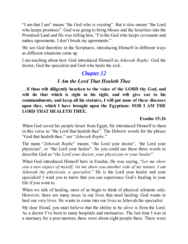"I am that I am" means "the God who is existing". But it also means "the Lord who keeps promises". God was going to bring Moses and the Israelites into the Promised Land and He was telling him, "I'm the God who keeps covenants and makes agreements. I don't break my agreements."

We see God therefore in the Scriptures, introducing Himself in different ways as different situations came up.

I am teaching about how God introduced Himself as *Jehovah Rophe*: God the doctor, God the specialist and God who heals the sick.

# *[Chapter](#page-2-0) 12*

# *I Am the Lord That Healeth Thee*

…**if thou wilt diligently hearken to the voice of the LORD thy God, and wilt do that which is right in his sight, and wilt give ear to his commandments, and keep all his statutes, I will put none of these diseases upon thee, which I have brought upon the Egyptians: FOR I AM THE LORD THAT HEALETH THEE.**

#### **Exodus 15:26**

When God saved his people Israel from Egypt, He introduced Himself to them in this verse as "the Lord that healeth thee". The Hebrew words for the phrase "God that healeth thee," are "*Jehovah Rophe*."

The name "*Jehovah Rophe*" means, "the Lord your doctor', 'the Lord your physician", or "the Lord your healer". So you could use these three words to describe God as "*the Lord your doctor, your physician or your healer*".

When God introduced Himself here in Exodus, He was saying, "*Let me show you a new aspect of myself; let me show you another side of my nature. I am Jehovah the physician, a specialist*." He is the Lord your healer and your specialist! I want you to know that you can experience God's healing in your life if you want to.

When we talk of healing, most of us begin to think of physical ailments only. However, there are many areas in our lives that need healing. God wants to heal our very lives. He wants to come into our lives as Jehovah the specialist.

My dear friend, you must believe that the ability to be alive is from the Lord. As a doctor I've been to many hospitals and mortuaries. The last time I was in a mortuary for a post mortem, there were about eight people there. There were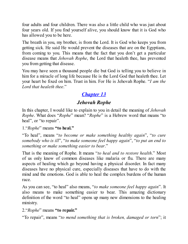four adults and four children. There was also a little child who was just about four years old. If you find yourself alive, you should know that it is God who has allowed you to be here.

The breath in you, my brother, is from the Lord. It is God who keeps you from getting sick. He said He would prevent the diseases that are on the Egyptians, from coming to you. This means that the fact that you don't get a particular disease means that *Jehovah Rophe*, the Lord that healeth thee, has prevented you from getting that disease.

You may have seen a thousand people die but God is telling you to believe in him for a miracle of long life because He is the Lord God that healeth thee. Let your heart be fixed on him. Trust in him. For He is Jehovah Rophe. "*I am the Lord that healeth thee*."

# *[Chapter](#page-2-0) 13*

# *Jehovah Rophe*

In this chapter, I would like to explain to you in detail the meaning of *Jehovah Rophe*. What does "*Rophe*" mean? "*Rophe*" is a Hebrew word that means "to heal", or "to repair".

1."*Rophe*" means **"to heal."**

"To heal", means "*to become or make something healthy again*", "*to cure somebody who is ill*", "*to make someone feel happy again*", "*to put an end to something or make something easier to bear*."

That is the meaning of Rophe. It means "*to heal and to restore health*." Most of us only know of common diseases like malaria or flu. There are many aspects of healing which go beyond having a physical disorder. In fact many diseases have no physical cure, especially diseases that have to do with the mind and the emotions. God is able to heal the complex burdens of the human race.

As you can see, "to heal" also means, "*to make someone feel happy again*". It also means to make something easier to bear. This amazing dictionary definition of the word "to heal" opens up many new dimensions to the healing ministry.

## 2."*Rophe*" means **"to repair."**

"To repair", means "*to mend something that is broken, damaged or torn*"; it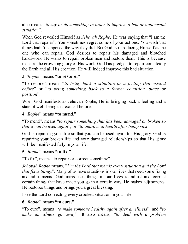also means "*to say or do something in order to improve a bad or unpleasant situation*".

When God revealed Himself as *Jehovah Rophe*, He was saying that "I am the Lord that repairs". You sometimes regret some of your actions. You wish that things hadn't happened the way they did. But God is introducing Himself as the one who can repair. God desires to repair his damaged and blotched handiwork. He wants to repair broken men and restore them. This is because men are the crowning glory of His work. God has pledged to repair completely the Earth and all His creation. He will indeed improve this bad situation.

3."*Rophe*" means **"to restore."**

"To restore", means "*to bring back a situation or a feeling that existed before*" or "*to bring something back to a former condition, place or position*".

When God manifests as Jehovah Rophe, He is bringing back a feeling and a state of well-being that existed before.

4."*Rophe*" means **"to mend."**

"To mend", means "*to repair something that has been damaged or broken so that it can be used again*", or "*to improve in health after being sick*".

God is repairing your life so that you can be used again for His glory. God is repairing your broken life and your damaged relationships so that His glory will be manifested fully in your life.

**5.**"*Rophe*" means **"to fix."**

"To fix", means "to repair or correct something".

*Jehovah Rophe* means, "*I'm the Lord that mends every situation and the Lord that fixes things*". Many of us have situations in our lives that need some fixing and adjustments. God introduces things in our lives to adjust and correct certain things that have made you go in a certain way. He makes adjustments. He restores things and brings you a great blessing.

I see the Lord correcting every crooked situation in your life.

**6.**"*Rophe*" means **"to cure."**

"To cure", means "*to make someone healthy again after an illness*", and "*to make an illness go away*". It also means, "*to deal with a problem*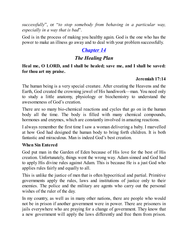*successfully*", or "*to stop somebody from behaving in a particular way, especially in a way that is bad*".

God is in the process of making you healthy again. God is the one who has the power to make an illness go away and to deal with your problem successfully.

# *[Chapter](#page-2-0) 14*

# *The Healing Plan*

**Heal me, O LORD, and I shall be healed; save me, and I shall be saved: for thou art my praise.**

## **Jeremiah 17:14**

The human being is a very special creature. After creating the Heavens and the Earth, God created the crowning jewel of His handiwork––man. You need only to study a little anatomy, physiology or biochemistry to understand the awesomeness of God's creation.

There are so many bio-chemical reactions and cycles that go on in the human body all the time. The body is filled with many chemical compounds, hormones and enzymes, which are constantly involved in amazing reactions.

I always remember the first time I saw a woman delivering a baby. I marvelled at how God had designed the human body to bring forth children. It is both fantastic and miraculous. Man is indeed God's best creation.

#### **When Sin Entered**

God put man in the Garden of Eden because of His love for the best of His creation. Unfortunately, things went the wrong way. Adam sinned and God had to apply His divine rules against Adam. This is because He is a just God who applies rules fairly and equally to all.

This is unlike the justice of men that is often hypocritical and partial. Primitive governments apply the rules, laws and institutions of justice only to their enemies. The police and the military are agents who carry out the personal wishes of the ruler of the day.

In my country, as well as in many other nations, there are people who would not be in prison if another government were in power. There are prisoners in jails everywhere who are praying for a change of government. They know that a new government will apply the laws differently and free them from prison.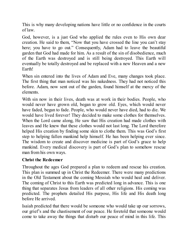This is why many developing nations have little or no confidence in the courts of law.

God, however, is a just God who applied the rules even to His own dear creation. He said to them, "Now that you have crossed the line you can't stay here; you have to go out." Consequently, Adam had to leave the beautiful garden that God had made for him. As a result of the sin of disobedience, much of the Earth was destroyed and is still being destroyed. This Earth will eventually be totally destroyed and be replaced with a new Heaven and a new Earth!

When sin entered into the lives of Adam and Eve, many changes took place. The first thing that man noticed was his nakedness. They had not noticed this before. Adam, now sent out of the garden, found himself at the mercy of the elements.

With sin now in their lives, death was at work in their bodies. People, who would never have grown old, began to grow old. Eyes, which would never have faded, began to fade. People, who would never have died, had to die. We would have lived forever! They decided to make some clothes for themselves. When the Lord came along, He saw that His creation had made clothes with leaves and He knew that these clothes would not last long. The Lord therefore helped His creation by finding some skin to clothe them. This was God's first step to helping fallen mankind help himself. He has been helping ever since. The wisdom to create and discover medicine is part of God's grace to help mankind. Every medical discovery is part of God's plan to somehow rescue man from his own ways.

#### **Christ the Redeemer**

Throughout the ages God prepared a plan to redeem and rescue his creation. This plan is summed up in Christ the Redeemer. There were many predictions in the Old Testament about the coming Messiah who would heal and deliver. The coming of Christ to this Earth was predicted long in advance. This is one thing that separates Jesus from leaders of all other religions. His coming was predicted. The prophets detailed His purpose, His life and His death long before He arrived.

Isaiah predicted that there would be someone who would take up our sorrows, our grief's and the chastisement of our peace. He foretold that someone would come to take away the things that disturb our peace of mind in this life. This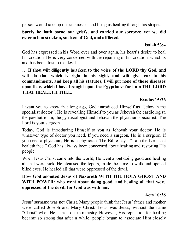person would take up our sicknesses and bring us healing through his stripes.

## **Surely he hath borne our griefs, and carried our sorrows: yet we did esteem him stricken, smitten of God, and afflicted.**

## **Isaiah 53:4**

God has expressed in his Word over and over again, his heart's desire to heal his creation. He is very concerned with the repairing of his creation, which is and has been, lost to the devil.

… **If thou wilt diligently hearken to the voice of the LORD thy God, and wilt do that which is right in his sight, and wilt give ear to his commandments, and keep all his statutes, I will put none of these diseases upon thee, which I have brought upon the Egyptians: for I am THE LORD THAT HEALETH THEE.**

## **Exodus 15:26**

I want you to know that long ago, God introduced Himself as "Jehovah the specialist doctor". He is revealing Himself to you as Jehovah the cardiologist, the paediatrician, the gynaecologist and Jehovah the physician specialist. The Lord is your surgeon.

Today, God is introducing Himself to you as Jehovah your doctor. He is whatever type of doctor you need. If you need a surgeon, He is a surgeon. If you need a physician, He is a physician. The Bible says, "I am the Lord that healeth thee." God has always been concerned about healing and restoring His people.

When Jesus Christ came into the world, He went about doing good and healing all that were sick. He cleansed the lepers, made the lame to walk and opened blind eyes. He healed all that were oppressed of the devil.

## **How God anointed Jesus of Nazareth WITH THE HOLY GHOST AND WITH POWER: who went about doing good, and healing all that were oppressed of the devil; for God was with him.**

## **Acts 10:38**

Jesus'surname was not Christ. Many people think that Jesus' father and mother were called Joseph and Mary Christ. Jesus was Jesus, without the name "Christ" when He started out in ministry. However, His reputation for healing became so strong that after a while, people began to associate Him closely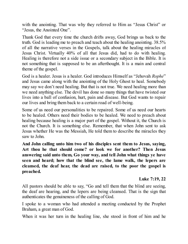with the anointing. That was why they referred to Him as "Jesus Christ" or "Jesus, the Anointed One".

Thank God that every time the church drifts away, God brings us back to the truth. God is leading me to preach and teach about the healing anointing. 38.5% of all the narrative verses in the Gospels, talk about the healing miracles of Jesus Christ. Virtually 40% of all that Jesus did, had to do with healing. Healing is therefore not a side issue or a secondary subject in the Bible. It is not something that is supposed to be an afterthought. It is a main and central theme of the gospel.

God is a healer. Jesus is a healer. God introduces Himself as "Jehovah *Rophe*" and Jesus came along with the anointing of the Holy Ghost to heal. Somebody may say we don't need healing. But that is not true. We need healing more than we need anything else. The devil has done so many things that have twisted our lives into a ball of confusion, hurt, pain and disease. But God wants to repair our lives and bring them back to a certain road of well-being.

Some of us need our personalities to be repaired. Some of us need our hearts to be healed. Others need their bodies to be healed. We need to preach about healing because healing is a major part of the gospel. Without it, the Church is not the Church. It is something else. Remember, that when John sent to ask Jesus whether He was the Messiah, He told them to describe the miracles they saw to John.

**And John calling unto him two of his disciples sent them to Jesus, saying, Art thou he that should come? or look we for another? Then Jesus answering said unto them, Go your way, and tell John what things ye have seen and heard; how that the blind see, the lame walk, the lepers are cleansed, the deaf hear, the dead are raised, to the poor the gospel is preached.**

#### **Luke 7:19, 22**

All pastors should be able to say, "Go and tell them that the blind are seeing, the deaf are hearing, and the lepers are being cleansed. That is the sign that authenticates the genuineness of the calling of God.

I spoke to a woman who had attended a meeting conducted by the Prophet Braham, a great man of God.

When it was her turn in the healing line, she stood in front of him and he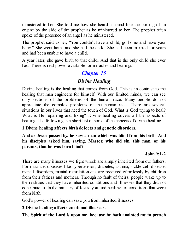ministered to her. She told me how she heard a sound like the purring of an engine by the side of the prophet as he ministered to her. The prophet often spoke of the presence of an angel as he ministered.

The prophet said to her, "You couldn't have a child, go home and have your baby." She went home and she had the child. She had been married for years and had been unable to have a child.

A year later, she gave birth to that child. And that is the only child she ever had. There is real power available for miracles and healings!

# *[Chapter](#page-2-0) 15*

# *Divine Healing*

Divine healing is the healing that comes from God. This is in contrast to the healing that man engineers for himself. With our limited minds, we can see only sections of the problems of the human race. Many people do not appreciate the complex problems of the human race. There are several situations in our lives that need the touch of God. What is God trying to heal? What is He repairing and fixing? Divine healing covers all the aspects of healing. The following is a short list of some of the aspects of divine healing.

## **1.Divine healing affects birth defects and genetic disorders.**

**And as Jesus passed by, he saw a man which was blind from his birth. And his disciples asked him, saying, Master, who did sin, this man, or his parents, that he was born blind?**

## **John 9:1-2**

There are many illnesses we fight which are simply inherited from our fathers. For instance, diseases like hypertension, diabetes, asthma, sickle cell disease, mental disorders, mental retardation etc. are received effortlessly by children from their fathers and mothers. Through no fault of theirs, people wake up to the realities that they have inherited conditions and illnesses that they did not contribute to. In the ministry of Jesus, you find healings of conditions that were from birth.

God's power of healing can save you from inherited illnesses.

#### **2.Divine healing affects emotional illnesses.**

**The Spirit of the Lord is upon me, because he hath anointed me to preach**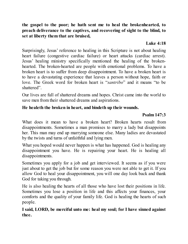**the gospel to the poor; he hath sent me to heal the brokenhearted, to preach deliverance to the captives, and recovering of sight to the blind, to set at liberty them that are bruised,**

#### **Luke 4:18**

Surprisingly, Jesus' reference to healing in this Scripture is not about healing heart failure (congestive cardiac failure) or heart attacks (cardiac arrest). Jesus' healing ministry specifically mentioned the healing of the brokenhearted. The broken-hearted are people with emotional problems. To have a broken heart is to suffer from deep disappointment. To have a broken heart is to have a devastating experience that leaves a person without hope, faith or love. The Greek word for broken heart is "*santribo*" and it means "to be shattered".

Our lives are full of shattered dreams and hopes. Christ came into the world to save men from their shattered dreams and aspirations.

## **He healeth the broken in heart, and bindeth up their wounds.**

## **Psalm 147:3**

What does it mean to have a broken heart? Broken hearts result from disappointments. Sometimes a man promises to marry a lady but disappoints her. This man may end up marrying someone else. Many ladies are devastated by the twists and turns of unfaithful and lying men.

What you hoped would never happen is what has happened. God is healing any disappointment you have. He is repairing your heart. He is healing all disappointments.

Sometimes you apply for a job and get interviewed. It seems as if you were just about to get the job but for some reason you were not able to get it. If you allow God to heal your disappointment, you will one day look back and thank God for taking you through.

He is also healing the hearts of all those who have lost their positions in life. Sometimes you lose a position in life and this affects your finances, your comforts and the quality of your family life. God is healing the hearts of such people.

**I said, LORD, be merciful unto me: heal my soul; for I have sinned against thee.**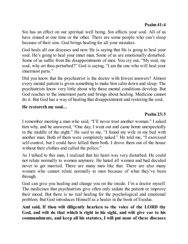Sin has an effect on our spiritual well being. Sin affects your soul. All of us have sinned at one time or the other. There are some people who can't sleep because of their sins. God brings healing for all your mistakes.

God heals all our diseases and now He is saying that He is going to heal your soul. He's going to heal your inner man. Some of us are emotionally disturbed. Some of us suffer from the disappointments of men. You cry out, "My soul, my soul, why art thou perturbed?" God is saying, "I am the one who will heal your innermost parts."

Did you know that the psychiatrist is the doctor with fewest answers? Almost every mental patient is given something to make him calm down and sleep. The psychiatrists know very little about why these mental conditions develop. But God reaches to the innermost parts and brings about healing. Medicine cannot do it. But God has a way of healing that disappointment and restoring the soul.

#### **He restoreth my soul…**

## **Psalm 23:3**

I remember meeting a man who said, "I'll never trust another woman." I asked him why, and he answered, "One day, I went out and came home unexpectedly in the middle of the night." He said to me, "I found my wife in my bed with another man. Both of them were completely naked." He told me, "I exercised self-control, but I could have killed them both. I drove them out of the house without their clothes and called the police."

As I talked to this man, I realized that his heart was very disturbed. He could not relate normally to women anymore. He hated all women and had decided never to get married. There are many men like that. There are also many women who cannot relate normally to men because of what they've been through.

God can give you healing and change you on the inside. I'm a doctor myself. The medicines that psychiatrists give often only sedate the patient or improve their mood. But there is no real healing for the psychological and emotional problem. But God introduces Himself as a healer in the book of Exodus.

**And said, If thou wilt diligently hearken to the voice of the LORD thy God, and wilt do that which is right in his sight, and wilt give ear to his commandments, and keep all his statutes, I will put none of these diseases**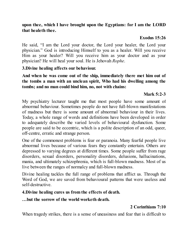### **upon thee, which I have brought upon the Egyptians: for I am the LORD that healeth thee.**

## **Exodus 15:26**

He said, "I am the Lord your doctor, the Lord your healer, the Lord your physician." God is introducing Himself to you as a healer. Will you receive Him as your healer? Will you receive him as your doctor and as your physician? He will heal your soul. He is Jehovah *Rophe*.

## **3.Divine healing affects our behaviour.**

**And when he was come out of the ship, immediately there met him out of the tombs a man with an unclean spirit, Who had his dwelling among the tombs; and no man could bind him, no, not with chains:**

## **Mark 5:2-3**

My psychiatry lecturer taught me that most people have some amount of abnormal behaviour. Sometimes people do not have full-blown manifestations of madness but there is some amount of abnormal behaviour in their lives. Today, a whole range of words and definitions have been developed in order to adequately describe the varied levels of behavioural dysfunction. Some people are said to be eccentric, which is a polite description of an odd, queer, off-centre, erratic and strange person.

One of the commonest problems is fear or paranoia. Many fearful people live abnormal lives because of various fears they constantly entertain. Others are depressed to varying degrees at different times. Some people suffer from rage disorders, sexual disorders, personality disorders, delusions, hallucinations, mania, and ultimately schizophrenia, which is full-blown madness. Most of us live between the ranges of normalcy and full-blown madness.

Divine healing tackles the full range of problems that afflict us. Through the Word of God, we are saved from behavioural patterns that were useless and self-destructive.

## **4.Divine healing cures us from the effects of death.**

## **…but the sorrow of the world worketh death.**

# **2 Corinthians 7:10**

When tragedy strikes, there is a sense of uneasiness and fear that is difficult to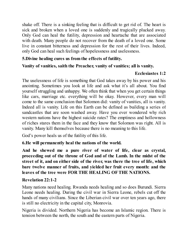shake off. There is a sinking feeling that is difficult to get rid of. The heart is sick and broken when a loved one is suddenly and tragically plucked away. Only God can heal the futility, depression and heartache that are associated with death. Many people do not recover from the death of a loved one. Some live in constant bitterness and depression for the rest of their lives. Indeed, only God can heal such feelings of hopelessness and uselessness.

## **5.Divine healing cures us from the effects of futility.**

## **Vanity of vanities, saith the Preacher, vanity of vanities; all is vanity.**

## **Ecclesiastes 1:2**

The uselessness of life is something that God takes away by his power and his anointing. Sometimes you look at life and ask what it's all about. You find yourself struggling and unhappy. We often think that when you get certain things like cars, marriage etc. everything will be okay. However, every man will come to the same conclusion that Solomon did: vanity of vanities, all is vanity. Indeed all is vanity. Life on this Earth can be defined as building a series of sandcastles that are soon washed away. Have you ever wondered why rich western nations have the highest suicide rates? The emptiness and hollowness of riches stares them in the face and they know that Solomon was right. All is vanity. Many kill themselves because there is no meaning to this life.

God's power heals us of the futility of this life.

**6.He will permanently heal the nations of the world.**

**And he shewed me a pure river of water of life, clear as crystal, proceeding out of the throne of God and of the Lamb. In the midst of the street of it, and on either side of the river, was there the tree of life, which bare twelve manner of fruits, and yielded her fruit every month: and the leaves of the tree were FOR THE HEALING OFTHE NATIONS.**

## **Revelation 22:1-2**

Many nations need healing. Rwanda needs healing and so does Burundi. Sierra Leone needs healing. During the civil war in Sierra Leone, rebels cut off the hands of many civilians. Since the Liberian civil war over ten years ago, there is still no electricity in the capital city, Monrovia.

Nigeria is divided. Northern Nigeria has become an Islamic region. There is tension between the north, the south and the eastern parts of Nigeria.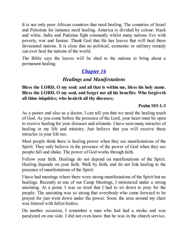It is not only poor African countries that need healing. The countries of Israel and Palestine for instance need healing. America is divided by colour: black and white. India and Pakistan fight constantly whilst many nations live with poverty, war and famine. Thank God that He has leaves that will heal these devastated nations. It is clear that no political, economic or military remedy can ever heal the nations of the world.

The Bible says the leaves will be shed to the nations to bring about a permanent healing.

# *[Chapter](#page-2-0) 16*

# *Healings and Manifestations*

**Bless the LORD, O my soul: and all that is within me, bless his holy name. Bless the LORD, O my soul, and forget not all his benefits: Who forgiveth all thine iniquities; who healeth all thy diseases;**

## **Psalm 103:1-3**

As a pastor and also as a doctor, I can tell you that we need the healing touch of God. As you come before the presence of the Lord, your heart must be open to receive healing for your diseases and ailments. I have seen many miracles of healing in my life and ministry. Just believe that you will receive these miracles in your life too.

Most people think there is healing power when they see manifestations of the Spirit. They only believe in the presence of the power of God when they see people fall and shake. The power of God works through faith.

Follow your faith. Healings do not depend on manifestations of the Spirit. Healing depends on your faith. Walk by faith, and do not link healing to the presence of manifestations of the Spirit.

I have had meetings where there were strong manifestations of the Spirit but no healings. Recently at one of our Camp Meetings, I ministered under a strong anointing. At a point, I was so tired that I had to sit down to pray for the people. The anointing was so strong that everybody who came forward to be prayed for just went down under the power. Soon, the area around my chair was littered with fallen bodies.

On another occasion, I remember a man who had had a stroke and was paralyzed on one side. I did not even know that he was in the church service.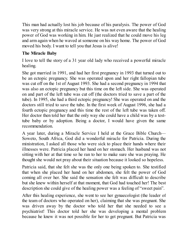This man had actually lost his job because of his paralysis. The power of God was very strong at this miracle service. He was not even aware that the healing power of God was working in him. He just realized that he could move his leg and arm again when he waved at someone on his way home. The power of God moved his body. I want to tell you that Jesus is alive!

## **The Miracle Baby**

I love to tell the story of a 31 year old lady who received a powerful miracle healing.

She got married in 1991, and had her first pregnancy in 1993 that turned out to be an ectopic pregnancy. She was operated upon and her right fallopian tube was cut off on the 1st of August 1993. She had a second pregnancy in 1994 that was also an ectopic pregnancy but this time on the left side. She was operated on and part of the left tube was cut off (the doctors tried to save a part of the tube). In 1995, she had a third ectopic pregnancy! She was operated on and the doctors still tried to save the tube. In the first week of August 1996, she had a fourth ectopic pregnancy and this time the rest of the left tube was taken off. Her doctor then told her that the only way she could have a child was by a testtube baby or by adoption. Being a doctor, I would have given the same recommendation.

A year later, during a Miracle Service I held at the Grace Bible Church— Soweto, South Africa, God did a wonderful miracle for Patricia. During the ministration, I asked all those who were sick to place their hands where their illnesses were. Patricia placed her hand on her stomach. Her husband was not sitting with her at that time so he ran to her to make sure she was praying. He thought she would not pray about their situation because it looked so hopeless.

Patricia said, that she felt she was the only one being spoken to. She testified that when she placed her hand on her abdomen, she felt the power of God coming all over her. She said the sensation she felt was difficult to describe but she knew within herself at that moment, that God had touched her! The best description she could give of the healing power was a feeling of "sweet pain".

After this healing experience, she went to see her gynaecologist (the leader of the team of doctors who operated on her), claiming that she was pregnant. She was driven away by the doctor who told her that she needed to see a psychiatrist! This doctor told her she was developing a mental problem because he knew it was not possible for her to get pregnant. But Patricia was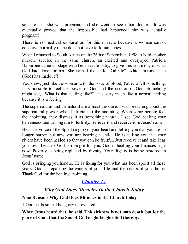so sure that she was pregnant, and she went to see other doctors. It was eventually proved that the impossible had happened: she was actually pregnant!

There is no medical explanation for this miracle because a woman cannot conceive normally if she does not have fallopian tubes.

When I returned to South Africa on the 26th of September, 1998 to hold another miracle service in the same church, an excited and overjoyed Patricia Haborone came up stage with her miracle baby, to give this testimony of what God had done for her. She named the child "Odirile", which means—"He (God) has made it"!

You know, just like the woman with the issue of blood, Patricia felt something. It is possible to feel the power of God and the unction of God. Somebody might ask, "What is that feeling like?" It is very much like a normal feeling because it is a feeling.

The supernatural and the natural are almost the same. I was preaching about the supernatural power when Patricia felt the anointing. When some people feel the anointing, they dismiss it as something natural. I see God healing your barrenness and turning it into fertility. Believe it and receive it in Jesus' name.

Hear the voice of the Spirit ringing in your heart and telling you that you are no longer barren but now you are bearing a child. He is telling you that your rivers have been healed so that you can be fruitful. Just receive it and take it as your own because God is doing it for you. God is healing your finances right now. Poverty is being replaced by dignity. Your dignity is being restored in Jesus' name.

God is bringing you honour. He is fixing for you what has been spoilt all these years. God is repairing the waters of your life and the rivers of your home. Thank God for the healing anointing.

# *[Chapter](#page-2-0) 17*

# *Why God Does Miracles In the Church Today*

## **Nine Reasons Why God Does Miracles in the Church Today**

1.God heals so that his glory is revealed.

**When Jesus heard that, he said, This sickness is not unto death, but for the glory of God, that the Son of God might be glorified thereby.**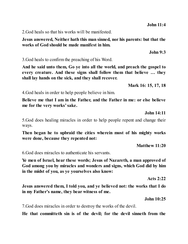2.God heals so that his works will be manifested.

#### **Jesus answered, Neither hath this man sinned, nor his parents: but that the works of God should be made manifest in him.**

3.God heals to confirm the preaching of his Word.

**And he said unto them, Go ye into all the world, and preach the gospel to every creature. And these signs shall follow them that believe … they shall lay hands on the sick, and they shall recover.**

**Mark 16: 15, 17, 18**

4.God heals in order to help people believe in him.

**Believe me that I am in the Father, and the Father in me: or else believe me for the very works'sake.**

**John 14:11**

5.God does healing miracles in order to help people repent and change their ways.

**Then began he to upbraid the cities wherein most of his mighty works were done, because they repented not:**

**Matthew 11:20**

6.God does miracles to authenticate his servants.

**Ye men of Israel, hear these words; Jesus of Nazareth, a man approved of God among you by miracles and wonders and signs, which God did by him in the midst of you, as ye yourselves also know:**

**Acts 2:22**

**Jesus answered them, I told you, and ye believed not: the works that I do in my Father's name, they bear witness of me.**

**John 10:25**

7.God does miracles in order to destroy the works of the devil.

**He that committeth sin is of the devil; for the devil sinneth from the**

**John 9:3**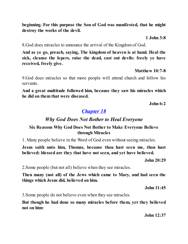**beginning. For this purpose the Son of God was manifested, that he might destroy the works of the devil.**

**1 John 3:8**

8.God does miracles to announce the arrival of the Kingdom of God.

**And as ye go, preach, saying, The kingdom of heaven is at hand. Heal the sick, cleanse the lepers, raise the dead, cast out devils: freely ye have received, freely give.**

**Matthew 10:7-8**

9.God does miracles so that more people will attend church and follow his servants.

**And a great multitude followed him, because they saw his miracles which he did on them that were diseased.**

**John 6:2**

## *[Chapter](#page-2-0) 18*

## *Why God Does Not Bother to Heal Everyone*

#### **Six Reasons Why God Does Not Bother to Make Everyone Believe through Miracles**

1. Many people believe in the Word of God even without seeing miracles.

**Jesus saith unto him, Thomas, because thou hast seen me, thou hast believed: blessed are they that have not seen, and yet have believed.**

**John 20:29**

2.Some people (but not all) believe when they see miracles.

**Then many (not all) of the Jews which came to Mary, and had seen the things which Jesus did, believed on him.**

**John 11:45**

3.Some people do not believe even when they see miracles.

**But though he had done so many miracles before them, yet they believed not on him:**

**John 12:37**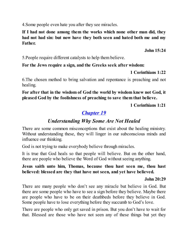4.Some people even hate you after they see miracles.

**If I had not done among them the works which none other man did, they had not had sin: but now have they both seen and hated both me and my Father.**

**John 15:24**

5.People require different catalysts to help them believe.

## **For the Jews require a sign, and the Greeks seek after wisdom:**

**1 Corinthians 1:22**

6.The chosen method to bring salvation and repentance is preaching and not healing.

**For after that in the wisdom of God the world by wisdom knew not God, it pleased God by the foolishness of preaching to save them that believe.**

**1 Corinthians 1:21**

# *[Chapter](#page-2-0) 19*

# *Understanding Why Some Are Not Healed*

There are some common misconceptions that exist about the healing ministry. Without understanding these, they will linger in our subconscious minds and influence our thinking.

God is not trying to make everybody believe through miracles.

It is true that God heals so that people will believe. But on the other hand, there are people who believe the Word of God without seeing anything.

## **Jesus saith unto him, Thomas, because thou hast seen me, thou hast believed: blessed are they that have not seen, and yet have believed.**

## **John 20:29**

There are many people who don't see any miracle but believe in God. But there are some people who have to see a sign before they believe. Maybe there are people who have to be on their deathbeds before they believe in God. Some people have to lose everything before they succumb to God's love.

There are people who only get saved in prison. But you don't have to wait for that. Blessed are those who have not seen any of these things but yet they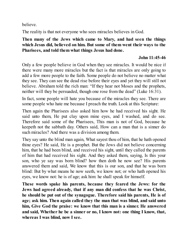believe.

The reality is that not everyone who sees miracles believes in God.

## **Then many of the Jews which came to Mary, and had seen the things which Jesus did, believed on him. But some of them went their ways to the Pharisees, and told them what things Jesus had done.**

#### **John 11:45-46**

Only a few people believe in God when they see miracles. It would be nice if there were many more miracles but the fact is that miracles are only going to add a few more people to the faith. Some people do not believe no matter what they see. They can see the dead rise before their eyes and yet they will still not believe. Abraham told the rich man: "If they hear not Moses and the prophets, neither will they be persuaded, though one rose from the dead" (Luke 16:31).

In fact, some people will hate you because of the miracles they see. There are some people who hate me because I preach the truth. Look at this Scripture:

Then again the Pharisees also asked him how he had received his sight. He said unto them, He put clay upon mine eyes, and I washed, and do see. Therefore said some of the Pharisees, This man is not of God, because he keepeth not the sabbath day. Others said, How can a man that is a sinner do such miracles? And there was a division among them.

They say unto the blind man again, What sayest thou of him, that he hath opened thine eyes? He said, He is a prophet. But the Jews did not believe concerning him, that he had been blind, and received his sight, until they called the parents of him that had received his sight. And they asked them, saying, Is this your son, who ye say was born blind? how then doth he now see? His parents answered them and said, We know that this is our son, and that he was born blind: But by what means he now seeth, we know not; or who hath opened his eyes, we know not: he is of age; ask him: he shall speak for himself.

**These words spake his parents, because they feared the Jews: for the Jews had agreed already, that if any man did confess that he was Christ, he should be put out of the synagogue. Therefore said his parents, He is of age; ask him. Then again called they the man that was blind, and said unto him, Give God the praise: we know that this man is a sinner. He answered and said, Whether he be a sinner or no, I know not: one thing I know, that, whereas I was blind, now I see.**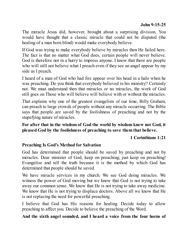The miracle Jesus did, however, brought about a surprising division. You would have thought that a classic miracle that could not be disputed (the healing of a man born blind) would make everybody believe.

If God was trying to make everybody believe by miracles then He failed here. The fact is that no matter what God does, certain people will never believe. God is therefore not in a hurry to impress anyone. I know that there are people who will still not believe what I preach even if they see an angel appear by my side as I preach.

I heard of a man of God who had fire appear over his head in a halo when he was preaching. Do you think that everybody believed in his ministry? Certainly not. We must understand then that miracles or no miracles, the work of God still goes on Those who will believe will believe with or without the miracles.

That explains why one of the greatest evangelists of our time, Billy Graham, can preach to large crowds of people without any miracle occurring. The Bible says that people are saved by the foolishness of preaching and not by the stupefying nature of miracles.

#### **For after that in the wisdom of God the world by wisdom knew not God, it pleased God by the foolishness of preaching to save them that believe.**

#### **1 Corinthians 1:21**

## **Preaching Is God's Method for Salvation**

God has determined that people should be saved by preaching and not by miracles. Dear minister of God, keep on preaching; just keep on preaching! Evangelise and tell the truth because it is the method by which God has determined that people should be saved.

We have miracle services in my church. We see God doing miracles. We witness the power of God moving but we know that God is not trying to take away our common sense. We know that He is not trying to take away medicine. We know that He is not trying to displace doctors. Above all we know that He is not replacing the need for powerful preaching.

I believe that God has His reasons for healing. Decide today to allow preaching to affect you. Decide to believe the preaching of the Word.

#### **And the sixth angel sounded, and I heard a voice from the four horns of**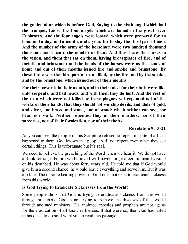**the golden altar which is before God, Saying to the sixth angel which had the trumpet, Loose the four angels which are bound in the great river Euphrates. And the four angels were loosed, which were prepared for an hour, and a day, and a month, and a year, for to slay the third part of men. And the number of the army of the horsemen were two hundred thousand thousand: and I heard the number of them. And thus I saw the horses in the vision, and them that sat on them, having breastplates of fire, and of jacinth, and brimstone: and the heads of the horses were as the heads of lions; and out of their mouths issued fire and smoke and brimstone. By these three was the third part of men killed, by the fire, and by the smoke, and by the brimstone, which issued out of their mouths.**

**For their power is in their mouth, and in their tails: for their tails were like unto serpents, and had heads, and with them they do hurt. And the rest of the men which were not killed by these plagues yet repented not of the works of their hands, that they should not worship devils, and idols of gold, and silver, and brass, and stone, and of wood: which neither can see, nor hear, nor walk: Neither repented they of their murders, nor of their sorceries, nor of their fornication, nor of their thefts.**

## **Revelation 9:13-21**

As you can see, the people in this Scripture refused to repent in spite of all that happened to them. God knows that people will not repent even when they see certain things. This is unfortunate but it's real.

We need to believe the preaching of the Word when we hear it. We do not have to look for signs before we believe.I will never forget a certain man I visited on his deathbed. He was about forty years old. He told me that if God would give him a second chance, he would leave everything and serve him. But it was too late. The miracle healing power of God does not exist to eradicate sickness from this world.

## **Is God Trying to Eradicate Sicknesses from the World?**

Some people think that God is trying to eradicate sickness from the world through preachers. God is not trying to remove the diseases of this world through anointed ministers. His anointed apostles and prophets are not agents for the eradication of all known illnesses. If that were so, then God has failed in his quest to do so. I want you to read this passage: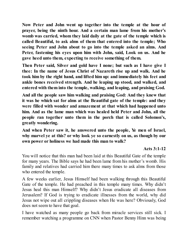**Now Peter and John went up together into the temple at the hour of prayer, being the ninth hour. And a certain man lame from his mother's womb was carried, whom they laid daily at the gate of the temple which is called Beautiful, to ask alms of them that entered into the temple; Who seeing Peter and John about to go into the temple asked an alms. And Peter, fastening his eyes upon him with John, said, Look on us. And he gave heed unto them, expecting to receive something of them.**

**Then Peter said, Silver and gold have I none; but such as I have give I thee: In the name of Jesus Christ of Nazareth rise up and walk. And he took him by the right hand, and lifted him up: and immediately his feet and ankle bones received strength. And he leaping up stood, and walked, and entered with them into the temple, walking, and leaping, and praising God.**

**And all the people saw him walking and praising God: And they knew that it was he which sat for alms at the Beautiful gate of the temple: and they were filled with wonder and amazement at that which had happened unto him. And as the lame man which was healed held Peter and John, all the people ran together unto them in the porch that is called Solomon's, greatly wondering.**

**And when Peter saw it, he answered unto the people, Ye men of Israel, why marvel ye at this? or why look ye so earnestly on us, as though by our own power or holiness we had made this man to walk?**

## **Acts 3:1-12**

You will notice that this man had been laid at this Beautiful Gate of the temple for many years. The Bible says he had been lame from his mother's womb. His family and relatives had carried him there many times to ask alms from those who entered the temple.

A few weeks earlier, Jesus Himself had been walking through this Beautiful Gate of the temple. He had preached in this temple many times. Why didn't Jesus heal this man Himself? Why didn't Jesus eradicate all diseases from Jerusalem? If God is trying to eradicate illnesses from the world, why did Jesus not wipe out all crippling diseases when He was here? Obviously, God does not seem to have that goal.

I have watched as many people go back from miracle services still sick. I remember watching a programme on CNN when Pastor Benny Hinn was being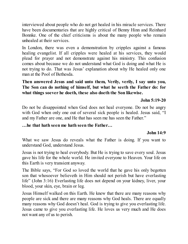interviewed about people who do not get healed in his miracle services. There have been documentaries that are highly critical of Benny Hinn and Reinhard Bonnke. One of the chief criticisms is about the many people who remain unhealed at their services.

In London, there was even a demonstration by cripples against a famous healing evangelist. If all cripples were healed at his services, they would plead for prayer and not demonstrate against his ministry. This confusion comes about because we do not understand what God is doing and what He is not trying to do. That was Jesus' explanation about why He healed only one man at the Pool of Bethesda.

## **Then answered Jesus and said unto them, Verily, verily, I say unto you, The Son can do nothing of himself, but what he seeth the Father do: for what things soever he doeth, these also doeth the Son likewise.**

#### **John 5:19-20**

Do not be disappointed when God does not heal everyone. Do not be angry with God when only one out of several sick people is healed. Jesus said, "I and my Father are one, and He that has seen me has seen the Father."

## **…he that hath seen me hath seen the Father…**

## **John 14:9**

What we saw Jesus do reveals what the Father is doing. If you want to understand God, understand Jesus.

Jesus is not trying to heal everybody. But He is trying to save every soul. Jesus gave his life for the whole world. He invited everyone to Heaven. Your life on this Earth is very transient anyway.

The Bible says, "For God so loved the world that he gave his only begotten son that whosoever believeth in Him should not perish but have everlasting life" (John 3:16) Everlasting life does not depend on your kidney, liver, your blood, your skin, eye, brain or leg.

Jesus Himself walked on this Earth. He knew that there are many reasons why people are sick and there are many reasons why God heals. There are equally many reasons why God doesn't heal. God is trying to give you everlasting life. Jesus came to give you everlasting life. He loves us very much and He does not want any of us to perish.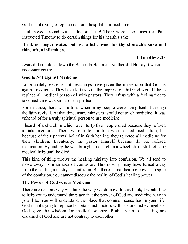God is not trying to replace doctors, hospitals, or medicine.

Paul moved around with a doctor: Luke! There were also times that Paul instructed Timothy to do certain things for his health's sake.

#### **Drink no longer water, but use a little wine for thy stomach's sake and thine often infirmities.**

## **1 Timothy 5:23**

Jesus did not close down the Bethesda Hospital. Neither did He say it wasn't a necessary centre.

#### **God Is Not against Medicine**

Unfortunately, extreme faith teachings have given the impression that God is against medicine. They have left us with the impression that God would like to replace all medical personnel with pastors. They left us with a feeling that to take medicine was sinful or unspiritual

For instance, there was a time when many people were being healed through the faith revival. At that time, many ministers would not touch medicine. It was unheard of for a truly spiritual person to use medicine.

I heard of a church in which over forty-five people died because they refused to take medicine. There were little children who needed medication, but because of their parents' belief in faith healing, they rejected all medicine for their children. Eventually, the pastor himself became ill but refused medication. By and by, he was brought to church in a wheel chair, still refusing medical help until he died.

This kind of thing throws the healing ministry into confusion. We all tend to move away from an area of confusion. This is why many have turned away from the healing ministry–– confusion. But there is real healing power. In spite of the confusion, you cannot discount the reality of God's healing power.

## **The Power of God versus Medicine**

There are reasons why we think the way we do now. In this book, I would like to help you to understand the place that the power of God and medicine have in your life. You will understand the place that common sense has in your life. God is not trying to replace hospitals and doctors with pastors and evangelists. God gave the wisdom for medical science. Both streams of healing are ordained of God and are not contrary to each other.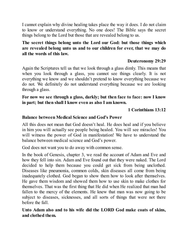I cannot explain why divine healing takes place the way it does. I do not claim to know or understand everything. No one does! The Bible says the secret things belong to the Lord but those that are revealed belong to us.

## **The secret things belong unto the Lord our God: but those things which are revealed belong unto us and to our children for ever, that we may do all the words of this law.**

### **Deuteronomy 29:29**

Again the Scriptures tell us that we look through a glass dimly. This means that when you look through a glass, you cannot see things clearly. It is not everything we know and we shouldn't pretend to know everything because we do not. We definitely do not understand everything because we are looking through a glass.

**For now we see through a glass, darkly; but then face to face: now I know in part; but then shall I know even as also I am known.**

#### **1 Corinthians 13:12**

#### **Balance between Medical Science and God's Power**

All this does not mean that God doesn't heal. He does heal and if you believe in him you will actually see people being healed. You will see miracles! You will witness the power of God in manifestation! We have to understand the balance between medical science and God's power.

God does not want you to do away with common sense.

In the book of Genesis, chapter 3, we read the account of Adam and Eve and how they fell into sin. Adam and Eve found out that they were naked. The Lord decided to help them because you could get sick from being unclothed. Diseases like pneumonia, common colds, skin diseases all come from being inadequately clothed. God began to show them how to look after themselves. He gave them wisdom and showed them how to use skin to make clothes for themselves. That was the first thing that He did when He realized that man had fallen to the mercy of the elements. He knew that man was now going to be subject to diseases, sicknesses, and all sorts of things that were not there before the fall.

**Unto Adam also and to his wife did the LORD God make coats of skins, and clothed them.**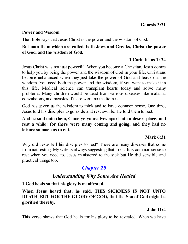#### **Power and Wisdom**

The Bible says that Jesus Christ is the power and the wisdom of God.

#### **But unto them which are called, both Jews and Greeks, Christ the power of God, and the wisdom of God.**

## **1 Corinthians 1: 24**

Jesus Christ was not just powerful. When you become a Christian, Jesus comes to help you by being the power and the wisdom of God in your life. Christians become unbalanced when they just take the power of God and leave out the wisdom. You need both the power and the wisdom, if you want to make it in this life. Medical science can transplant hearts today and solve many problems. Many children would be dead from various diseases like malaria, convulsions, and measles if there were no medicines.

God has given us the wisdom to think and to have common sense. One time, Jesus told his disciples to go aside and rest awhile. He told them to rest.

**And he said unto them, Come ye yourselves apart into a desert place, and rest a while: for there were many coming and going, and they had no leisure so much as to eat.**

#### **Mark 6:31**

Why did Jesus tell his disciples to rest? There are many diseases that come from not resting. My wife is always suggesting that I rest. It is common sense to rest when you need to. Jesus ministered to the sick but He did sensible and practical things too.

# *[Chapter](#page-2-0) 20*

# *Understanding Why Some Are Healed*

**1.God heals so that his glory is manifested.**

**When Jesus heard that, he said, THIS SICKNESS IS NOT UNTO DEATH, BUT FOR THE GLORYOF GOD, that the Son of God might be glorified thereby.**

## **John 11:4**

This verse shows that God heals for his glory to be revealed. When we have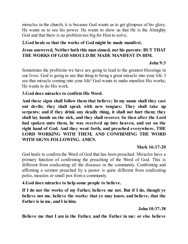miracles in the church, it is because God wants us to get glimpses of his glory. He wants us to see his power. He wants to show us that He is the Almighty God and that there is no problem too big for Him to solve.

### **2.God heals so that the works of God might be made manifest.**

## **Jesus answered, Neither hath this man sinned, nor his parents: BUT THAT THE WORKS OFGOD SHOULD BE MADE MANIFEST IN HIM.**

#### **John 9:3**

Sometimes the problems we have are going to lead to the greatest blessings in our lives. God is going to use that thing to bring a great miracle into your life. I see that miracle coming into your life! God wants to make manifest His works; He wants to do His work.

#### **3.God does miracles to confirm His Word.**

**And these signs shall follow them that believe; In my name shall they cast out devils; they shall speak with new tongues; They shall take up serpents; and if they drink any deadly thing, it shall not hurt them; they shall lay hands on the sick, and they shall recover. So then after the Lord had spoken unto them, he was received up into heaven, and sat on the right hand of God. And they went forth, and preached everywhere, THE LORD WORKING WITH THEM, AND CONFIRMING THE WORD WITH SIGNS FOLLOWING. AMEN.**

## **Mark 16:17-20**

God heals to confirm the Word of God that has been preached. Miracles have a primary function of confirming the preaching of the Word of God. This is different from eradicating all the diseases in the community. Confirming and affirming a sermon preached by a pastor is quite different from eradicating polio, measles or small pox from a community.

**4.God does miracles to help some people to believe.**

**If I do not the works of my Father, believe me not. But if I do, though ye believe not me, believe the works: that ye may know, and believe, that the Father is in me, and I in him.**

**John 10:37-38**

**Believe me that I am in the Father, and the Father in me: or else believe**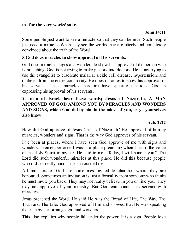**me for the very works'sake.**

## **John 14:11**

Some people just want to see a miracle so that they can believe. Such people just need a miracle. When they see the works they are utterly and completely convinced about the truth of the Word.

## **5.God does miracles to show approval of His servants.**

God does miracles, signs and wonders to show his approval of the person who is preaching. God is not trying to make pastors into doctors. He is not trying to use the evangelist to eradicate malaria, sickle cell disease, hypertension, and diabetes from the entire community. He does miracles to show his approval of his servants. These miracles therefore have specific functions. God is expressing his approval of his servants.

## **Ye men of Israel, hear these words; Jesus of Nazareth, A MAN APPROVED OF GOD AMONG YOU BY MIRACLES AND WONDERS AND SIGNS, which God did by him in the midst of you, as ye yourselves also know:**

## **Acts 2:22**

How did God approve of Jesus Christ of Nazareth? He approved of him by miracles, wonders and signs. That is the way God approves of his servant.

I've been at places, where I have seen God approve of me with signs and wonders. I remember once I was at a place preaching when I heard the voice of the Holy Spirit in my ear. He said to me, "Today, I will honour you." The Lord did such wonderful miracles at this place. He did this because people who did not really honour me surrounded me.

All ministers of God are sometimes invited to churches where they are honoured. Sometimes an invitation is just a formality from someone who thinks he must invite you back. They may not really believe in you or like you. They may not approve of your ministry. But God can honour his servant with miracles.

Jesus preached the Word. He said He was the Bread of Life, The Way, The Truth and The Life. God approved of Him and showed that He was speaking the truth by performing signs and wonders.

This also explains why people fall under the power. It is a sign. People love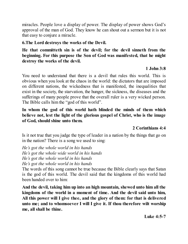miracles. People love a display of power. The display of power shows God's approval of the man of God. They know he can shout out a sermon but it is not that easy to conjure a miracle.

## **6.The Lord destroys the works of the Devil.**

## **He that committeth sin is of the devil; for the devil sinneth from the beginning. For this purpose the Son of God was manifested, that he might destroy the works of the devil.**

## **1 John 3:8**

You need to understand that there is a devil that rules this world. This is obvious when you look at the chaos in the world: the dictators that are imposed on different nations, the wickedness that is manifested, the inequalities that exist in the society, the starvation, the hunger, the sickness, the diseases and the sufferings of many people prove that the overall ruler is a very wicked person. The Bible calls him the "god of this world".

**In whom the god of this world hath blinded the minds of them which believe not, lest the light of the glorious gospel of Christ, who is the image of God, should shine unto them.**

## **2 Corinthians 4:4**

Is it not true that you judge the type of leader in a nation by the things that go on in the nation? There is a song we used to sing:

*He's got the whole world in his hands He's got the whole wide world in his hands He's got the whole world in his hands He's got the whole world in his hands*

The words of this song cannot be true because the Bible clearly says that Satan is the god of this world. The devil said that the kingdoms of this world had been handed over to him:

**And the devil, taking him up into an high mountain, shewed unto him all the kingdoms of the world in a moment of time. And the devil said unto him, All this power will I give thee, and the glory of them: for that is delivered unto me; and to whomsoever I will I give it. If thou therefore wilt worship me, all shall be thine.**

**Luke 4:5-7**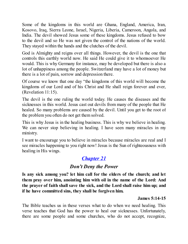Some of the kingdoms in this world are Ghana, England, America, Iran, Kosovo, Iraq, Sierra Leone, Israel, Nigeria, Liberia, Cameroon, Angola, and India. The devil showed Jesus some of these kingdoms. Jesus refused to bow to the devil and so He was not given the control of the nations of the world. They stayed within the hands and the clutches of the devil.

God is Almighty and reigns over all things. However, the devil is the one that controls this earthly world now. He said He could give it to whomsoever He would. This is why Germany for instance, may be developed but there is also a lot of unhappiness among the people. Switzerland may have a lot of money but there is a lot of pain, sorrow and depression there.

Of course we know that one day "the kingdoms of this world will become the kingdoms of our Lord and of his Christ and He shall reign forever and ever, (Revelation 11:15).

The devil is the one ruling the world today. He causes the diseases and the sicknesses in this world. Jesus cast out devils from many of the people that He healed. So many problems are caused by the devil. Until you get to the root of the problem you often do not get them solved.

This is why Jesus is in the healing business. This is why we believe in healing. We can never stop believing in healing. I have seen many miracles in my ministry.

I want to encourage you to believe in miracles because miracles are real and I see miracles happening to you right now! Jesus is the Sun of righteousness with healing in His wings.

# *[Chapter](#page-2-0) 21*

# *Don't Deny the Power*

**Is any sick among you? let him call for the elders of the church; and let them pray over him, anointing him with oil in the name of the Lord: And the prayer of faith shall save the sick, and the Lord shall raise him up; and if he have committed sins, they shall be forgiven him.**

## **James 5:14-15**

The Bible teaches us in these verses what to do when we need healing. This verse teaches that God has the power to heal our sicknesses. Unfortunately, there are some people and some churches, who do not accept, recognize,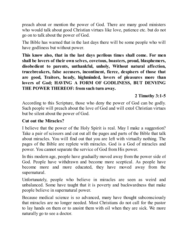preach about or mention the power of God. There are many good ministers who would talk about good Christian virtues like love, patience etc. but do not go on to talk about the power of God.

The Bible has warned that in the last days there will be some people who will have godliness but without power.

**This know also, that in the last days perilous times shall come. For men shall be lovers of their own selves, covetous, boasters, proud, blasphemers, disobedient to parents, unthankful, unholy, Without natural affection, trucebreakers, false accusers, incontinent, fierce, despisers of those that are good, Traitors, heady, highminded, lovers of pleasures more than lovers of God; HAVING A FORM OF GODLINESS, BUT DENYING THE POWER THEREOF: from such turn away.**

## **2 Timothy 3:1-5**

According to this Scripture, those who deny the power of God can be godly. Such people will preach about the love of God and will extol Christian virtues but be silent about the power of God.

#### **Cut out the Miracles?**

I believe that the power of the Holy Spirit is real. May I make a suggestion? Take a pair of scissors and cut out all the pages and parts of the Bible that talk about miracles. You will find out that you are left with virtually nothing. The pages of the Bible are replete with miracles. God is a God of miracles and power. You cannot separate the service of God from His power.

In this modern age, people have gradually moved away from the power side of God. People have withdrawn and become more sceptical. As people have become more and more educated, they have moved away from the supernatural.

Unfortunately, people who believe in miracles are seen as weird and unbalanced. Some have taught that it is poverty and backwardness that make people believe in supernatural power.

Because medical science is so advanced, many have thought subconsciously that miracles are no longer needed. Most Christians do not call for the pastor to lay hands on them or to anoint them with oil when they are sick. We more naturally go to see a doctor.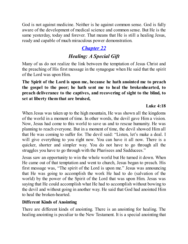God is not against medicine. Neither is he against common sense. God is fully aware of the development of medical science and common sense. But He is the same yesterday, today and forever. That means that He is still a healing Jesus, ready and capable of much miraculous power demonstration.

# *[Chapter](#page-2-0) 22*

# *Healing: A Special Gift*

Many of us do not realize the link between the temptation of Jesus Christ and the preaching of His first message in the synagogue when He said that the spirit of the Lord was upon Him.

**The Spirit of the Lord is upon me, because he hath anointed me to preach the gospel to the poor; he hath sent me to heal the brokenhearted, to preach deliverance to the captives, and recovering of sight to the blind, to set at liberty them that are bruised,**

## **Luke 4:18**

When Jesus was taken up to the high mountain, He was shown all the kingdoms of the world in a moment of time. In other words, the devil gave Him a vision. Now, Jesus had come to this world to save us and to rescue humanity. He was planning to reach everyone. But in a moment of time, the devil showed Him all that He was coming to suffer for. The devil said: "Listen, let's make a deal. I will give everything to you right now. You can have it all now. There is a quicker, shorter and simpler way. You do not have to go through all the struggles you have to go through with the Pharisees and Sadducees."

Jesus saw an opportunity to win the whole world but He turned it down. When He came out of that temptation and went to church, Jesus began to preach. His first message was, "The spirit of the Lord is upon me." Jesus was announcing that He was going to accomplish the work He had to do (salvation of the world) by the power of the Spirit of the Lord that was upon Him. Jesus was saying that He could accomplish what He had to accomplish without bowing to the devil and without going in another way. He said that God had anointed Him to heal the broken-hearted.

## **Different Kinds of Anointing**

There are different kinds of anointing. There is an anointing for healing. The healing anointing is peculiar to the New Testament. It is a special anointing that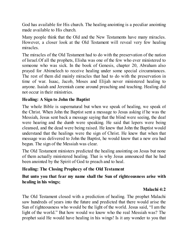God has available for His church. The healing anointing is a peculiar anointing made available to His church.

Many people think that the Old and the New Testaments have many miracles. However, a closer look at the Old Testament will reveal very few healing miracles.

The miracles of the Old Testament had to do with the preservation of the nation of Israel.Of all the prophets, Elisha was one of the few who ever ministered to someone who was sick. In the book of Genesis, chapter 20, Abraham also prayed for Abimelech to receive healing under some special circumstances. The rest of them did mainly miracles that had to do with the preservation in time of war. Isaac, Jacob, Moses and Elijah never ministered healing to anyone. Isaiah and Jeremiah came around preaching and teaching. Healing did not occur in their ministries.

#### **Healing: A Sign to John the Baptist**

The whole Bible is supernatural but when we speak of healing, we speak of the Christ. When John the Baptist sent a message to Jesus asking if he was the Messiah, Jesus sent back a message saying that the blind were seeing, the deaf were hearing and the dumb were speaking. He said that lepers were being cleansed, and the dead were being raised. He knew that John the Baptist would understand that the healings were the sign of Christ. He knew that when that message was delivered to John the Baptist, he would know that a new era had begun. The sign of the Messiah was clear.

The Old Testament ministers predicted the healing anointing on Jesus but none of them actually ministered healing. That is why Jesus announced that he had been anointed by the Spirit of God to preach and to heal.

## **Healing: The Closing Prophecy of the Old Testament**

#### **But unto you that fear my name shall the Sun of righteousness arise with healing in his wings;**

## **Malachi 4:2**

The Old Testament closed with a prediction of healing. The prophet Malachi saw hundreds of years into the future and predicted that there would arise the Sun of righteousness who would be the light of the world. Jesus said, "I am the light of the world." But how would we know who the real Messiah was? The prophet said He would have healing in his wings! Is it any wonder to you that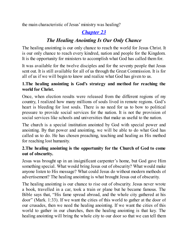the main characteristic of Jesus' ministry was healing?

# *[Chapter](#page-2-0) 23*

# *The Healing Anointing Is Our Only Chance*

The healing anointing is our only chance to reach the world for Jesus Christ. It is our only chance to reach every kindred, nation and people for the Kingdom. It is the opportunity for ministers to accomplish what God has called them for.

It was available for the twelve disciples and for the seventy people that Jesus sent out. It is still available for all of us through the Great Commission. It is for all of us if we will begin to know and realize what God has given to us.

## **1.The healing anointing is God's strategy and method for reaching the world for Christ.**

Once, when election results were released from the different regions of my country, I realized how many millions of souls lived in remote regions. God's heart is bleeding for lost souls. There is no need for us to bow to political pressure to provide social services for the nation. It is not the provision of social services like schools and universities that make us useful to the nation.

The church is a special institution anointed by God with special power and anointing. By that power and anointing, we will be able to do what God has called us to do. He has chosen preaching, teaching and healing as His method for reaching lost humanity.

## **2.The healing anointing is the opportunity for the Church of God to come out of obscurity.**

Jesus was brought up in an insignificant carpenter's home, but God gave Him something special. What would bring Jesus out of obscurity? What would make anyone listen to His message? What could Jesus do without modern methods of advertisement? The healing anointing is what brought Jesus out of obscurity.

The healing anointing is our chance to rise out of obscurity. Jesus never wrote a book, travelled in a car, took a train or plane but he became famous. The Bible says that, "His fame spread abroad, and the whole city gathered at his door" (Mark. 1:33). If we want the cities of this world to gather at the door of our crusades, then we need the healing anointing. If we want the cities of this world to gather in our churches, then the healing anointing is that key. The healing anointing will bring the whole city to our door so that we can tell them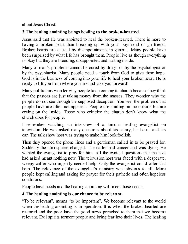about Jesus Christ.

# **3.The healing anointing brings healing to the broken-hearted.**

Jesus said that He was anointed to heal the broken-hearted. There is more to having a broken heart than breaking up with your boyfriend or girlfriend. Broken hearts are caused by disappointments in general. Many people have been surprised by what life has brought them. People live as though everything is okay but they are bleeding, disappointed and hurting inside.

Many of man's problems cannot be cured by drugs, or by the psychologist or by the psychiatrist. Many people need a touch from God to give them hope. God is in the business of coming into your life to heal your broken heart. He is ready to lift you from where you are and take you forward!

Many politicians wonder why people keep coming to church because they think that the pastors are just taking money from the masses. They wonder why the people do not see through the supposed deception. You see, the problems that people have are often not apparent. People are smiling on the outside but are crying on the inside. Those who criticize the church don't know what the church does for people.

I remember watching an interview of a famous healing evangelist on television. He was asked many questions about his salary, his house and his car. The talk show host was trying to make him look foolish.

Then they opened the phone lines and a gentleman called in to be prayed for. Suddenly the atmosphere changed. The caller had cancer and was dying. He wanted the evangelist to pray for him. All the cynical questions that the host had asked meant nothing now. The television host was faced with a desperate, weepy caller who urgently needed help. Only the evangelist could offer that help. The relevance of the evangelist's ministry was obvious to all. More people kept calling and asking for prayer for their pathetic and often hopeless conditions.

People have needs and the healing anointing will meet those needs.

## **4.The healing anointing is our chance to be relevant.**

"To be relevant", means "to be important". We become relevant to the world when the healing anointing is in operation. It is when the broken-hearted are restored and the poor have the good news preached to them that we become relevant. Evil spirits torment people and bring fear into their lives. The healing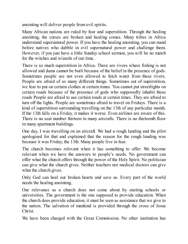anointing will deliver people from evil spirits.

Many African nations are ruled by fear and superstition. Through the healing anointing, the curses are broken and healing comes. Many tribes in Africa understand supernatural power. If you have the healing anointing, you can stand before natives who dabble in evil supernatural power and challenge them. However, if you just have a little Sunday school sermon, you will be no match for the witches and wizards of our time.

There is so much superstition in Africa. There are rivers where fishing is not allowed and dams cannot be built because of the belief in the presence of gods. Sometimes people are not even allowed to fetch water from these rivers. People are afraid of so many different things. Sometimes out of superstition, we fear to put on certain clothes at certain times. You cannot put streetlights on certain roads because of the presence of gods who supposedly inhabit these roads People are afraid to use certain roads at certain times. They are afraid to turn off the lights. People are sometimes afraid to travel on Fridays. There is a kind of superstition surrounding travelling on the 13th of any particular month. If the 13th falls on a Friday, it makes it worse. Even airlines are aware of this. There is no seat number thirteen in many aircrafts. There is no thirteenth floor in many apartment buildings.

One day, I was travelling on an aircraft. We had a rough landing and the pilot apologized for that and explained that the reason for the rough landing was because it was Friday, the 13th. Many people live in fear.

The church becomes relevant when it has something to offer. We become relevant when we have the answers to people's needs. No government can offer what the church offers through the power of the Holy Spirit. No politician can give what the church gives. Neither teachers nor medical doctors can give what the church gives.

Only God can heal our broken hearts and save us. Every part of the world needs the healing anointing.

Our relevance as a church does not come about by starting schools or universities. The government is the one supposed to provide education. When the church does provide education, it must be seen as assistance that we give to the nation. The salvation of mankind is provided through the cross of Jesus Christ.

We have been charged with the Great Commission. No other institution has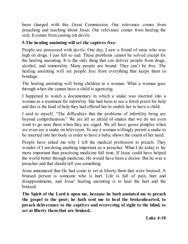been charged with this Great Commission. Our relevance comes from preaching and teaching about Jesus. Our relevance comes from healing the sick. It comes from casting out devils.

## **5.The healing anointing will set the captives free.**

People are possessed with devils. One day, I saw a friend of mine who was high on drugs. I just felt so sad. These problems cannot be solved except for the healing anointing. It is the only thing that can deliver people from drugs, alcohol, and immorality. Many people are bound. They can't be free. The healing anointing will set people free from everything that keeps them in bondage.

The healing anointing will bring children to a woman. What a woman goes through when she cannot have a child is agonizing.

I happened to watch a documentary in which a snake was inserted into a woman as a treatment for infertility. She had been to see a fetish priest for help and this is the kind of help they had offered her to enable her to have a child.

I said to myself, "The difficulties that the problems of infertility bring are beyond comprehension." We are all so afraid of snakes that we do not even want to go near them when they are caged. We all have goose pimples when we even see a snake on television. To see a woman willingly permit a snake to be inserted into her body in order to have a baby, shows the extent of her need.

People have asked me why I left the medical profession to preach. They wonder if I am doing anything important as a preacher. What I do today is far more important than practising medicine full time. If Jesus could have helped the world better through medicine, He would have been a doctor. But he was a preacher and that should tell you something.

Jesus announced that He had come to set at liberty them that were bruised. A bruised person is someone who is hurt. Life is full of pain, hurt and disappointments, and Jesus' healing anointing is to heal the hurt and the bruised.

**The Spirit of the Lord is upon me, because he hath anointed me to preach the gospel to the poor; he hath sent me to heal the brokenhearted, to preach deliverance to the captives and recovering of sight to the blind, to set at liberty them that are bruised,**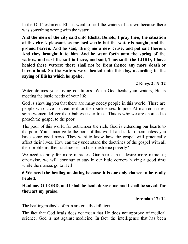In the Old Testament, Elisha went to heal the waters of a town because there was something wrong with the water.

**And the men of the city said unto Elisha, Behold, I pray thee, the situation of this city is pleasant, as my lord seeth: but the water is naught, and the ground barren. And he said, Bring me a new cruse, and put salt therein. And they brought it to him. And he went forth unto the spring of the waters, and cast the salt in there, and said, Thus saith the LORD, I have healed these waters; there shall not be from thence any more death or barren land. So the waters were healed unto this day, according to the saying of Elisha which he spake.**

#### **2 Kings 2:19-22**

Water defines your living conditions. When God heals your waters, He is meeting the basic needs of your life.

God is showing you that there are many needy people in this world. There are people who have no treatment for their sicknesses. In poor African countries, some women deliver their babies under trees. This is why we are anointed to preach the gospel to the poor.

The poor of this world far outnumber the rich. God is extending our hearts to the poor. You cannot go to the poor of this world and talk to them unless you have some good news. They want to know how the gospel will practically affect their lives. How can they understand the doctrines of the gospel with all their problems, their sicknesses and their extreme poverty?

We need to pray for more miracles. Our hearts must desire more miracles; otherwise, we will continue to stay in our little corners having a good time while the masses go to Hell.

#### **6.We need the healing anointing because it is our only chance to be really healed.**

#### **Heal me, O LORD, and I shall be healed; save me and I shall be saved: for thou art my praise.**

#### **Jeremiah 17: 14**

The healing methods of man are greatly deficient.

The fact that God heals does not mean that He does not approve of medical science. God is not against medicine. In fact, the intelligence that has been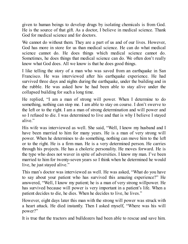given to human beings to develop drugs by isolating chemicals is from God. He is the source of that gift. As a doctor, I believe in medical science. Thank God for medical science and for doctors.

We cannot do without them. They are a part of us and of our lives. However, God has more in store for us than medical science. He can do what medical science cannot do. He does things which medical science cannot do. Sometimes, he does things that medical science can do. We often don't really know what God does. All we know is that he does good things.

I like telling the story of a man who was saved from an earthquake in San Francisco. He was interviewed after his earthquake experience. He had survived three days and nights during the earthquake, under the building and in the rubble. He was asked how he had been able to stay alive under the collapsed building for such a long time.

He replied, "I am a man of strong will power. When I determine to do something, nothing can stop me. I am able to stay on course. I don't swerve to the left or to the right. I am a man of strong determination and will power and so I refused to die. I was determined to live and that is why I believe I stayed alive."

His wife was interviewed as well. She said, "Well, I know my husband and I have been married to him for many years. He is a man of very strong will power. When he determines to do something, nothing can move him to the left or to the right. He is a firm man. He is a very determined person. He carries through his projects. He has a choleric personality. He moves forward. He is the type who does not waver in spite of adversities. I know my man. I've been married to him for twenty-seven years so I think when he determined he would live, he just stayed alive."

This man's doctor was interviewed as well. He was asked, "What do you have to say about your patient who has survived this amazing experience?" He answered, "Well, I know my patient; he is a man of very strong willpower. He has survived because will power is very important in a patient's life. When a patient decides to die, he dies. When he decides to live, he lives."

However, eight days later this man with the strong will power was struck with a heart attack. He died instantly. Then I asked myself, "Where was his will power?"

It is true that the tractors and bulldozers had been able to rescue and save him.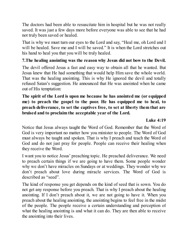The doctors had been able to resuscitate him in hospital but he was not really saved. It was just a few days more before everyone was able to see that he had not truly been saved or healed.

That is why we must turn our eyes to the Lord and say, "Heal me, oh Lord and I will be healed. Save me and I will be saved." It is when the Lord stretches out his hand to heal you that you will be truly healed.

## **7.The healing anointing was the reason why Jesus did not bow to the Devil.**

The devil offered Jesus a fast and easy way to obtain all that he wanted. But Jesus knew that He had something that would help Him save the whole world. That was the healing anointing. This is why He ignored the devil and totally refused Satan's suggestion. He announced that He was anointed when he came out of His temptation:

## **The spirit of the Lord is upon me because he has anointed me (or equipped me) to preach the gospel to the poor. He has equipped me to heal, to preach deliverance, to set the captives free, to set at liberty them that are bruised and to proclaim the acceptable year of the Lord.**

### **Luke 4:19**

Notice that Jesus always taught the Word of God. Remember that the Word of God is very important no matter how you minister to people. The Word of God must always be taught and spoken. That is why I preach and teach the Word of God and do not just pray for people. People can receive their healing when they receive the Word.

I want you to notice Jesus' preaching topic. He preached deliverance. We need to preach certain things if we are going to have them. Some people wonder why we don't have miracles on Sundays or at weddings. They wonder why we don't preach about love during miracle services. The Word of God is described as "seed".

The kind of response you get depends on the kind of seed that is sown. You do not get any response before you preach. That is why I preach about the healing anointing. If I don't preach about it, we are not going to have it. When you preach about the healing anointing, the anointing begins to feel free in the midst of the people. The people receive a certain understanding and perception of what the healing anointing is and what it can do. They are then able to receive the anointing into their lives.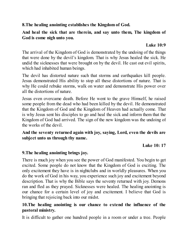**8.The healing anointing establishes the Kingdom of God.**

## **And heal the sick that are therein, and say unto them, The kingdom of God is come nigh unto you.**

## **Luke 10:9**

The arrival of the Kingdom of God is demonstrated by the undoing of the things that were done by the devil's kingdom. That is why Jesus healed the sick. He undid the sicknesses that were brought on by the devil. He cast out evil spirits, which had inhabited human beings.

The devil has distorted nature such that storms and earthquakes kill people. Jesus demonstrated His ability to stop all these distortions of nature. That is why He could rebuke storms, walk on water and demonstrate His power over all the distortions of nature.

Jesus even overcame death. Before He went to the grave Himself, he raised some people from the dead who had been killed by the devil. He demonstrated that the Kingdom of God and the Kingdom of Heaven had actually come. That is why Jesus sent his disciples to go and heal the sick and inform them that the Kingdom of God had arrived. The sign of the new kingdom was the undoing of the works of the devil.

## **And the seventy returned again with joy, saying, Lord, even the devils are subject unto us through thy name.**

**Luke 10: 17**

## **9.The healing anointing brings joy.**

There is much joy when you see the power of God manifested. You begin to get excited. Some people do not know that the Kingdom of God is exciting. The only excitement they have is in nightclubs and in worldly pleasures. When you do the work of God in his way, you experience such joy and excitement beyond description. That is why the Bible says the seventy returned with joy. Demons ran and fled as they prayed. Sicknesses were healed. The healing anointing is our chance for a certain level of joy and excitement. I believe that God is bringing that rejoicing back into our midst.

## **10.The healing anointing is our chance to extend the influence of the pastoral ministry.**

It is difficult to gather one hundred people in a room or under a tree. People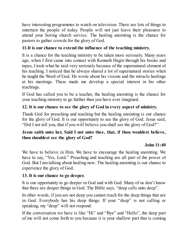have interesting programmes to watch on television. There are lots of things to entertain the people of today. People will not just leave their pleasures to attend your boring church service. The healing anointing is the chance for pastors to gather crowds for the glory of God.

## **11.It is our chance to extend the influence of the teaching ministry.**

It is a chance for the teaching ministry to be taken more seriously. Many years ago, when I first came into contact with Kenneth Hagin through his books and tapes, I took what he said very seriously because of the supernatural element of his teaching. I noticed that he always shared a lot of supernatural stories when he taught the Word of God. He wrote about his visions and the miracle healings at his meetings. These made me develop a special interest in his other teachings.

If God has called you to be a teacher, the healing anointing is the chance for your teaching ministry to go further than you have ever imagined.

## **12. It is our chance to see the glory of God in every aspect of ministry.**

Thank God for preaching and teaching but the healing anointing is our chance for the glory of God. It is our opportunity to see the glory of God. Jesus said, "Did I not tell you, that if you will believe you shall see the glory of God?"

#### **Jesus saith unto her, Said I not unto thee, that, if thou wouldest believe, thou shouldest see the glory of God?**

## **John 11:40**

We have to believe in Him. We have to encourage the healing anointing. We have to say, "Yes, Lord." Preaching and teaching are all part of the power of God. But I am talking about healing now. The healing anointing is our chance to experience the glory of God.

#### **13. It is our chance to go deeper.**

It is our opportunity to go deeper in God and with God. Many of us don't know that there are deeper things in God. The Bible says, "deep calls unto deep".

In other words, if you are not deep you cannot reach for the deep things that are in God. Everybody has his deep things. If your "deep" is not calling or speaking, my "deep" will not respond.

If the conversation we have is like "Hi" and "Bye" and "Hello", the deep part of me will not come forth to you because it is your shallow part that is coming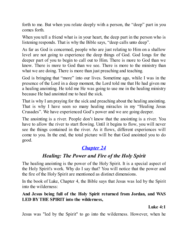forth to me. But when you relate deeply with a person, the "deep" part in you comes forth.

When you tell a friend what is in your heart, the deep part in the person who is listening responds. That is why the Bible says, "deep calls unto deep".

As far as God is concerned, people who are just relating to Him on a shallow level are not going to experience the deep things of God. God longs for the deeper part of you to begin to call out to Him. There is more to God than we know. There is more to God than we see. There is more to the ministry than what we are doing. There is more than just preaching and teaching.

God is bringing that "more" into our lives. Sometime ago, while I was in the presence of the Lord in a deep moment, the Lord told me that He had given me a healing anointing. He told me He was going to use me in the healing ministry because He had anointed me to heal the sick.

That is why I am praying for the sick and preaching about the healing anointing. That is why I have seen so many healing miracles in my "Healing Jesus Crusades". We have experienced God's power and we are going deeper.

The anointing is a river. People don't know that the anointing is a river. You have to allow the river to start flowing. Until it begins to flow, you will never see the things contained in the river. As it flows, different experiences will come to you. In the end, the total picture will be that God anointed you to do good.

# *[Chapter](#page-2-0) 24*

# *Healing: The Power and Fire of the Holy Spirit*

The healing anointing is the power of the Holy Spirit. It is a special aspect of the Holy Spirit's work. Why do I say that? You will notice that the power and the fire of the Holy Spirit are mentioned as distinct dimensions.

In the book of Luke, Chapter 4, the Bible says that Jesus was led by the Spirit into the wilderness:

## **And Jesus being full of the Holy Spirit returned from Jordan, and WAS LED BYTHE SPIRIT into the wilderness,**

## **Luke 4:1**

Jesus was "led by the Spirit" to go into the wilderness. However, when he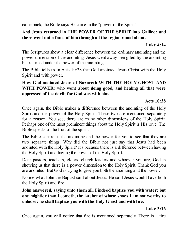came back, the Bible says He came in the "power of the Spirit".

# **And Jesus returned in THE POWER OF THE SPIRIT into Galilee: and there went out a fame of him through all the region round about.**

### **Luke 4:14**

The Scriptures show a clear difference between the ordinary anointing and the power dimension of the anointing. Jesus went away being led by the anointing but returned under the power of the anointing.

The Bible tells us in Acts 10:38 that God anointed Jesus Christ with the Holy Spirit and with power.

### **How God anointed Jesus of Nazareth WITH THE HOLY GHOST AND WITH POWER: who went about doing good, and healing all that were oppressed of the devil; for God was with him.**

### **Acts 10:38**

Once again, the Bible makes a difference between the anointing of the Holy Spirit and the power of the Holy Spirit. These two are mentioned separately for a reason. You see, there are many other dimensions of the Holy Spirit. Perhaps one of the most prominent things about the Holy Spirit is His love. The Bible speaks of the fruit of the spirit.

The Bible separates the anointing and the power for you to see that they are two separate things. Why did the Bible not just say that Jesus had been anointed with the Holy Spirit? It's because there is a difference between having the Holy Spirit and having the power of the Holy Spirit.

Dear pastors, teachers, elders, church leaders and whoever you are, God is showing us that there is a power dimension to the Holy Spirit. Thank God you are anointed. But God is trying to give you both the anointing and the power.

Notice what John the Baptist said about Jesus. He said Jesus would have both the Holy Spirit and fire.

### **John answered, saying unto them all, I indeed baptize you with water; but one mightier than I cometh, the latchet of whose shoes I am not worthy to unloose: he shall baptize you with the Holy Ghost and with fire:**

# **Luke 3:16**

Once again, you will notice that fire is mentioned separately. There is a fire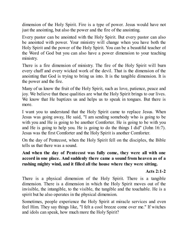dimension of the Holy Spirit. Fire is a type of power. Jesus would have not just the anointing, but also the power and the fire of the anointing.

Every pastor can be anointed with the Holy Spirit. But every pastor can also be anointed with power. Your ministry will change when you have both the Holy Spirit and the power of the Holy Spirit. You can be a beautiful teacher of the Word of God but you can also have a power dimension to your teaching ministry.

There is a fire dimension of ministry. The fire of the Holy Spirit will burn every chaff and every wicked work of the devil. That is the dimension of the anointing that God is trying to bring us into. It is the tangible dimension. It is the power and the fire.

Many of us know the fruit of the Holy Spirit, such as love, patience, peace and joy. We believe that these qualities are what the Holy Spirit brings to our lives. We know that He baptizes us and helps us to speak in tongues. But there is more.

I want you to understand that the Holy Spirit came to replace Jesus. When Jesus was going away, He said, "I am sending somebody who is going to be with you and He is going to be another Comforter. He is going to be with you and He is going to help you. He is going to do the things I did" (John 16:7). Jesus was the first Comforter and the Holy Spirit is another Comforter.

On the day of Pentecost, when the Holy Spirit fell on the disciples, the Bible tells us that there was a sound.

**And when the day of Pentecost was fully come, they were all with one accord in one place. And suddenly there came a sound from heaven as of a rushing mighty wind, and it filled all the house where they were sitting.**

### **Acts 2:1-2**

There is a physical dimension of the Holy Spirit. There is a tangible dimension. There is a dimension in which the Holy Spirit moves out of the invisible, the intangible, to the visible, the tangible and the touchable. He is a spirit but he also operates in the physical dimension.

Sometimes, people experience the Holy Spirit at miracle services and even feel Him. They say things like, "I felt a cool breeze come over me." If witches and idols can speak, how much more the Holy Spirit?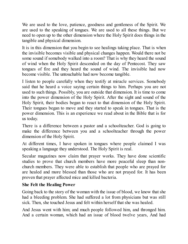We are used to the love, patience, goodness and gentleness of the Spirit. We are used to the speaking of tongues. We are used to all these things. But we need to open up to the other dimension where the Holy Spirit does things in the tangible and physical dimension.

It is in this dimension that you begin to see healings taking place. That is when the invisible becomes visible and physical changes happen. Would there not be some sound if somebody walked into a room? That is why they heard the sound of wind when the Holy Spirit descended on the day of Pentecost. They saw tongues of fire and they heard the sound of wind. The invisible had now become visible. The untouchable had now become tangible.

I listen to people carefully when they testify at miracle services. Somebody said that he heard a voice saying certain things to him. Perhaps you are not used to such things. Possibly, you are outside that dimension. It is time to come into the power dimension of the Holy Spirit. After the sight and sound of the Holy Spirit, their bodies began to react to that dimension of the Holy Spirit. Their tongues began to move and they started to speak in tongues. That is the power dimension. This is an experience we read about in the Bible that is for us today.

There is a difference between a pastor and a schoolteacher. God is going to make the difference between you and a schoolteacher through the power dimension of the Holy Spirit.

At different times, I have spoken in tongues where people claimed I was speaking a language they understood. The Holy Spirit is real.

Secular magazines now claim that prayer works. They have done scientific studies to prove that church members have more peaceful sleep than nonchurch members. They were able to establish that people who are prayed for are healed and more blessed than those who are not prayed for. It has been proven that prayer affected mice and killed bacteria.

### **She Felt the Healing Power**

Going back to the story of the woman with the issue of blood, we know that she had a bleeding problem. She had suffered a lot from physicians but was still sick. Then, she touched Jesus and felt within herself that she was healed.

And Jesus went with him; and much people followed him, and thronged him. And a certain woman, which had an issue of blood twelve years, And had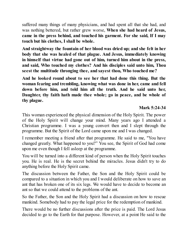suffered many things of many physicians, and had spent all that she had, and was nothing bettered, but rather grew worse, **When she had heard of Jesus, came in the press behind, and touched his garment. For she said, If I may touch but his clothes, I shall be whole.**

**And straightway the fountain of her blood was dried up; and she felt in her body that she was healed of that plague. And Jesus, immediately knowing in himself that virtue had gone out of him, turned him about in the press, and said, Who touched my clothes? And his disciples said unto him, Thou seest the multitude thronging thee, and sayest thou, Who touched me?**

**And he looked round about to see her that had done this thing. But the woman fearing and trembling, knowing what was done in her, came and fell down before him, and told him all the truth. And he said unto her, Daughter, thy faith hath made thee whole; go in peace, and be whole of thy plague.**

#### **Mark 5:24-34**

This woman experienced the physical dimension of the Holy Spirit. The power of the Holy Spirit will change your mind. Many years ago I attended a Christian programme. I was a young convert then and I slept through the programme. But the Spirit of the Lord came upon me and I was changed.

I remember meeting a friend after that programme. He said to me, "You have changed greatly. What happened to you?" You see, the Spirit of God had come upon me even though I fell asleep at the programme.

You will be turned into a different kind of person when the Holy Spirit touches you. He is real. He is the secret behind the miracles. Jesus didn't try to do anything before the Holy Spirit came.

The discussion between the Father, the Son and the Holy Spirit could be compared to a situation in which you and I would deliberate on how to save an ant that has broken one of its six legs. We would have to decide to become an ant so that we could attend to the problems of the ant.

So the Father, the Son and the Holy Spirit had a discussion on how to rescue mankind. Somebody had to pay the legal price for the redemption of mankind.

There would be no further discussions after the price is paid. The Lord Jesus decided to go to the Earth for that purpose. However, at a point He said to the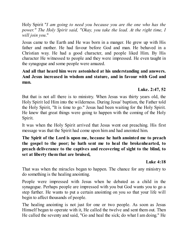Holy Spirit "*I am going to need you because you are the one who has the power." The Holy Spirit said, "Okay, you take the lead. At the right time, I will join you*."

Jesus came to the Earth and He was born in a manger. He grew up with His father and mother. He had favour before God and man. He behaved in a Christian way. He had a good character, and people liked Him. By His character He witnessed to people and they were impressed. He even taught in the synagogue and some people were amazed.

### **And all that heard him were astonished at his understanding and answers. And Jesus increased in wisdom and stature, and in favour with God and man.**

### **Luke. 2:47, 52**

But that is not all there is to ministry. When Jesus was thirty years old, the Holy Spirit led Him into the wilderness. During Jesus' baptism, the Father told the Holy Spirit, "It is time to go." Jesus had been waiting for the Holy Spirit. He knew that great things were going to happen with the coming of the Holy Spirit.

It was when the Holy Spirit arrived that Jesus went out preaching. His first message was that the Spirit had come upon him and had anointed him.

**The Spirit of the Lord is upon me, because he hath anointed me to preach the gospel to the poor; he hath sent me to heal the brokenhearted, to preach deliverance to the captives and recovering of sight to the blind, to set at liberty them that are bruised,**

#### **Luke 4:18**

That was when the miracles began to happen. The chance for any ministry to do something is the healing anointing.

People were impressed with Jesus when he debated as a child in the synagogue. Perhaps people are impressed with you but God wants you to go a step further. He wants to put a certain anointing on you so that your life will begin to affect thousands of people.

The healing anointing is not just for one or two people. As soon as Jesus Himself began to operate with it, He called the twelve and sent them out. Then He called the seventy and said, "Go and heal the sick; do what I am doing." He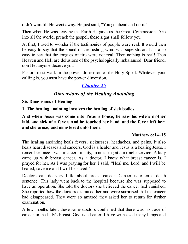didn't wait till He went away. He just said, "You go ahead and do it."

Then when He was leaving the Earth He gave us the Great Commission: "Go into all the world, preach the gospel, these signs shall follow you."

At first, I used to wonder if the testimonies of people were real. It would then be easy to say that the sound of the rushing wind was superstition. It is also easy to say that the tongues of fire were not real. Then nothing is real! Then Heaven and Hell are delusions of the psychologically imbalanced. Dear friend, don't let anyone deceive you.

Pastors must walk in the power dimension of the Holy Spirit. Whatever your calling is, you must have the power dimension.

# *[Chapter](#page-2-0) 25*

# *Dimensions of the Healing Anointing*

**Six Dimensions of Healing**

**1. The healing anointing involves the healing of sick bodies.**

**And when Jesus was come into Peter's house, he saw his wife's mother laid, and sick of a fever. And he touched her hand, and the fever left her: and she arose, and ministered unto them.**

### **Matthew 8:14–15**

The healing anointing heals fevers, sicknesses, headaches, and pains. It also heals heart diseases and cancers. God is a healer and Jesus is a healing Jesus. I remember once I was in a certain city, ministering at a miracle service. A lady came up with breast cancer. As a doctor, I know what breast cancer is. I prayed for her. As I was praying for her, I said, "Heal me, Lord, and I will be healed, save me and I will be saved."

Doctors can do very little about breast cancer. Cancer is often a death sentence. This lady went back to the hospital because she was supposed to have an operation. She told the doctors she believed the cancer had vanished. She reported how the doctors examined her and were surprised that the cancer had disappeared. They were so amazed they asked her to return for further examination.

A few months later, these same doctors confirmed that there was no trace of cancer in the lady's breast. God is a healer. I have witnessed many lumps and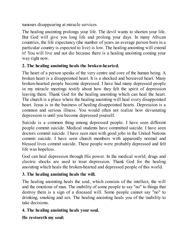tumours disappearing at miracle services.

The healing anointing prolongs your life. The devil wants to shorten your life. But God will give you long life and prolong your days. In many African countries, the life expectancy (the number of years an average person born in a particular country is expected to live) is low. The healing anointing will extend it! You will live and not die because there is a healing anointing coming your way right now.

# **2. The healing anointing heals the broken-hearted.**

The heart of a person speaks of the very centre and core of the human being. A broken heart is a disappointed heart. It is a shocked and bereaved heart. Many broken-hearted people become depressed. I have had many depressed people in my miracle meetings testify about how they felt the spirit of depression leaving them. Thank God for the healing anointing which can heal the heart. The church is a place where the healing anointing will heal every disappointed heart. Jesus is in the business of healing disappointed hearts. Depression is a common and serious illness. You would often not realize how devastating depression is until you become depressed yourself.

Suicide is a common thing among depressed people. I have seen different people commit suicide. Medical students have committed suicide. I have seen doctors commit suicide. I have seen men with good jobs in the United Nations commit suicide. I have seen church members with apparently normal and blessed lives commit suicide. These people were probably depressed and felt life was hopeless.

God can heal depression through His power. In the medical world, drugs and electric shocks are used to treat depression. Thank God for the healing anointing which heals the broken-hearted and depressed people of this world.

# **3. The healing anointing heals the will.**

The healing anointing heals the soul, which consists of the intellect, the will and the emotions of man. The inability of some people to say "no" to things that destroy them is a sign of a diseased will. Some people cannot say "no" to drinking, smoking and sex. The healing anointing heals you of the inability to take decisions.

# **4. The healing anointing heals your soul.**

**He restoreth my soul:**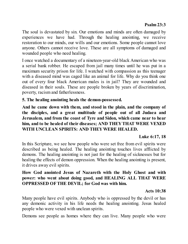### **Psalm 23:3**

The soul is devastated by sin. Our emotions and minds are often damaged by experiences we have had. Through the healing anointing, we receive restoration to our minds, our wills and our emotions. Some people cannot love anyone. Others cannot receive love. These are all symptoms of damaged and wounded people who need healing.

I once watched a documentary of a nineteen-year-old black American who was a serial bank robber. He escaped from jail many times until he was put in a maximum security prison for life. I watched with compassion as this teenager with a diseased mind was caged like an animal for life. Why do you think one out of every four black American males is in jail? They are wounded and diseased in their souls. These are people broken by years of discrimination, poverty, racism and fatherlessness.

### **5. The healing anointing heals the demon-possessed.**

**And he came down with them, and stood in the plain, and the company of the disciples, and a great multitude of people out of all Judaea and Jerusalem, and from the coast of Tyre and Sidon, which came near to hear him, and to be healed of their diseases; AND THEYTHAT WERE VEXED WITH UNCLEAN SPIRITS: AND THEYWERE HEALED.**

#### **Luke 6:17, 18**

In this Scripture, we see how people who were set free from evil spirits were described as being healed. The healing anointing touches lives afflicted by demons. The healing anointing is not just for the healing of sicknesses but for healing the effects of demon oppression. When the healing anointing is present, it drives away evil spirits.

### **How God anointed Jesus of Nazareth with the Holy Ghost and with power: who went about doing good, and HEALING ALL THAT WERE OPPRESSED OFTHE DEVIL; for God was with him.**

### **Acts 10:38**

Many people have evil spirits. Anybody who is oppressed by the devil or has any demonic activity in his life needs the healing anointing. Jesus healed people who were vexed with unclean spirits.

Demons see people as homes where they can live. Many people who were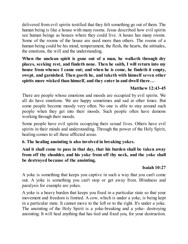delivered from evil spirits testified that they felt something go out of them. The human being is like a house with many rooms. Jesus described how evil spirits see human beings as houses where they could live. A house has many rooms. Some of the rooms of the house are used more than others. The rooms of a human being could be his mind, temperament, the flesh, the hearts, the attitudes, the emotions, the will and the understanding.

**When the unclean spirit is gone out of a man, he walketh through dry places, seeking rest, and findeth none. Then he saith, I will return into my house from whence I came out; and when he is come, he findeth it empty, swept, and garnished. Then goeth he, and taketh with himself seven other spirits more wicked than himself, and they enter in and dwell there…**

### **Matthew 12:43-45**

There are people whose emotions and moods are occupied by evil spirits. We all do have emotions. We are happy sometimes and sad at other times. But some people become moody very often. No one is able to stay around such people when they get into their moods. Such people often have demons working through their moods.

Some people have evil spirits occupying their sexual lives. Others have evil spirits in their minds and understanding. Through the power of the Holy Spirit, healing comes to all these afflicted areas.

#### **6. The healing anointing is also involved in breaking yokes.**

**And it shall come to pass in that day, that his burden shall be taken away from off thy shoulder, and his yoke from off thy neck, and the yoke shall be destroyed because of the anointing.**

### **Isaiah 10:27**

A yoke is something that keeps you captive in such a way that you can't come out. A yoke is something you can't stop or get away from. Blindness and paralysis for example are yokes.

A yoke is a heavy burden that keeps you fixed in a particular state so that your movement and freedom is limited. A cow, which is under a yoke, is being kept in a particular state. It cannot move to the left or to the right. It's under a yoke. The anointing of the Holy Spirit is a yoke-breaking and a yoke- destroying anointing. It will heal anything that has tied and fixed you, for your destruction.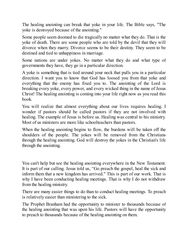The healing anointing can break that yoke in your life. The Bible says, "The yoke is destroyed because of the anointing."

Some people seem doomed to die tragically no matter what they do. That is the yoke of death. There are some people who are told by the devil that they will divorce when they marry. Divorce seems to be their destiny. They seem to be destined and tied to unhappiness in marriage.

Some nations are under yokes. No matter what they do and what type of governments they have, they go in a particular direction.

A yoke is something that is tied around your neck that pulls you in a particular direction. I want you to know that God has loosed you from that yoke and everything that the enemy has fixed you to. The anointing of the Lord is breaking every yoke, every power, and every wicked thing in the name of Jesus Christ! The healing anointing is coming into your life right now as you read this book.

You will realize that almost everything about our lives requires healing. I wonder if pastors should be called pastors if they are not involved with healing. The example of Jesus is before us. Healing was central to his ministry. Most of us ministers are more like schoolteachers than pastors.

When the healing anointing begins to flow, the burdens will be taken off the shoulders of the people. The yokes will be removed from the Christians through the healing anointing. God will destroy the yokes in the Christian's life through the anointing.

You can't help but see the healing anointing everywhere in the New Testament. It is part of our calling. Jesus told us, "Go preach the gospel, heal the sick and inform them that a new kingdom has arrived." This is part of our work. That is why I have been conducting healing meetings. That is why I do not withdraw from the healing ministry.

There are many easier things to do than to conduct healing meetings. To preach is relatively easier than ministering to the sick.

The Prophet Branham had the opportunity to minister to thousands because of the healing anointing that was upon his life. Pastors will have the opportunity to preach to thousands because of the healing anointing on them.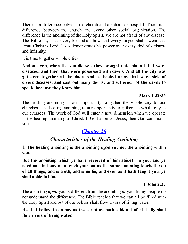There is a difference between the church and a school or hospital. There is a difference between the church and every other social organization. The difference is the anointing of the Holy Spirit. We are not afraid of any disease. The Bible says that every knee shall bow and every tongue shall swear that Jesus Christ is Lord. Jesus demonstrates his power over every kind of sickness and infirmity.

It is time to gather whole cities!

**And at even, when the sun did set, they brought unto him all that were diseased, and them that were possessed with devils. And all the city was gathered together at the door. And he healed many that were sick of divers diseases, and cast out many devils; and suffered not the devils to speak, because they knew him.**

### **Mark 1:32-34**

The healing anointing is our opportunity to gather the whole city to our churches. The healing anointing is our opportunity to gather the whole city to our crusades. The work of God will enter a new dimension when we operate in the healing anointing of Christ. If God anointed Jesus, then God can anoint you.

# *[Chapter](#page-2-0) 26*

# *Characteristics of the Healing Anointing*

**1. The healing anointing is the anointing upon you not the anointing within you.**

**But the anointing which ye have received of him abideth in you, and ye need not that any man teach you: but as the same anointing teacheth you of all things, and is truth, and is no lie, and even as it hath taught you, ye shall abide in him.**

### **1 John 2:27**

The anointing *upon* you is different from the anointing *in* you. Many people do not understand the difference. The Bible teaches that we can all be filled with the Holy Spirit and out of our bellies shall flow rivers of living water.

**He that believeth on me, as the scripture hath said, out of his belly shall flow rivers of living water.**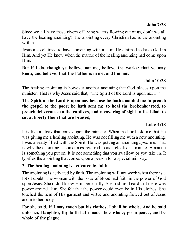Since we all have these rivers of living waters flowing out of us, don't we all have the healing anointing? The anointing every Christian has is the anointing within.

Jesus also claimed to have something within Him. He claimed to have God in Him. And yet He knew when the mantle of the healing anointing had come upon Him.

#### **But if I do, though ye believe not me, believe the works: that ye may know, and believe, that the Father is in me, and I in him.**

#### **John 10:38**

The healing anointing is however another anointing that God places upon the minister. That is why Jesus said that, "The Spirit of the Lord is upon me...."

**The Spirit of the Lord is upon me, because he hath anointed me to preach the gospel to the poor; he hath sent me to heal the brokenhearted, to preach deliverance to the captives, and recovering of sight to the blind, to set at liberty them that are bruised,**

#### **Luke 4:18**

It is like a cloak that comes upon the minister. When the Lord told me that He was giving me a healing anointing, He was not filling me with a new anointing. I was already filled with the Spirit. He was putting an anointing *upon* me. That is why the anointing is sometimes referred to as a cloak or a mantle. A mantle is something you put on. It is not something that you swallow or you take in. It typifies the anointing that comes upon a person for a special ministry.

#### **2. The healing anointing is activated by faith.**

The anointing is activated by faith. The anointing will not work when there is a lot of doubt. The woman with the issue of blood had faith in the power of God upon Jesus. She didn't know Him personally. She had just heard that there was power around Him. She felt that the power could even be in His clothes. She touched the hem of His garment and virtue and anointing flowed out of Jesus and into her body.

**For she said, If I may touch but his clothes, I shall be whole. And he said unto her, Daughter, thy faith hath made thee whole; go in peace, and be whole of thy plague.**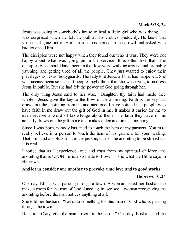Jesus was going to somebody's house to heal a little girl who was dying. He was surprised when He felt the pull at His clothes. Suddenly, He knew that virtue had gone out of Him. Jesus turned round in the crowd and asked who had touched Him.

The disciples were not happy when they found out who it was. They were not happy about what was going on in the service. It is often like that. The disciples who should have been in the flow were walking around and probably yawning, and getting tired of all the people. They just wanted to enjoy their privileges as Jesus' bodyguards. The lady told Jesus all that had happened. She was uneasy because she felt people might think that she was trying to undress Jesus in public. But she had felt the power of God going through her.

The only thing Jesus said to her was, "Daughter, thy faith had made thee whole." Jesus gave the key to the flow of the anointing. Faith is the key that draws out the anointing from the anointed one. I have noticed that people who have faith in me draw out the gift of God in me. It makes it easier for me to even receive a word of knowledge about them. The faith they have in me actually draws out the gift in me and makes a demand on the anointing.

Since I was born, nobody has tried to touch the hem of my garment. You must really believe in a person to touch the hem of his garment for your healing. That faith and absolute trust in the person, causes the anointing to be stirred up. It is real.

I notice that as I experience love and trust from my spiritual children, the anointing that is UPON me is also made to flow. This is what the Bible says in Hebrews:

### **And let us consider one another to provoke unto love and to good works:**

### **Hebrews 10:24**

One day, Elisha was passing through a town. A woman asked her husband to make a room for the man of God. Once again, we see a woman recognizing the anointing before the man notices anything at all.

She told her husband, "Let's do something for this man of God who is passing through the town."

He said, "Okay, give the man a room in the house." One day, Elisha asked the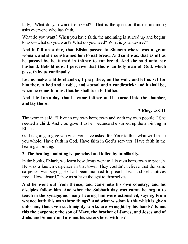lady, "What do you want from God?" That is the question that the anointing asks everyone who has faith.

What do you want? When you have faith, the anointing is stirred up and begins to ask—what do you want? What do you need? What is your desire?"

**And it fell on a day, that Elisha passed to Shunem where was a great woman, and she constrained him to eat bread. And so it was, that as oft as he passed by, he turned in thither to eat bread. And she said unto her husband, Behold now, I perceive that this is an holy man of God, which passeth by us continually.**

**Let us make a little chamber, I pray thee, on the wall; and let us set for him there a bed and a table, and a stool and a candlestick: and it shall be, when he cometh to us, that he shall turn to thither.**

**And it fell on a day, that he came thither, and he turned into the chamber, and lay there.**

### **2 Kings 4:8-11**

The woman said, "I live in my own hometown and with my own people." She needed a child. And God gave it to her because she stirred up the anointing in Elisha.

God is going to give you what you have asked for. Your faith is what will make you whole. Have faith in God. Have faith in God's servants. Have faith in the healing anointing.

### **3. The healing anointing is quenched and killed by familiarity.**

In the book of Mark, we learn how Jesus went to His own hometown to preach. He was a known carpenter in that town. They couldn't believe that the same carpenter was saying He had been anointed to preach, heal and set captives free. "How absurd," they must have thought to themselves.

**And he went out from thence, and came into his own country; and his disciples follow him. And when the Sabbath day was come, he began to teach in the synagogue: many hearing him were astonished, saying, From whence hath this man these things? And what wisdom is this which is given unto him, that even such mighty works are wrought by his hands? Is not this the carpenter, the son of Mary, the brother of James, and Joses and of Juda, and Simon? and are not his sisters here with us?**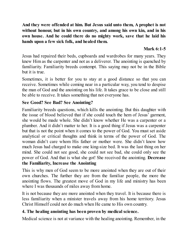**And they were offended at him. But Jesus said unto them, A prophet is not without honour, but in his own country, and among his own kin, and in his own house. And he could there do no mighty work, save that he laid his hands upon a few sick folk, and healed them.**

# **Mark 6:1-5**

Jesus had repaired their beds, cupboards and wardrobes for many years. They knew Him as the carpenter and not as a deliverer. The anointing is quenched by familiarity. Familiarity breeds contempt. This saying may not be in the Bible but it is true.

Sometimes, it is better for you to stay at a good distance so that you can receive. Sometimes while coming near in a particular way, you tend to despise the man of God and the anointing on his life. It takes grace to be close and still be able to receive. It takes something that not everyone has.

### **See Good? See Bad? See Anointing?**

Familiarity breeds questions, which kills the anointing. But this daughter with the issue of blood believed that if she could touch the hem of Jesus' garment, she would be made whole. She didn't know whether He was a carpenter or a plumber. And it didn't matter to her. It is a good thing if Jesus was a carpenter but that is not the point when it comes to the power of God. You must set aside analytical or critical thoughts and think in terms of the power of God. The woman didn't care whom His father or mother were. She didn't know how much Jesus had charged to make one king-size bed. It was the last thing on her mind. She could not see good, she could not see bad, she could only see the power of God. And that is what she got! She received the anointing. **Decrease the Familiarity, Increase the Anointing**

This is why men of God seem to be more anointed when they are out of their own churches. The further they are from the familiar people, the more the anointing flows. The greatest move of God in my life and ministry has been where I was thousands of miles away from home.

It is not because they are more anointed when they travel. It is because there is less familiarity when a minister travels away from his home territory. Jesus Christ Himself could not do much when He came to His own country.

# **4. The healing anointing has been proven by medical science.**

Medical science is not at variance with the healing anointing. Remember, in the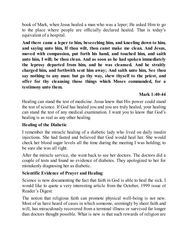book of Mark, when Jesus healed a man who was a leper; He asked Him to go to the place where people are officially declared healed. That is today's equivalent of a hospital.

**And there came a leper to him, beseeching him, and kneeling down to him, and saying unto him, If thou wilt, thou canst make me clean. And Jesus, moved with compassion, put forth his hand, and touched him, and saith unto him, I will; be thou clean. And as soon as he had spoken immediately the leprosy departed from him, and he was cleansed. And he straitly charged him, and forthwith sent him away; And saith unto him, See thou say nothing to any man: but go thy way, shew thyself to the priest, and offer for thy cleansing those things which Moses commanded, for a testimony unto them.**

### **Mark 1:40-44**

Healing can stand the test of medicine. Jesus knew that His power could stand the test of science. If God has healed you and you are truly healed, your healing can stand the test of any medical examination. I want you to know that God's healing is as real as any other healing.

#### **Healing of the Diabetic**

I remember the miracle healing of a diabetic lady who lived on daily insulin injections. She had fasted and believed that God would heal her. She would check her blood sugar levels all the time during the meeting I was holding; to be sure she was all right.

After the miracle service, she went back to see her doctors. The doctors did a couple of tests and found no evidence of diabetes. They apologized to her for mistakenly diagnosing her as diabetic.

### **Scientific Evidence of Prayer and Healing**

Science is now documenting the fact that faith in God is able to heal the sick. I would like to quote a very interesting article from the October, 1999 issue of Reader's Digest:

The notion that religious faith can promote physical well-being is not new. Most of us have heard of cases in which someone, seemingly by sheer faith and will, has miraculously recovered from a terminal illness or survived far longer than doctors thought possible. What is new is that such rewards of religion are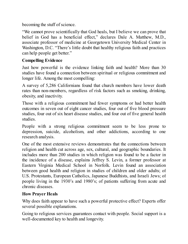becoming the stuff of science.

"We cannot prove scientifically that God heals, but I believe we can prove that belief in God has a beneficial effect," declares Dale A. Matthew, M.D., associate professor of medicine at Georgetown University Medical Center in Washington, D.C. "There's little doubt that healthy religious faith and practices can help people get better."

# **Compelling Evidence**

Just how powerful is the evidence linking faith and health? More than 30 studies have found a connection between spiritual or religious commitment and longer life. Among the most compelling:

A survey of 5,286 Californians found that church members have lower death rates than non-members, regardless of risk factors such as smoking, drinking, obesity, and inactivity.

Those with a religious commitment had fewer symptoms or had better health outcomes in seven out of eight cancer studies, four out of five blood pressure studies, four out of six heart disease studies, and four out of five general health studies.

People with a strong religious commitment seem to be less prone to depression, suicide, alcoholism, and other addictions, according to one research analysis.

One of the most extensive reviews demonstrates that the connections between religion and health cut across age, sex, cultural, and geographic boundaries. It includes more than 200 studies in which religion was found to be a factor in the incidence of a disease, explains Jeffrey S. Levin, a former professor at Eastern Virginia Medical School in Norfolk. Levin found an association between good health and religion in studies of children and older adults; of U.S. Protestants, European Catholics, Japanese Buddhists, and Israeli Jews; of people living in the 1930's and 1980's; of patients suffering from acute and chronic diseases.

### **How Prayer Heals**

Why does faith appear to have such a powerful protective effect? Experts offer several possible explanations.

Going to religious services guarantees contact with people. Social support is a well-documented key to health and longevity.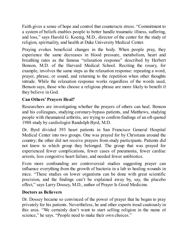Faith gives a sense of hope and control that counteracts stress. "Commitment to a system of beliefs enables people to better handle traumatic illness, suffering, and loss," says Harold G. Koenig, M.D., director of the center for the study of religion, spirituality, and health at Duke University Medical Center.

Praying evokes beneficial changes in the body. When people pray, they experience the same decreases in blood pressure, metabolism, heart and breathing rates as the famous "relaxation response" described by Herbert Benson, M.D. of the Harvard Medical School. Reciting the rosary, for example, involves the same steps as the relaxation response: repeating a word, prayer, phrase, or sound, and returning to the repetition when other thoughts intrude. While the relaxation response works regardless of the words used, Benson says, those who choose a religious phrase are more likely to benefit if they believe in God.

# **Can Others' Prayers Heal?**

Researchers are investigating whether the prayers of others can heal. Benson and his colleagues, studying coronary-bypass patients, and Matthews, studying people with rheumatoid arthritis, are trying to confirm findings of an oft-quoted 1988 study by cardiologist Randolph Byrd, M.D.

Dr. Byrd divided 393 heart patients in San Francisco General Hospital Medical Center into two groups. One was prayed for by Christians around the country; the other did not receive prayers from study participants. Patients did not know to which group they belonged. The group that was prayed for experienced fewer complications, fewer cases of pneumonia, fewer cardiac arrests, less congestive heart failure, and needed fewer antibiotics.

Even more confounding are controversial studies suggesting prayer can influence everything from the growth of bacteria in a lab to healing wounds in mice. "These studies on lower organisms can be done with great scientific precision, and the findings can't be explained away by, say, the placebo effect," says Larry Dossey, M.D., author of Prayer Is Good Medicine.

### **Doctors as Believers**

Dr. Dossey became so convinced of the power of prayer that he began to pray privately for his patients. Nevertheless, he and other experts tread cautiously in this area. "We certainly don't want to start selling religion in the name of science," he says. "People need to make their own choices."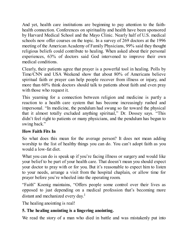And yet, health care institutions are beginning to pay attention to the faithhealth connection. Conferences on spirituality and health have been sponsored by Harvard Medical School and the Mayo Clinic. Nearly half of U.S. medical schools now offer courses on the topic. In a survey of 269 doctors at the 1996 meeting of the American Academy of Family Physicians, 99% said they thought religious beliefs could contribute to healing. When asked about their personal experiences, 63% of doctors said God intervened to improve their own medical conditions.

Clearly, their patients agree that prayer is a powerful tool in healing. Polls by Time/CNN and USA Weekend show that about 80% of Americans believe spiritual faith or prayer can help people recover from illness or injury, and more than 60% think doctors should talk to patients about faith and even pray with those who request it.

This yearning for a connection between religion and medicine is partly a reaction to a health care system that has become increasingly rushed and impersonal. "In medicine, the pendulum had swung so far toward the physical that it almost totally excluded anything spiritual," Dr. Dossey says. "This didn't feel right to patients or many physicians, and the pendulum has begun to swing back."

# **How Faith Fits In**

So what does this mean for the average person? It does not mean adding worship to the list of healthy things you can do. You can't adopt faith as you would a low-fat diet.

What you can do is speak up if you're facing illness or surgery and would like your belief to be part of your health care. That doesn't mean you should expect your doctor to pray with or for you. But it's reasonable to expect him to listen to your needs, arrange a visit from the hospital chaplain, or allow time for prayer before you're wheeled into the operating room.

"Faith" Koenig maintains, "Offers people some control over their lives as opposed to just depending on a medical profession that's becoming more distant and mechanized every day. 1

The healing anointing is real!

# **5. The healing anointing is a lingering anointing.**

We read the story of a man who died in battle and was mistakenly put into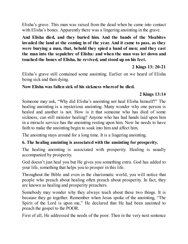Elisha's grave. This man was raised from the dead when he came into contact with Elisha's bones. Apparently there was a lingering anointing in the grave.

**And Elisha died, and they buried him. And the bands of the Moabites invaded the land at the coming in of the year. And it came to pass, as they were burying a man, that, behold they spied a band of men; and they cast the man into the sepulchre of Elisha: and when the man was let down and touched the bones of Elisha, he revived, and stood up on his feet.**

**2 Kings 13: 20-21**

Elisha's grave still contained some anointing. Earlier on we heard of Elisha being sick and then dying.

#### **Now Elisha was fallen sick of his sickness whereof he died.**

#### **2 Kings 13:14**

Someone may ask, "Why did Elisha's anointing not heal Elisha himself?" The healing anointing is a mysterious anointing. Many wonder why one person is healed and another is not. How is it that someone who has died of some sickness, can still minister healing? Anyone who has had hands laid upon him in a miracle service has the anointing resting upon him. Now he needs to have faith to make the anointing begin to soak into him and affect him.

The anointing stays around for a long time. It is a lingering anointing.

### **6. The healing anointing is associated with the anointing for prosperity.**

The healing anointing is associated with prosperity. Healing is usually accompanied by prosperity.

God doesn't just heal you but He gives you something extra. God has added to your life, something that helps you to prosper in this life.

Throughout the Bible and even in the charismatic world, you will notice that people who preach about healing often preach about prosperity. In fact, they are known as healing and prosperity preachers.

Somebody may wonder why they always teach about these two things. It is because they go together. Remember when Jesus spoke of the anointing, "The Spirit of the Lord is upon me," He declared that He had been anointed to preach the gospel to the POOR.

First of all, He addressed the needs of the poor. Then in the very next sentence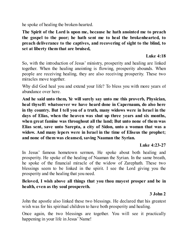he spoke of healing the broken-hearted.

**The Spirit of the Lord is upon me, because he hath anointed me to preach the gospel to the poor; he hath sent me to heal the brokenhearted, to preach deliverance to the captives, and recovering of sight to the blind, to set at liberty them that are bruised,**

#### **Luke 4:18**

So, with the introduction of Jesus' ministry, prosperity and healing are linked together. When the healing anointing is flowing, prosperity abounds. When people are receiving healing, they are also receiving prosperity. These two miracles move together.

Why did God heal you and extend your life? To bless you with more years of abundance over here.

**And he said unto them, Ye will surely say unto me this proverb, Physician, heal thyself: whatsoever we have heard done in Capernaum, do also here in thy country. But I tell you of a truth, many widows were in Israel in the days of Elias, when the heaven was shut up three years and six months, when great famine was throughout all the land; But unto none of them was Elias sent, save unto Sarepta, a city of Sidon, unto a woman that was a widow. And many lepers were in Israel in the time of Eliseus the prophet; and none of them was cleansed, saving Naaman the Syrian.**

#### **Luke 4:23-27**

In Jesus' famous hometown sermon, He spoke about both healing and prosperity. He spoke of the healing of Naaman the Syrian. In the same breath, he spoke of the financial miracle of the widow of Zarephath. These two blessings seem to be linked in the spirit. I see the Lord giving you the prosperity and the healing that you need.

#### **Beloved, I wish above all things that you thou mayest prosper and be in health, even as thy soul prospereth.**

### **3 John 2**

John the apostle also linked these two blessings. He declared that his greatest wish was for his spiritual children to have both prosperity and healing.

Once again, the two blessings are together. You will see it practically happening in your life in Jesus' Name!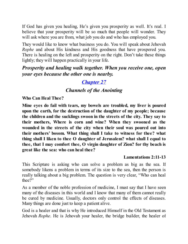If God has given you healing, He's given you prosperity as well. It's real. I believe that your prosperity will be so much that people will wonder. They will ask where you are from, what job you do and who has employed you.

They would like to know what business you do. You will speak about Jehovah *Rophe* and about His kindness and His goodness that have prospered you. There is healing on the left and prosperity on the right. Don't take these things lightly; they will happen practically in your life.

*Prosperity and healing walk together. When you receive one, open your eyes because the other one is nearby.*

# *[Chapter](#page-2-0) 27*

# *Channels of the Anointing*

**Who Can Heal Thee?**

**Mine eyes do fail with tears, my bowels are troubled, my liver is poured upon the earth, for the destruction of the daughter of my people; because the children and the sucklings swoon in the streets of the city. They say to their mothers, Where is corn and wine? When they swooned as the wounded in the streets of the city when their soul was poured out into their mothers' bosom. What thing shall I take to witness for thee? what thing shall I liken to thee O daughter of Jerusalem? what shall I equal to thee, that I may comfort thee, O virgin daughter of Zion? for thy beach is great like the sea: who can heal thee?**

#### **Lamentations 2:11-13**

This Scripture is asking who can solve a problem as big as the sea. If somebody likens a problem in terms of its size to the sea, then the person is really talking about a big problem. The question is very clear, "Who can heal thee?"

As a member of the noble profession of medicine, I must say that I have seen many of the diseases in this world and I know that many of them cannot really be cured by medicine. Usually, doctors only control the effects of diseases. Many things are done just to keep a patient alive.

God is a healer and that is why He introduced Himself in the Old Testament as Jehovah *Rophe*. He is Jehovah your healer, the bridge builder, the healer of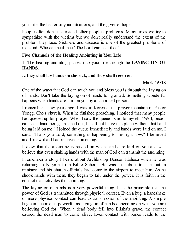your life, the healer of your situations, and the giver of hope.

People often don't understand other people's problems. Many times we try to sympathize with the victims but we don't really understand the extent of the problem they face. Sickness and disease is one of the greatest problems of mankind. Who can heal thee? The Lord can heal thee!

### **Five Channels of the Healing Anointing in Your Life**

1. The healing anointing passes into your life through the **LAYING ON OF HANDS**.

#### **…they shall lay hands on the sick, and they shall recover.**

### **Mark 16:18**

One of the ways that God can touch you and bless you is through the laying on of hands. Don't take the laying on of hands for granted. Something wonderful happens when hands are laid on you by an anointed person.

I remember a few years ago, I was in Korea at the prayer mountain of Pastor Yonggi Cho's church. When he finished preaching, I noticed that many people had queued up for prayer. When I saw the queue I said to myself, "Well, once I can see a hand being stretched out, I shall not leave this place without that hand being laid on me." I joined the queue immediately and hands were laid on me. I said, "Thank you Lord, something is happening to me right now." I believed and I knew that I had received something.

I know that the anointing is passed on when hands are laid on you and so I believe that even shaking hands with the man of God can transmit the anointing.

I remember a story I heard about Archbishop Benson Idahosa when he was returning to Nigeria from Bible School. He was just about to start out in ministry and his church officials had come to the airport to meet him. As he shook hands with them, they began to fall under the power. It is faith in the contact that activates the anointing.

The laying on of hands is a very powerful thing. It is the principle that the power of God is transmitted through physical contact. Even a hug, a handshake or mere physical contact can lead to transmission of the anointing. A simple hug can become as powerful as laying on of hands depending on what you are believing God for! When a dead body fell into Elisha's grave, the contact caused the dead man to come alive. Even contact with bones leads to the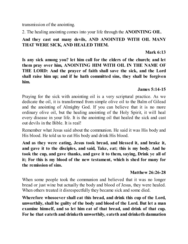transmission of the anointing.

2. The healing anointing comes into your life through the **ANOINTING OIL**.

## **And they cast out many devils, AND ANOINTED WITH OIL MANY THAT WERE SICK, AND HEALED THEM.**

### **Mark 6:13**

**Is any sick among you? let him call for the elders of the church; and let them pray over him, ANOINTING HIM WITH OIL IN THE NAME OF THE LORD: And the prayer of faith shall save the sick, and the Lord shall raise him up; and if he hath committed sins, they shall be forgiven him.**

### **James 5:14-15**

Praying for the sick with anointing oil is a very scriptural practice. As we dedicate the oil, it is transformed from simple olive oil to the Balm of Gilead and the anointing of Almighty God. If you can believe that it is no more ordinary olive oil, but the healing anointing of the Holy Spirit, it will heal every disease in your life. It is the anointing oil that healed the sick and cast out devils in the Bible. It is real!

Remember what Jesus said about the communion. He said it was His body and His blood. He told us to eat His body and drink His blood.

**And as they were eating, Jesus took bread, and blessed it, and brake it, and gave it to the disciples, and said, Take, eat; this is my body. And he took the cup, and gave thanks, and gave it to them, saying, Drink ye all of it; For this is my blood of the new testament, which is shed for many for the remission of sins.**

#### **Matthew 26:26-28**

When some people took the communion and believed that it was no longer bread or just wine but actually the body and blood of Jesus, they were healed. When others treated it disrespectfully they became sick and some died.

**Wherefore whosoever shall eat this bread, and drink this cup of the Lord, unworthily, shall be guilty of the body and blood of the Lord. But let a man examine himself, and so let him eat of that bread, and drink of that cup. For he that eateth and drinketh unworthily, eateth and drinketh damnation**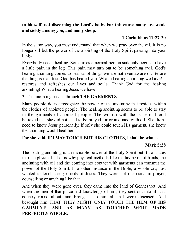#### **to himself, not discerning the Lord's body. For this cause many are weak and sickly among you, and many sleep.**

## **1 Corinthians 11:27-30**

In the same way, you must understand that when we pray over the oil, it is no longer oil but the power of the anointing of the Holy Spirit passing into your body.

Everybody needs healing. Sometimes a normal person suddenly begins to have a little pain in the leg. This pain may turn out to be something evil. God's healing anointing comes to heal us of things we are not even aware of. Before the thing is manifest, God has healed you. What a healing anointing we have! It restores and refreshes our lives and souls. Thank God for the healing anointing! What a healing Jesus we have!

### 3. The anointing passes through **THE GARMENTS**.

Many people do not recognize the power of the anointing that resides within the clothes of anointed people. The healing anointing seems to be able to stay in the garments of anointed people. The woman with the issue of blood believed that she did not need to be prayed for or anointed with oil. She didn't need to know Jesus personally. If only she could touch His garment, she knew the anointing would heal her.

### **For she said, IFI MAYTOUCH BUT HIS CLOTHES, I shall be whole.**

### **Mark 5:28**

The healing anointing is an invisible power of the Holy Spirit but it translates into the physical. That is why physical methods like the laying on of hands, the anointing with oil and the coming into contact with garments can transmit the power of the Holy Spirit. In another instance in the Bible, a whole city just wanted to touch the garments of Jesus. They were not interested in prayer, counselling or anything like that.

And when they were gone over, they came into the land of Gennesaret. And when the men of that place had knowledge of him, they sent out into all that country round about, and brought unto him all that were diseased; And besought him THAT THEY MIGHT ONLY TOUCH THE **HEM OF HIS GARMENT: AND AS MANY AS TOUCHED WERE MADE PERFECTLYWHOLE.**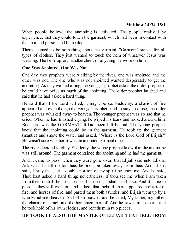### **Matthew 14:34-15:1**

When people believe, the anointing is activated. The people realized by experience, that they could touch the garment, which had been in contact with the anointed person and be healed.

There seemed to be something about the garment. "Garment" stands for all types of clothes. They just wanted to touch the hem of whatever Jesus was wearing. The hem, apron, handkerchief, or anything He wore on him.

#### **One Was Anointed, One Was Not**

One day, two prophets were walking by the river, one was anointed and the other was not. The one who was not anointed wanted desperately to get the anointing. As they walked along, the younger prophet asked the older prophet if he could have twice as much of the anointing. The older prophet laughed and said that he had asked a hard thing.

He said that if the Lord willed, it might be so. Suddenly, a chariot of fire appeared and even though the younger prophet tried to stay so close, the older prophet was whisked away to heaven. The younger prophet was so sad that he cried. When he had finished crying, he wiped his tears and looked around him. But there was the GARMENT! It had been left behind. The young prophet knew that the anointing could be in the garment. He took up the garment (mantle) and smote the water and asked, "Where is the Lord God of Elijah?" He wasn't sure whether it was an anointed garment or not.

The river decided to obey. Suddenly, the young prophet knew that the anointing was still around. The garment contained the anointing and he had the garment.

And it came to pass, when they were gone over, that Elijah said unto Elisha, Ask what I shall do for thee. before I be taken away from thee. And Elisha said, I pray thee, let a double portion of thy spirit be upon me. And he said, Thou hast asked a hard thing: nevertheless, if thou see me when I am taken from thee, it shall be so unto thee; but if not, it shall not be so. And it came to pass, as they still went on, and talked, that, behold, there appeared a chariot of fire, and horses of fire, and parted them both asunder; and Elijah went up by a whirlwind into heaven. And Elisha saw it, and he cried, My father, my father, the chariot of Israel, and the horsemen thereof. And he saw him no more: and he took hold of his own clothes, and rent them in two pieces.

### **HE TOOK UP ALSO THE MANTLE OF ELIJAH THAT FELL FROM**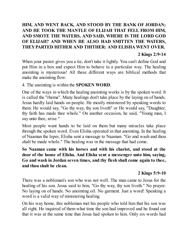# **HIM, AND WENT BACK, AND STOOD BY THE BANK OF JORDAN; AND HE TOOK THE MANTLE OF ELIJAH THAT FELL FROM HIM, AND SMOTE THE WATERS, AND SAID, WHERE IS THE LORD GOD OF ELIJAH? AND WHEN HE ALSO HAD SMITTEN THE WATERS, THEYPARTED HITHER AND THITHER: AND ELISHA WENT OVER.**

#### **2 Kings 2:9-14**

When your pastor gives you a tie, don't take it lightly. You can't define God and put Him in a box and expect Him to behave in a particular way. The healing anointing is mysterious! All these different ways are biblical methods that make the anointing flow.

4. The anointing is within the **SPOKEN WORD**.

One of the ways in which the healing anointing works is by the spoken word. It is called the "rhema". Many healings don't take place by the laying on of hands. Jesus hardly laid hands on people. He mostly ministered by speaking words to them. He would say, "Go thy way, thy son liveth" or He would say, "Daughter, thy faith has made thee whole." On another occasion, he said, "Young man, I say unto thee, arise."

Most people want hands to be laid on them but many miracles take place through the spoken word. Even Elisha operated in that anointing. In the healing of Naaman the leper, Elisha sent a message to Naaman: "Go and wash and thou shalt be made whole." The healing was in the message that had come.

**So Naaman came with his horses and with his chariot, and stood at the door of the house of Elisha. And Elisha sent a messenger unto him, saying, Go and wash in Jordan seven times, and thy flesh shall come again to thee, and thou shalt be clean.**

#### **2 Kings 5:9-10**

There was a nobleman's son who was not well. The man came to Jesus for the healing of his son. Jesus said to him, "Go thy way, thy son liveth." No prayer. No laying on of hands. No anointing oil. No garment. Just a word! Speaking a word is a valid way of ministering healing.

On his way home, this nobleman met his people who told him that his son was all right. He inquired of them what time the son had improved and he found out that it was at the same time that Jesus had spoken to him. Only six words had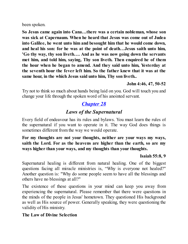been spoken.

**So Jesus came again into Cana…there was a certain nobleman, whose son was sick at Capernaum. When he heard that Jesus was come out of Judea into Galilee, he went unto him and besought him that he would come down, and heal his son: for he was at the point of death…Jesus saith unto him, 'Go thy way, thy son liveth…. And as he was now going down the servants met him, and told him, saying, Thy son liveth. Then enquired he of them the hour when he began to amend. And they said unto him, Yesterday at the seventh hour the fever left him. So the father knew that it was at the same hour, in the which Jesus said unto him, Thy son liveth..**

### **John 4:46, 47, 50-52**

Try not to think so much about hands being laid on you. God will touch you and change your life through the spoken word of his anointed servant.

# *[Chapter](#page-2-0) 28*

# *Laws of the Supernatural*

Every field of endeavour has its rules and bylaws. You must learn the rules of the supernatural if you want to operate in it. The way God does things is sometimes different from the way we would operate.

**For my thoughts are not your thoughts, neither are your ways my ways, saith the Lord. For as the heavens are higher than the earth, so are my ways higher than your ways, and my thoughts than your thoughts.**

#### **Isaiah 55:8, 9**

Supernatural healing is different from natural healing. One of the biggest questions facing all miracle ministries is, "Why is everyone not healed?" Another question is: "Why do some people seem to have all the blessings and others have no blessings at all?"

The existence of these questions in your mind can keep you away from experiencing the supernatural. Please remember that there were questions in the minds of the people in Jesus' hometown. They questioned His background as well as His source of power. Generally speaking, they were questioning the validity of His ministry.

#### **The Law of Divine Selection**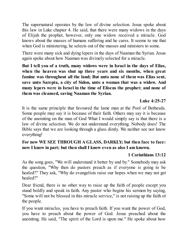The supernatural operates by the law of divine selection. Jesus spoke about this law in Luke chapter 4. He said, that there were many widows in the days of Elijah the prophet, however, only one widow received a miracle. God knows about the masses of humans suffering and he cares. It seems to me that when God is ministering, he selects out of the masses and ministers to some.

There were many sick and dying lepers in the days of Naaman the Syrian. Jesus again spoke about how Naaman was divinely selected for a miracle.

**But I tell you of a truth, many widows were in Israel in the days of Elias, when the heaven was shut up three years and six months, when great famine was throughout all the land; But unto none of them was Elias sent, save unto Sarepta, a city of Sidon, unto a woman that was a widow. And many lepers were in Israel in the time of Eliseus the prophet; and none of them was cleansed, saving Naaman the Syrian.**

#### **Luke 4:25-27**

It is the same principle that favoured the lame man at the Pool of Bethesda. Some people may say it is because of their faith. Others may say it is because of the anointing on the man of God What I would simply say is that there is a law of divine selection. We do not understand everything. Nobody does! The Bible says that we are looking through a glass dimly. We neither see nor know everything!

### **For now WE SEE THROUGH A GLASS, DARKLY; but then face to face: now I know in part; but then shall I know even as also I am known.**

# **1 Corinthians 13:12**

As the song goes, "We will understand it better by and by." Somebody may ask the question, "Why then do pastors preach as if everyone is going to be healed?" They ask, "Why do evangelists raise our hopes when we may not get healed?"

Dear friend, there is no other way to raise up the faith of people except you stand boldly and speak in faith. Any pastor who begins his sermon by saying, "Some will not be blessed in this miracle service," is not raising up the faith of the people.

If you want miracles, you have to preach faith. If you want the power of God, you have to preach about the power of God. Jesus preached about the anointing. He said, "The spirit of the Lord is upon me." He spoke about how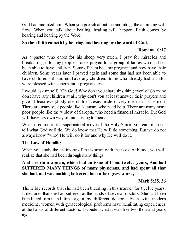God had anointed him. When you preach about the anointing, the anointing will flow. When you talk about healing, healing will happen. Faith comes by hearing and hearing by the Word.

### **So then faith cometh by hearing, and hearing by the word of God.**

### **Romans 10:17**

As a pastor who cares for his sheep very much, I pray for miracles and breakthroughs for my people. I once prayed for a group of ladies who had not been able to have children. Some of them became pregnant and now have their children. Some years later I prayed again and some that had not been able to have children still did not have any children. Some who already had a child, were blessed with supernatural pregnancies.

I would ask myself, "Oh God! Why don't you share this thing evenly? So many don't have any children at all, why don't you at least answer their prayers and give at least everybody one child?" Jesus made it very clear in his sermon. There are many sick people like Naaman, who need help. There are many more poor people like the widow of Sarepta, who need a financial miracle. But God will have his own way of ministering to them.

When it comes to the supernatural move of the Holy Spirit, you can often not tell what God will do. We do know that He will do something. But we do not always know "who" He will do it for and why He will do it.

# **The Law of Humility**

When you study the testimony of the woman with the issue of blood, you will realize that she had been through many things.

### **And a certain woman, which had an issue of blood twelve years, And had SUFFERED MANY THINGS of many physicians, and had spent all that she had, and was nothing bettered, but rather grew worse,**

# **Mark 5:25, 26**

The Bible records that she had been bleeding in this manner for twelve years. It declares that she had suffered at the hands of several doctors. She had been humiliated time and time again by different doctors. Even with modern medicine, women with gynaecological problems have humiliating experiences at the hands of different doctors. I wonder what it was like two thousand years ago.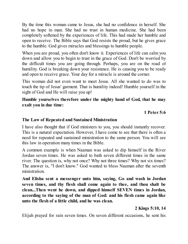By the time this woman came to Jesus, she had no confidence in herself. She had no hope in man. She had no trust in human medicine. She had been completely softened by the experiences of life. This had made her humble and open to receive. The Bible says that God resists the proud, but he gives grace to the humble. God gives miracles and blessings to humble people.

When you are proud, you often don't know it. Experiences of life can calm you down and allow you to begin to trust in the grace of God. Don't be worried by the difficult times you are going through. Perhaps, you are on the road of humility. God is breaking down your resistance. He is causing you to be ready and open to receive grace. Your day for a miracle is around the corner.

This woman did not even want to meet Jesus. All she wanted to do was to touch the tip of Jesus' garment. That is humility indeed! Humble yourself in the sight of God and He will raise you up!

### **Humble yourselves therefore under the mighty hand of God, that he may exalt you in due time:**

**1 Peter 5:6**

### **The Law of Repeated and Sustained Ministration**

I have also thought that if God ministers to you, you should instantly recover. This is a natural expectation. However, I have come to see that there is often a need for repeated and sustained ministration to the same person. You will see this law in operation many times in the Bible.

A common example is when Naaman was asked to dip himself in the River Jordan seven times. He was asked to bath seven different times in the same river. The question is, why not once? Why not three times? Why not six times? The answer is, "I don't know." God wanted to bless Naaman after the seventh ministration.

**And Elisha sent a messenger unto him, saying, Go and wash in Jordan seven times, and thy flesh shall come again to thee, and thou shalt be clean...Then went he down, and dipped himself SEVEN times in Jordan, according to the saying of the man of God: and his flesh came again like unto the flesh of a little child, and he was clean.**

# **2 Kings 5:10, 14**

Elijah prayed for rain seven times. On seven different occasions, he sent his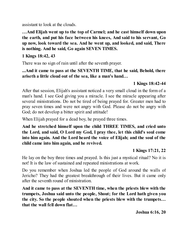assistant to look at the clouds.

**…And Elijah went up to the top of Carmel; and he cast himself down upon the earth, and put his face between his knees, And said to his servant, Go up now, look toward the sea. And he went up, and looked, and said, There is nothing. And he said, Go again SEVEN TIMES.**

### **1 Kings 18:42, 43**

There was no sign of rain until after the seventh prayer.

**...And it came to pass at the SEVENTH TIME, that he said, Behold, there ariseth a little cloud out of the sea, like a man's hand…**

### **1 Kings 18:42-44**

After that session, Elijah's assistant noticed a very small cloud in the form of a man's hand. I see God giving you a miracle. I see the miracle appearing after several ministrations. Do not be tired of being prayed for. Greater men had to pray seven times and were not angry with God. Please do not be angry with God; do not develop a bitter spirit and attitude!

When Elijah prayed for a dead boy, he prayed three times.

**And he stretched himself upon the child THREE TIMES, and cried unto the Lord, and said, O Lord my God, I pray thee, let this child's soul come into him again. And the Lord heard the voice of Elijah; and the soul of the child came into him again, and he revived.**

# **1 Kings 17:21, 22**

He lay on the boy three times and prayed. Is this just a mystical ritual? No it is not! It is the law of sustained and repeated ministrations at work.

Do you remember when Joshua led the people of God around the walls of Jericho? They had the greatest breakthrough of their lives. But it came only after the seventh round of ministration.

**And it came to pass at the SEVENTH time, when the priests blew with the trumpets, Joshua said unto the people, Shout; for the Lord hath given you the city. So the people shouted when the priests blew with the trumpets… that the wall fell down flat…**

**Joshua 6:16, 20**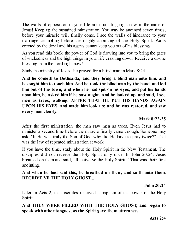The walls of opposition in your life are crumbling right now in the name of Jesus! Keep up the sustained ministration. You may be anointed seven times, before your miracle will finally come. I see the walls of hindrance to your marriage crumbling before the mighty anointing of the Holy Spirit. Walls erected by the devil and his agents cannot keep you out of his blessings.

As you read this book, the power of God is flowing into you to bring the gates of wickedness and the high things in your life crashing down. Receive a divine blessing from the Lord right now!

Study the ministry of Jesus. He prayed for a blind man in Mark 8:24.

**And he cometh to Bethsaida; and they bring a blind man unto him, and besought him to touch him. And he took the blind man by the hand, and led him out of the town; and when he had spit on his eyes, and put his hands upon him, he asked him if he saw ought. And he looked up, and said, I see men as trees, walking. AFTER THAT HE PUT HIS HANDS AGAIN UPON HIS EYES, and made him look up: and he was restored, and saw every man clearly.**

### **Mark 8:22-25**

After the first ministration, the man saw men as trees. Even Jesus had to minister a second time before the miracle finally came through. Someone may ask, "If He was truly the Son of God why did He have to pray twice?" That was the law of repeated ministration at work.

If you have the time, study about the Holy Spirit in the New Testament. The disciples did not receive the Holy Spirit only once. In John 20:24, Jesus breathed on them and said, "Receive ye the Holy Spirit." That was their first anointing.

### **And when he had said this, he breathed on them, and saith unto them, RECEIVE YE THE HOLYGHOST...**

**John 20:24**

Later in Acts 2, the disciples received a baptism of the power of the Holy Spirit.

**And THEY WERE FILLED WITH THE HOLY GHOST, and began to speak with other tongues, as the Spirit gave them utterance.**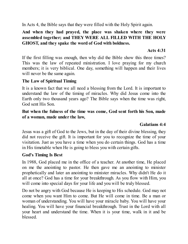In Acts 4, the Bible says that they were filled with the Holy Spirit again.

### **And when they had prayed, the place was shaken where they were assembled together; and THEY WERE ALL FILLED WITH THE HOLY GHOST, and they spake the word of God with boldness.**

#### **Acts 4:31**

If the first filling was enough, then why did the Bible show this three times? This was the law of repeated ministration. I love praying for my church members; it is very biblical. One day, something will happen and their lives will never be the same again.

#### **The Law of Spiritual Timing**

It is a known fact that we all need a blessing from the Lord. It is important to understand the law of the timing of miracles. Why did Jesus come into the Earth only two thousand years ago? The Bible says when the time was right, God sent His Son.

#### **But when the fulness of the time was come, God sent forth his Son, made of a woman, made under the law,**

#### **Galatians 4:4**

Jesus was a gift of God to the Jews, but in the day of their divine blessing, they did not receive the gift. It is important for you to recognize the time of your visitation. Just as you have a time when you do certain things. God has a time in His timetable when He is going to bless you with certain gifts.

#### **God's Timing Is Best**

In 1988, God placed me in the office of a teacher. At another time, He placed on me the anointing to pastor. He then gave me an anointing to minister prophetically and later an anointing to minister miracles. Why didn't He do it all at once? God has a time for your breakthrough. As you flow with Him, you will come into special days for your life and you will be truly blessed.

Do not be angry with God because He is keeping to His schedule. God may not come when you want Him to come. But He will come in time. Be a man or woman of understanding. You will have your miracle baby. You will have your healing. You will have your financial breakthrough. Trust in the Lord with all your heart and understand the time. When it is your time, walk in it and be blessed.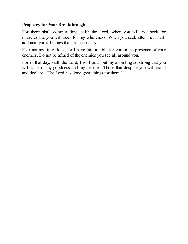### **Prophecy for Your Breakthrough**

For there shall come a time, saith the Lord, when you will not seek for miracles but you will seek for my wholeness. When you seek after me, I will add unto you all things that are necessary.

Fear not my little flock, for I have laid a table for you in the presence of your enemies. Do not be afraid of the enemies you see all around you.

For in that day, saith the Lord, I will pour out my anointing so strong that you will taste of my goodness and my mercies. Those that despise you will stand and declare, "The Lord has done great things for them."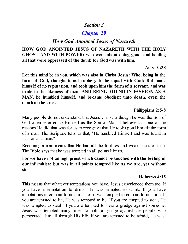# *Section 3*

# *[Chapter](#page-2-0) 29*

# *How God Anointed Jesus of Nazareth*

**HOW GOD ANOINTED JESUS OF NAZARETH WITH THE HOLY GHOST AND WITH POWER: who went about doing good, and healing all that were oppressed of the devil; for God was with him.**

#### **Acts 10:38**

**Let this mind be in you, which was also in Christ Jesus: Who, being in the form of God, thought it not robbery to be equal with God: But made himself of no reputation, and took upon him the form of a servant, and was made in the likeness of men: AND BEING FOUND IN FASHION AS A MAN, he humbled himself, and became obedient unto death, even the death of the cross.**

### **Philippians 2:5-8**

Many people do not understand that Jesus Christ, although he was the Son of God often referred to Himself as the Son of Man. I believe that one of the reasons He did that was for us to recognize that He took upon Himself the form of a man. The Scripture tells us that, "He humbled Himself and was found in fashion as a man."

Becoming a man means that He had all the frailties and weaknesses of man. The Bible says that he was tempted in all points like us.

**For we have not an high priest which cannot be touched with the feeling of our infirmities; but was in all points tempted like as we are, yet without sin.**

# **Hebrews 4:15**

This means that whatever temptations you have, Jesus experienced them too. If you have a temptation to drink, He was tempted to drink. If you have temptations to commit fornication, Jesus was tempted to commit fornication. If you are tempted to lie, He was tempted to lie. If you are tempted to steal, He was tempted to steal. If you are tempted to bear a grudge against someone, Jesus was tempted many times to hold a grudge against the people who persecuted Him all through His life. If you are tempted to be afraid, He was.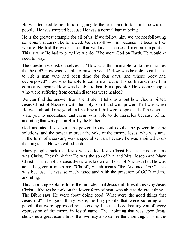He was tempted to be afraid of going to the cross and to face all the wicked people. He was tempted because He was a normal human being.

He is the greatest example for all of us. If we follow him, we are not following someone that cannot be followed. We can follow Him because He became like we are. He had the weaknesses that we have because all men are imperfect. This is why He had to pray like we do. If he were God on Earth, He wouldn't need to pray.

The question we ask ourselves is, "How was this man able to do the miracles that he did? How was he able to raise the dead? How was he able to call back to life a man who had been dead for four days, and whose body had decomposed? How was he able to call a man out of his coffin and make him come alive again? How was he able to heal blind people? How come people who were suffering from certain diseases were healed?"

We can find the answer from the Bible. It tells us about how God anointed Jesus Christ of Nazareth with the Holy Spirit and with power. That was when He went about doing good and healing all that were oppressed of the devil. I want you to understand that Jesus was able to do miracles because of the anointing that was put on Him by the Father.

God anointed Jesus with the power to cast out devils, the power to bring solutions, and the power to break the yoke of the enemy. Jesus, who was now in the form of a servant, was a special servant because he was anointed to do the things that He was called to do.

Many people think that Jesus was called Jesus Christ because His surname was Christ. They think that He was the son of Mr. and Mrs. Joseph and Mary Christ. That is not the case. Jesus was known as Jesus of Nazareth but He was actually given a nickname, "Christ", which means "the Anointed One." This was because He was so much associated with the presence of GOD and the anointing.

This anointing explains to us the miracles that Jesus did. It explains why Jesus Christ, although he took on the lower form of man, was able to do great things. The Bible says He went about doing good. What were the good things that Jesus did? The good things were, healing people that were suffering and people that were oppressed by the enemy. I see the Lord healing you of every oppression of the enemy in Jesus' name! The anointing that was upon Jesus shows us a great example so that we may also desire the anointing. This is the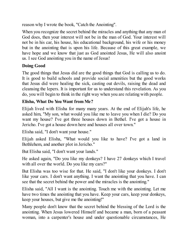reason why I wrote the book, "Catch the Anointing".

When you recognize the secret behind the miracles and anything that any man of God does, then your interest will not be in the man of God. Your interest will not be in his car, his house, his educational background, his wife or his money but in the anointing that is upon his life. Because of this great example, we have hope and we know that just as God anointed Jesus, He will also anoint us. I see God anointing you in the name of Jesus!

## **Doing Good**

The good things that Jesus did are the good things that God is calling us to do. It is good to build schools and provide social amenities but the good works that Jesus did were healing the sick, casting out devils, raising the dead and cleansing the lepers. It is important for us to understand this revelation. As you do, you will begin to think in the right way when you are relating with people.

# **Elisha, What Do You Want from Me?**

Elijah lived with Elisha for many many years. At the end of Elijah's life, he asked him, "My son, what would you like me to leave you when I die? Do you want my house? I've got three houses down in Bethel. I've got a house in Jericho. I've got a house down here and houses all over town."

Elisha said, "I don't want your house."

Elijah asked Elisha, "What would you like to have? I've got a land in Bethlehem, and another plot in Jericho."

But Elisha said, "I don't want your lands."

He asked again, "Do you like my donkeys? I have 27 donkeys which I travel with all over the world. Do you like my cars?"

But Elisha was too wise for that. He said, "I don't like your donkeys. I don't like your cars. I don't want anything. I want the anointing that you have. I can see that the secret behind the power and the miracles is the anointing."

Elisha said, "All I want is the anointing. Touch me with the anointing. Let me have two times the anointing that you have. Keep your cars, keep your donkeys, keep your houses, but give me the anointing!"

Many people don't know that the secret behind the blessing of the Lord is the anointing. When Jesus lowered Himself and became a man, born of a peasant woman, into a carpenter's house and under questionable circumstances, He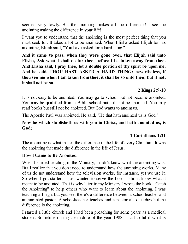seemed very lowly. But the anointing makes all the difference! I see the anointing making the difference in your life!

I want you to understand that the anointing is the most perfect thing that you must seek for. It takes a lot to be anointed. When Elisha asked Elijah for his anointing, Elijah said, "You have asked for a hard thing."

**And it came to pass, when they were gone over, that Elijah said unto Elisha, Ask what I shall do for thee, before I be taken away from thee. And Elisha said, I pray thee, let a double portion of thy spirit be upon me. And he said, THOU HAST ASKED A HARD THING: nevertheless, if thou see me when I am taken from thee, it shall be so unto thee; but if not, it shall not be so.**

#### **2 Kings 2:9-10**

It is not easy to be anointed. You may go to school but not become anointed. You may be qualified from a Bible school but still not be anointed. You may read books but still not be anointed. But God wants to anoint us.

The Apostle Paul was anointed. He said, "He that hath anointed us is God."

#### **Now he which stablisheth us with you in Christ, and hath anointed us, is God;**

## **2 Corinthians 1:21**

The anointing is what makes the difference in the life of every Christian. It was the anointing that made the difference in the life of Jesus.

#### **How I Came to Be Anointed**

When I started teaching in the Ministry, I didn't know what the anointing was. But I realize that you don't need to understand how the anointing works. Many of us do not understand how the television works, for instance, yet we use it. So when I got started, I just wanted to serve the Lord. I didn't know what it meant to be anointed. That is why later in my Ministry I wrote the book, "Catch the Anointing" to help others who want to learn about the anointing. I was teaching all right but you see, there's a difference between a schoolteacher and an anointed pastor. A schoolteacher teaches and a pastor also teaches but the difference is the anointing.

I started a little church and I had been preaching for some years as a medical student. Sometime during the middle of the year 1988, I had to fulfil what is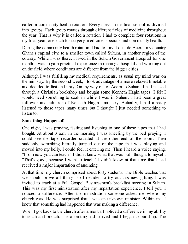called a community health rotation. Every class in medical school is divided into groups. Each group rotates through different fields of medicine throughout the year. That is why it is called a rotation. I had to complete four rotations in my final year, one each for surgery, medicine, specials and community health.

During the community health rotation, I had to travel outside Accra, my country Ghana's capital city, to a smaller town called Suhum, in another region of the country. While I was there, I lived in the Suhum Government Hospital for one month. I was to gain practical experience in running a hospital and working out on the field where conditions are different from the bigger cities.

Although I was fulfilling my medical requirements, as usual my mind was on the ministry. By the second week, I took advantage of a more relaxed timetable and decided to fast and pray. On my way out of Accra to Suhum, I had passed through a Christian bookshop and bought some Kenneth Hagin tapes. I felt I would need something to soak in while I was in Suhum. I had been a great follower and admirer of Kenneth Hagin's ministry. Actually, I had already listened to those tapes many times but I thought I just needed something to listen to.

## **Something Happened!**

One night, I was praying, fasting and listening to one of these tapes that I had bought. At about 3 a.m. in the morning I was kneeling by the bed praying. I could see the tape recorder situated at the other end of the room. Then suddenly, something literally jumped out of the tape that was playing and moved into my belly. I could feel it entering me. Then I heard a voice saying, "From now you can teach." I didn't know what that was but I thought to myself, "That's good, because I want to teach." I didn't know at that time that I had received a major impartation of anointing.

At that time, my church comprised about forty students. The Bible teaches that we should prove all things, so I decided to try out this new gifting. I was invited to teach at a Full Gospel Businessmen's breakfast meeting in Suhum. This was my first ministration after my impartation experience. I tell you, I noticed a difference. After the ministration someone asked me where my church was. He was surprised that I was an unknown minister. Within me, I knew that something had happened that was making a difference.

When I got back to the church after a month, I noticed a difference in my ability to teach and preach. The anointing had arrived and I began to build up. The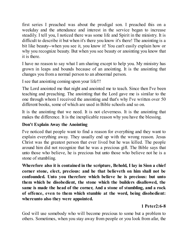first series I preached was about the prodigal son. I preached this on a weekday and the attendance and interest in the service began to increase steadily. I tell you, I noticed there was some life and Spirit in the ministry. It is difficult to describe it but when it's there you know it's there! The anointing is a bit like beauty--when you see it, you know it! You can't easily explain how or why you recognize beauty. But when you see beauty or anointing you know that it is there.

I have no reason to say what I am sharing except to help you. My ministry has grown in leaps and bounds because of an anointing. It is the anointing that changes you from a normal person to an abnormal person.

I see that anointing coming upon your life!!!

The Lord anointed me that night and anointed me to teach. Since then I've been teaching and preaching. The anointing that the Lord gave me is similar to the one through whom I received the anointing and that's why I've written over 50 different books, some of which are used in Bible schools and so on.

It is the anointing that we need. It is not cleverness. It is the anointing that makes the difference. It is the inexplicable reason why you have the blessing.

## **Don't Explain Away the Anointing**

I've noticed that people want to find a reason for everything and they want to explain everything away. They usually end up with the wrong reason. Jesus Christ was the greatest person that ever lived but he was killed. The people around him did not recognize that he was a precious gift. The Bible says that unto those who believe, he is precious but unto those who believe not he is a stone of stumbling.

**Wherefore also it is contained in the scripture, Behold, I lay in Sion a chief corner stone, elect, precious: and he that believeth on him shall not be confounded. Unto you therefore which believe he is precious: but unto them which be disobedient, the stone which the builders disallowed, the same is made the head of the corner, And a stone of stumbling, and a rock of offence, even to them which stumble at the word, being disobedient: whereunto also they were appointed.**

# **1 Peter2:6-8**

God will use somebody who will become precious to some but a problem to others. Sometimes, when you stay away from people or you look from afar, the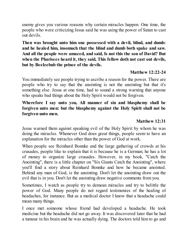enemy gives you various reasons why certain miracles happen. One time, the people who were criticizing Jesus said he was using the power of Satan to cast out devils.

**Then was brought unto him one possessed with a devil, blind, and dumb: and he healed him, insomuch that the blind and dumb both spake and saw. And all the people were amazed, and said, Is not this the son of David? But when the Pharisees heard it, they said, This fellow doth not cast out devils, but by Beelzebub the prince of the devils.**

#### **Matthew 12:22-24**

You immediately see people trying to ascribe a reason for the power. There are people who try to say that the anointing is not the anointing but that it's something else. Jesus at one time, had to sound a strong warning that anyone who speaks bad things about the Holy Spirit would not be forgiven.

### **Wherefore I say unto you, All manner of sin and blasphemy shall be forgiven unto men: but the blasphemy against the Holy Spirit shall not be forgiven unto men.**

### **Matthew 12:31**

Jesus warned them against speaking evil of the Holy Spirit by whom he was doing the miracles. Whenever God does great things, people seem to have an explanation for the miracles other than the power of God at work.

When people see Reinhard Bonnke and the large gathering of crowds at his crusades, people like to explain that it is because he is a German; he has a lot of money to organize large crusades. However, in my book, "Catch the Anointing", there is a little chapter on "Six Giants Catch the Anointing", where you'll find a story about Reinhard Bonnke and how he became anointed. Behind any man of God, is the anointing. Don't let the anointing draw out the evil that is in you. Don't let the anointing draw negative comments from you.

Sometimes, I watch as people try to demean miracles and try to belittle the power of God. Many people do not regard testimonies of the healing of headaches, for instance. But as a medical doctor I know that a headache could mean many things.

I once met someone whose friend had developed a headache. He took medicine but the headache did not go away. It was discovered later that he had a tumour in his brain and he was actually dying. The doctors told him to go and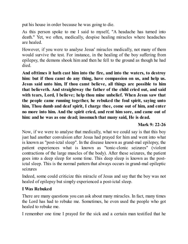put his house in order because he was going to die.

As this person spoke to me I said to myself, "A headache has turned into death." Yet, we often, medically, despise healing miracles where headaches are healed.

However, if you were to analyse Jesus' miracles medically, not many of them would survive the test. For instance, in the healing of the boy suffering from epilepsy, the demons shook him and then he fell to the ground as though he had died.

**And ofttimes it hath cast him into the fire, and into the waters, to destroy him: but if thou canst do any thing, have compassion on us, and help us. Jesus said unto him, If thou canst believe, all things are possible to him that believeth. And straightway the father of the child cried out, and said with tears, Lord, I believe; help thou mine unbelief. When Jesus saw that the people came running together, he rebuked the foul spirit, saying unto him, Thou dumb and deaf spirit, I charge thee, come out of him, and enter no more into him. And the spirit cried, and rent him sore, and came out of him: and he was as one dead; insomuch that many said, He is dead.**

## **Mark 9: 22-26**

Now, if we were to analyse that medically, what we could say is that this boy just had another convulsion after Jesus had prayed for him and went into what is known as "post-ictal sleep". In the disease known as grand-mal epilepsy, the patient experiences what is known as "tonic-clonic seizures" (violent contractions of the large muscles of the body). After these seizures, the patient goes into a deep sleep for some time. This deep sleep is known as the postictal sleep. This is the normal pattern that always occurs in grand-mal epileptic seizures

Indeed, some could criticize this miracle of Jesus and say that the boy was not healed of epilepsy but simply experienced a post-ictal sleep.

#### **I Was Rebuked**

There are many questions you can ask about many miracles. In fact, many times the Lord has had to rebuke me. Sometimes, he even used the people who got healed to rebuke me.

I remember one time I prayed for the sick and a certain man testified that he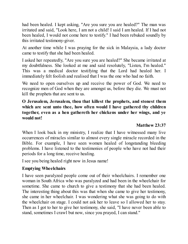had been healed. I kept asking, "Are you sure you are healed?" The man was irritated and said, "Look here, I am not a child! I said I am healed. If I had not been healed, I would not come here to testify." I had been rebuked soundly by this irritated testimony-giver.

At another time while I was praying for the sick in Malaysia, a lady doctor came to testify that she had been healed.

I asked her repeatedly, "Are you sure you are healed?" She became irritated at my doubtfulness. She looked at me and said resolutely, "Listen, I'm healed." This was a medical doctor testifying that the Lord had healed her. I immediately felt foolish and realised that I was the one who had no faith.

We need to open ourselves up and receive the power of God. We need to recognize men of God when they are amongst us, before they die. We must not kill the prophets that are sent to us.

## **O Jerusalem, Jerusalem, thou that killest the prophets, and stonest them which are sent unto thee, how often would I have gathered thy children together, even as a hen gathereth her chickens under her wings, and ye would not!**

## **Matthew 23:37**

When I look back in my ministry, I realize that I have witnessed many live occurrences of miracles similar to almost every single miracle recorded in the Bible. For example, I have seen women healed of longstanding bleeding problems. I have listened to the testimonies of people who have not had their periods for a long time, receive healing.

I see you being healed right now in Jesus name!

## **Emptying Wheelchairs**

I have seen paralyzed people come out of their wheelchairs. I remember one woman in South Africa who was paralyzed and had been in the wheelchair for sometime. She came to church to give a testimony that she had been healed. The interesting thing about this was that when she came to give her testimony, she came in her wheelchair. I was wondering what she was going to do with the wheelchair on stage. I could not ask her to leave so I allowed her to stay. Then as I got to her to give her testimony, she said, "I have never been able to stand, sometimes I crawl but now, since you prayed, I can stand."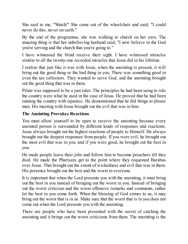She said to me, "Watch!" She came out of the wheelchair and said, "I could never do this, never on earth."

By the end of the programme, she was walking to church on her own. The amazing thing is that her unbelieving husband said, "I now believe in the God you're serving and the church that you're going to."

I have witnessed the blind receive their sight. I have witnessed miracles similar to all the twenty-one recorded miracles that Jesus did in his lifetime.

I realize that just like it was with Jesus, when the anointing is present, it will bring out the good thing or the bad thing in you. There was something good in even the tax collectors. They wanted to serve God, and the anointing brought out the good thing that was in them.

Pilate was supposed to be a just ruler. The principles he had been using to rule the country were what he used in the case of Jesus. He proved that he had been running the country with injustice. He demonstrated that he did things to please men. His meeting with Jesus brought out the evil that was in him.

## **The Anointing Provokes Reactions**

You must allow yourself to be open to receive the anointing because every anointed person is surrounded by different kinds of responses and reactions. Jesus always brought out the highest reactions of people to Himself. He always brought out the deepest responses from people. If you were evil, he brought out the most evil that was in you, and if you were good, he brought out the best in you.

He made people leave their jobs and follow him to become preachers till they died. He made the Pharisees get to the point where they requested Barabas over Jesus. That brought out the extent of wickedness and evil that was in them. His presence brought out the best and the worst in everyone.

It is important that when the Lord presents you with the anointing, it must bring out the best in you instead of bringing out the worst in you. Instead of bringing out the worst criticism and the worst offensive remarks and comments, rather let the best in you come forth. When the blessing of God comes to us, it may bring out the worst that is in us. Make sure that the worst that is in you does not come out when the Lord presents you with the anointing.

There are people who have been presented with the secret of catching the anointing and it brings out the worst criticisms from them. The anointing is the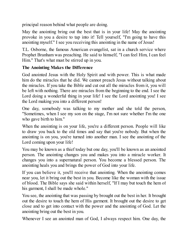principal reason behind what people are doing.

May the anointing bring out the best that is in your life! May the anointing provoke in you a desire to tap into it! Tell yourself, "I'm going to have this anointing myself." I see you receiving this anointing in the name of Jesus!

T.L. Osborne, the famous American evangelist, sat in a church service where Prophet Branham was preaching. He said to himself, "I can feel Him, I can feel Him." That's what must be stirred up in you.

## **The Anointing Makes the Difference**

God anointed Jesus with the Holy Spirit and with power. This is what made him do the miracles that he did. We cannot preach Jesus without talking about the miracles. If you take the Bible and cut out all the miracles from it, you will be left with nothing. There are miracles from the beginning to the end. I see the Lord doing a wonderful thing in your life! I see the Lord anointing you! I see the Lord making you into a different person!

One day, somebody was talking to my mother and she told the person, "Sometimes, when I see my son on the stage, I'm not sure whether I'm the one who gave birth to him."

When the anointing is on your life, you're a different person. People will like to draw you back to the old times and say that you're nobody. But when the anointing is on you, you're turned into another man. I see the anointing of the Lord coming upon your life!

You may be known as a thief today but one day, you'll be known as an anointed person. The anointing changes you and makes you into a miracle worker. It changes you into a supernatural person. You become a blessed person. The anointing heals you and brings the power of God into your life.

If you can believe it, you'll receive that anointing. When the anointing comes near you, let it bring out the best in you. Become like the woman with the issue of blood. The Bible says she said within herself, "If I may but touch the hem of his garment, I shall be made whole."

You see, the anointing that was passing by brought out the best in her. It brought out the desire to touch the hem of His garment. It brought out the desire to get close and to get into contact with the power and the anointing of God. Let the anointing bring out the best in you.

Whenever I see an anointed man of God, I always respect him. One day, the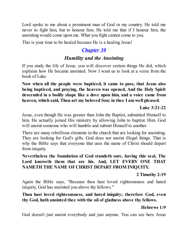Lord spoke to me about a prominent man of God in my country. He told me never to fight him, but to honour him. He told me that if I honour him, the anointing would come upon me. What you fight cannot come to you.

This is your time to be healed because He is a healing Jesus!

# *[Chapter](#page-2-0) 30*

# *Humility and the Anointing*

If you study the life of Jesus, you will discover certain things He did, which explains how He became anointed. Now I want us to look at a verse from the book of Luke.

**Now when all the people were baptized, it came to pass, that Jesus also being baptized, and praying, the heaven was opened, And the Holy Spirit descended in a bodily shape like a dove upon him, and a voice came from heaven, which said, Thou art my beloved Son; in thee I am well pleased.**

#### **Luke 3:21-22**

Jesus, even though He was greater than John the Baptist, submitted Himself to him. He actually joined His ministry by allowing John to baptize Him. God will anoint someone who will humble and submit Himself to another.

There are many rebellious elements in the church that are looking for anointing. They are looking for God's gifts. God does not anoint illegal things. That is why the Bible says that everyone that uses the name of Christ should depart from iniquity.

### **Nevertheless the foundation of God standeth sure, having this seal, The Lord knoweth them that are his. And, LET EVERY ONE THAT NAMETH THE NAME OFCHRIST DEPART FROM INIQUITY.**

## **2 Timothy 2:19**

Again the Bible says, "Because thou hast loved righteousness and hated iniquity, God has anointed you above thy fellows."

## **Thou hast loved righteousness, and hated iniquity; therefore God, even thy God, hath anointed thee with the oil of gladness above thy fellows.**

## **Hebrews 1:9**

God doesn't just anoint everybody and just anyone. You can see here Jesus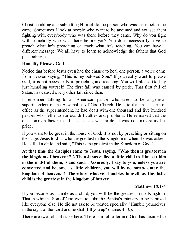Christ humbling and submitting Himself to the person who was there before he came. Sometimes I look at people who want to be anointed and you see them fighting with everybody who was there before they came. Why do you fight with somebody who was there before you? You don't necessarily have to preach what he's preaching or teach what he's teaching. You can have a different message. We all have to learn to acknowledge the fathers that God puts before us.

## **Humility Pleases God**

Notice that before Jesus even had the chance to heal one person, a voice came from Heaven saying, "This is my beloved Son." If you really want to please God, it is not necessarily in preaching and teaching. You will please God by just humbling yourself. The first fall was caused by pride. That first fall of Satan, has caused every other fall since then.

I remember talking to an American pastor who used to be a general superintendent of the Assemblies of God Church. He said that in his term of office as the superintendent, he had dealt with one thousand and five hundred pastors who fell into various difficulties and problems. He remarked that the one common factor in all these cases was pride. It was not immorality but pride.

If you want to be great in the house of God, it is not by preaching or sitting on the stage. Jesus told us who the greatest in the Kingdom is when He was asked. He called a child and said, "This is the greatest in the Kingdom of God."

**At that time the disciples came to Jesus, saying, "Who then is greatest in the kingdom of heaven?" 2 Then Jesus called a little child to Him, set him in the midst of them, 3 and said, "Assuredly, I say to you, unless you are converted and become as little children, you will by no means enter the kingdom of heaven. 4 Therefore whoever humbles himself as this little child is the greatest in the kingdom of heaven.**

## **Matthew 18:1-4**

If you become as humble as a child, you will be the greatest in the Kingdom. That is why the Son of God went to John the Baptist's ministry to be baptized like everyone else. He did not ask to be treated specially. "Humble yourselves in the sight of the Lord and he shall lift you up" (James 4:10).

There are two jobs at stake here. There is a job offer and God has decided to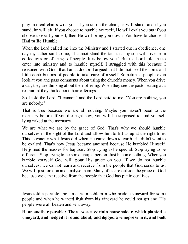play musical chairs with you. If you sit on the chair, he will stand, and if you stand, he will sit. If you choose to humble yourself, He will exalt you but if you choose to exalt yourself, then He will bring you down. You have to choose. **I Had to Be Humble**

When the Lord called me into the Ministry and I started out in obedience, one day my father said to me, "I cannot stand the fact that my son will live from collections or offerings of people. It is below you." But the Lord told me to enter into ministry and to humble myself. I struggled with this because I reasoned with God, that I am a doctor. I argued that I did not need the coins and little contributions of people to take care of myself. Sometimes, people even look at you and pass comments about using the church's money. When you drive a car, they are thinking about their offering. When they see the pastor eating at a restaurant they think about their offerings.

So I told the Lord, "I cannot," and the Lord said to me, "You are nothing, you are nobody."

That is true because we are all nothing. Maybe you haven't been to the mortuary before. If you die right now, you will be surprised to find yourself lying naked at the mortuary.

We are what we are by the grace of God. That's why we should humble ourselves in the sight of the Lord and allow him to lift us up at the right time. This is exactly what Jesus did when He came down to earth. He didn't want to be exalted. That's how Jesus became anointed because He humbled Himself. He joined the masses for baptism. Stop trying to be special. Stop trying to be different. Stop trying to be some unique person. Just become nothing. When you humble yourself God will pour His grace on you. If we do not humble ourselves, we cannot learn and receive from the people that God sends to us. We will just look on and analyse them. Many of us are outside the grace of God because we can't receive from the people that God has put in our lives.

Jesus told a parable about a certain nobleman who made a vineyard for some people and when he wanted fruit from his vineyard he could not get any. His people were all beaten and sent away.

**Hear another parable: There was a certain householder, which planted a vineyard, and hedged it round about, and digged a winepress in it, and built**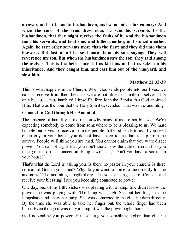**a tower, and let it out to husbandmen, and went into a far country: And when the time of the fruit drew near, he sent his servants to the husbandmen, that they might receive the fruits of it. And the husbandmen took his servants, and beat one, and killed another, and stoned another. Again, he sent other servants more than the first: and they did unto them likewise. But last of all he sent unto them his son, saying, They will reverence my son. But when the husbandmen saw the son, they said among themselves, This is the heir; come, let us kill him, and let us seize on his inheritance. And they caught him, and cast him out of the vineyard, and slew him.**

#### **Matthew 21:33-39**

This is what happens in the Church. When God sends people into our lives, we cannot receive from them because we are not able to humble ourselves. It is only because Jesus humbled Himself before John the Baptist that God anointed Him. That was the hour that the Holy Spirit descended. That was the anointing.

#### **Connect to God through His Anointed**

The absence of humility is the reason why many of us are not blessed. We're expecting somebody to come from somewhere to be a blessing to us. We must humble ourselves to receive from the people that God sends to us. If you need electricity in your home, you do not have to go to the dam to tap from the source. People will think you are mad. You cannot claim that you want direct power. You cannot argue that you don't know how the cables run and so you must get the direct connection. People will ask, "Don't you have a socket in your house?"

That's what the Lord is asking you. Is there no pastor in your church? Is there no man of God in your land? Why do you want to come to me directly for the anointing? The anointing is right there. The socket is right here. Connect and receive your blessing! I see you becoming connected to power!

One day, one of my little sisters was playing with a lamp. She didn't know the power she was playing with. The lamp was high. She put her finger in the lampshade and I saw her jump. She was connected to the electric dam directly. By the time she was able to take her finger out, the whole finger had been burnt. Even though it was only a lamp, it was the power right there.

God is sending you power. He's sending you something higher than electric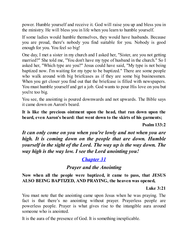power. Humble yourself and receive it. God will raise you up and bless you in the ministry. He will bless you in life when you learn to humble yourself.

If some ladies would humble themselves, they would have husbands. Because you are proud, there's nobody you find suitable for you. Nobody is good enough for you. You feel so big!

One day, I met a sister in my church and I asked her, "Sister, are you not getting married?" She told me, "You don't have my type of husband in the church." So I asked her, "Which type are you?" Jesus could have said, "My type is not being baptized now. I'm waiting for my type to be baptized." There are some people who walk around with big briefcases as if they are some big businessmen. When you get closer you find out that the briefcase is filled with newspapers. You must humble yourself and get a job. God wants to pour His love on you but you're too big.

You see, the anointing is poured downwards and not upwards. The Bible says it came down on Aaron's beard.

**It is like the precious ointment upon the head, that ran down upon the beard, even Aaron's beard: that went down to the skirts of his garments;**

**Psalm 133:2**

*It can only come on you when you're lowly and not when you are high. It is coming down on the people that are down. Humble yourself in the sight of the Lord. The way up is the way down. The way high is the way low. I see the Lord anointing you!*

# *[Chapter](#page-2-0) 31*

# *Prayer and the Anointing*

**Now when all the people were baptized, it came to pass, that JESUS ALSO BEING BAPTIZED, AND PRAYING, the heaven was opened,**

#### **Luke 3:21**

You must note that the anointing came upon Jesus when he was praying. The fact is that there's no anointing without prayer. Prayerless people are powerless people. Prayer is what gives rise to the intangible aura around someone who is anointed.

It is the aura of the presence of God. It is something inexplicable.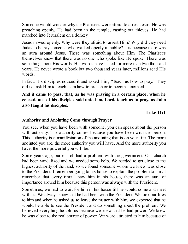Someone would wonder why the Pharisees were afraid to arrest Jesus. He was preaching openly. He had been in the temple, casting out thieves. He had marched into Jerusalem on a donkey.

Jesus moved openly. Why were they afraid to arrest Him? Why did they need Judas to betray someone who walked openly in public? It is because there was an aura around Jesus. There was something about Him. The Pharisees themselves knew that there was no one who spoke like He spoke. There was something about His words. His words have lasted for more than two thousand years. He never wrote a book but two thousand years later, millions read His words.

In fact, His disciples noticed it and asked Him, "Teach us how to pray." They did not ask Him to teach them how to preach or to become anointed.

**And it came to pass, that, as he was praying in a certain place, when he ceased, one of his disciples said unto him, Lord, teach us to pray, as John also taught his disciples.**

**Luke 11:1**

#### **Authority and Anointing Come through Prayer**

You see, when you have been with someone, you can speak about the person with authority. The authority comes because you have been with the person. This authority is a manifestation of the anointing that is on your life. The more anointed you are, the more authority you will have. And the more authority you have, the more powerful you will be.

Some years ago, our church had a problem with the government. Our church had been vandalized and we needed some help. We needed to get close to the highest authority of the land, so we found someone whom we knew was close to the President. I remember going to his house to explain the problem to him. I remember that every time I saw him in his house, there was an aura of importance around him because this person was always with the President.

Sometimes, we had to wait for him in his house till he would come and meet with us. We always knew that he had been with the President. We took our files to him and when he asked us to leave the matter with him, we expected that he would be able to see the President and do something about the problem. We believed everything he told us because we knew that he had power. We knew he was close to the real source of power. We were attracted to him because of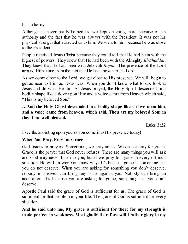his authority.

Although he never really helped us, we kept on going there because of his authority and the fact that he was always with the President. It was not his physical strength that attracted us to him. We went to him because he was close to the President.

People received Jesus Christ because they could tell that He had been with the highest of powers. They knew that He had been with the Almighty *El-Shaddai*. They knew that He had been with Jehovah *Rophe*. The presence of the Lord around Him came from the fact that He had spoken to the Lord.

As we come close to the Lord, we get close to His presence. We will begin to get as near to Him as Jesus was. When you don't know what to do, look at Jesus and do what He did. As Jesus prayed, the Holy Spirit descended in a bodily shape like a dove upon Him and a voice came from Heaven which said, "This is my beloved Son."

**…And the Holy Ghost descended in a bodily shape like a dove upon him, and a voice came from heaven, which said, Thou art my beloved Son; in thee I am well pleased.**

**Luke 3:22**

I see the anointing upon you as you come into His presence today!

## **When You Pray, Pray for Grace**

God listens to prayers. Sometimes, we pray amiss. We do not pray for grace. Grace is the prayer that God never refuses. There are many things you will ask and God may never listen to you, but if we pray for grace in every difficult situation, He will answer You know why? It's because grace is something that you do not deserve. When you are asking for something you don't deserve, nobody in Heaven can bring any issue against you. Nobody can bring an accusation. It's because you are asking for grace, something that you don't deserve.

Apostle Paul said the grace of God is sufficient for us. The grace of God is sufficient for that problem in your life. The grace of God is sufficient for every situation.

**And he said unto me, My grace is sufficient for thee: for my strength is made perfect in weakness. Most gladly therefore will I rather glory in my**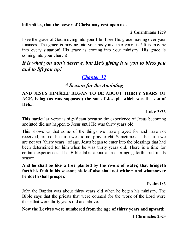#### **infirmities, that the power of Christ may rest upon me.**

#### **2 Corinthians 12:9**

I see the grace of God moving into your life! I see His grace moving over your finances. The grace is moving into your body and into your life! It is moving into every situation! His grace is coming into your ministry! His grace is coming into your church!

# *It is what you don't deserve, but He's giving it to you to bless you and to lift you up!*

# *[Chapter](#page-2-0) 32*

# *A Season for the Anointing*

### **AND JESUS HIMSELF BEGAN TO BE ABOUT THIRTY YEARS OF AGE, being (as was supposed) the son of Joseph, which was the son of Heli...**

#### **Luke 3:23**

This particular verse is significant because the experience of Jesus becoming anointed did not happen to Jesus until He was thirty years old.

This shows us that some of the things we have prayed for and have not received, are not because we did not pray aright. Sometimes it's because we are not yet "thirty years" of age. Jesus began to enter into the blessings that had been determined for him when he was thirty years old. There is a time for certain experiences. The Bible talks about a tree bringing forth fruit in its season.

**And he shall be like a tree planted by the rivers of water, that bringeth forth his fruit in his season; his leaf also shall not wither; and whatsoever he doeth shall prosper.**

#### **Psalm 1:3**

John the Baptist was about thirty years old when he began his ministry. The Bible says that the priests that were counted for the work of the Lord were those that were thirty years old and above.

## **Now the Levites were numbered from the age of thirty years and upward:**

#### **1 Chronicles 23:3**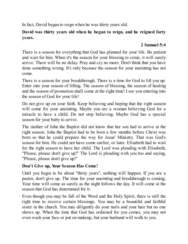In fact, David began to reign when he was thirty years old.

## **David was thirty years old when he began to reign, and he reigned forty years.**

## **2 Samuel 5:4**

There is a season for everything that God has planned for your life. Be patient and wait for him. When it's the season for your blessing to come, it will surely arrive. There will be no delay. Pray and cry no more. Don't think that you have done something wrong. It's only because the season for your anointing has not come.

There is a season for your breakthrough. There is a time for God to lift you up. Enter into your season of lifting. The season of blessing, the season of healing and the season of promotion shall come at the right time! I see you entering into the season of God for your life!

Do not give up on your faith. Keep believing and hoping that the right season will come for your anointing. Maybe you are a woman believing God for a miracle to have a child. Do not stop believing. Maybe God has a special season for your baby to arrive.

The mother of John the Baptist did not know that her son had to arrive at the right season. John the Baptist had to be born a few months before Christ was born so that he could prepare the way for Jesus' Ministry. That was God's season for him. He could not have come earlier, or later. Elizabeth had to wait for the right season to have her child. The Lord was pleading with Elizabeth, "Please, please don't give up!" The Lord is pleading with you too and saying, "Please, please don't give up!"

## **Don't Give up, Your Season Has Come!**

Until you begin to be about "thirty years", nothing will happen. If you are a pastor, don't give up. The time for your anointing and breakthrough is coming. Your time will come as surely as the night follows the day. It will come at the season that God has determined for it.

Even though you may be full of the Word and the Holy Spirit, there is still the right time to receive certain blessings. You may be a beautiful and faithful sister in the church. You may diligently do your nails and your hair but no one shows up. When the time that God has ordained for you comes, you may not even wash your face or put on makeup, but your husband will walk to you.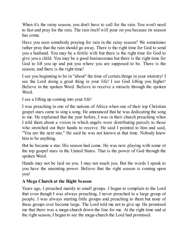When it's the rainy season, you don't have to call for the rain. You won't need to fast and pray for the rain. The rain itself will pour on you because its season has come.

Have you seen somebody praying for rain in the rainy season? We sometimes rather pray that the rain should go away. There is the right time for God to send you a husband. You may be a fertile wife but there is the right time for God to give you a child. You may be a good businessman but there is the right time for God to lift you up and put you where you are supposed to be. There is the season, and there is the right time!

I see you beginning to be in "about" the time of certain things in your ministry! I see the Lord doing a great thing in your life! I see God lifting you higher! Believe in the spoken Word. Believe to receive a miracle through the spoken Word.

I see a lifting up coming into your life!

I was preaching in one of the nations of Africa when one of their top Christian gospel stars came to sing a song. He announced that he was dedicating the song to me. He explained that the year before, I was in their church preaching when I told them about a vision in which angels were distributing parcels to those who stretched out their hands to receive. He said I pointed to him and said, "You are the next star." He said he was not known at that time. Nobody knew him to be anything.

But he became a star. His season had come. He was now playing with some of the top gospel stars in the United States. That is the power of God through the spoken Word.

Hands may not be laid on you. I may not touch you. But the words I speak to you have the anointing power. Believe that the right season is coming upon you!

## **A Mega Church at the Right Season**

Years ago, I preached mainly to small groups. I began to complain to the Lord that even though I was always preaching, I never preached to a large group of people. I was always starting little groups and preaching to them but none of these groups ever became large. The Lord told me not to give up. He promised me that there was a mega-church down the line for me. At the right time and at the right season, I began to see the mega-church the Lord had promised.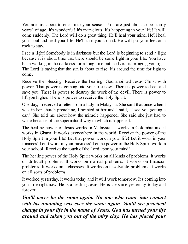You are just about to enter into your season! You are just about to be "thirty years" of age. It's wonderful! It's marvelous! It's happening in your life! It will come suddenly! The Lord will do a great thing. He'll heal your mind. He'll heal your soul and heal your life. He'll turn you around. He will put your feet on a rock to stay.

I see a light! Somebody is in darkness but the Lord is beginning to send a light because it is about time that there should be some light in your life. You have been walking in the darkness for a long time but the Lord is bringing you light. The Lord is saying that the sun is about to rise. It's around the time for light to come.

Receive the blessing! Receive the healing! God anointed Jesus Christ with power. That power is coming into your life now! There is power to heal and save you. There is power to destroy the work of the devil. There is power to lift you higher. There is power to receive the Holy Spirit.

One day, I received a letter from a lady in Malaysia. She said that once when I was in her church preaching, I pointed at her and I said, "I see you getting a car." She told me about how the miracle happened. She said she just had to write because of the supernatural way in which it happened.

The healing power of Jesus works in Malaysia, it works in Colombia and it works in Ghana. It works everywhere in the world. Receive the power of the Holy Spirit in your life! Let that power work in your life! Let it work in your finances! Let it work in your business! Let the power of the Holy Spirit work in your school! Receive the touch of the Lord upon your mind!

The healing power of the Holy Spirit works on all kinds of problems. It works on difficult problems. It works on marital problems. It works on financial problems. It works on sicknesses. It works on unsolvable problems. It works on all sorts of problems.

It worked yesterday, it works today and it will work tomorrow. It's coming into your life right now. He is a healing Jesus. He is the same yesterday, today and forever.

*You'll never be the same again. No one who came into contact with his anointing was ever the same again. You'll see practical change in your life in the name of Jesus. God has turned your life around and taken you out of the miry clay. He has placed your*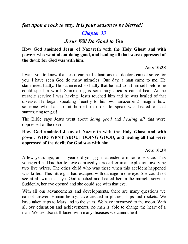*feet upon a rock to stay. It is your season to be blessed!*

# *[Chapter](#page-2-0) 33*

## *Jesus Will Do Good to You*

**How God anointed Jesus of Nazareth with the Holy Ghost and with power: who went about doing good, and healing all that were oppressed of the devil; for God was with him.**

#### **Acts 10:38**

I want you to know that Jesus can heal situations that doctors cannot solve for you. I have seen God do many miracles. One day, a man came to me. He stammered badly. He stammered so badly that he had to hit himself before he could speak a word. Stammering is something doctors cannot heal. At the miracle service I was having, Jesus touched him and he was healed of that disease. He began speaking fluently to his own amazement! Imagine how someone who had to hit himself in order to speak was healed of that stammering tongue!

The Bible says Jesus went about *doing good* and *healing all* that were oppressed of the devil.

### **How God anointed Jesus of Nazareth with the Holy Ghost and with power: WHO WENT ABOUT DOING GOOD, and healing all that were oppressed of the devil; for God was with him.**

## **Acts 10:38**

A few years ago, an 11-year-old young girl attended a miracle service. This young girl had had her left eye damaged years earlier in an explosion involving two live wires. The other child who was there when this accident happened was killed. This little girl had escaped with damage in one eye. She could not see at all with that eye. God touched and healed her in the miracle service. Suddenly, her eye opened and she could see with that eye.

With all our advancements and developments, there are many questions we cannot answer. Human beings have created airplanes, ships and rockets. We have taken trips to Mars and to the stars. We have journeyed to the moon. With all our education and achievements, no man is able to change the heart of a man. We are also still faced with many diseases we cannot heal.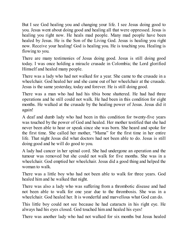But I see God healing you and changing your life. I see Jesus doing good to you. Jesus went about doing good and healing all that were oppressed. Jesus is healing you right now. He heals mad people. Many mad people have been healed by Jesus. He is the Son of the Living God. Jesus is healing you right now. Receive your healing! God is healing you. He is touching you. Healing is flowing to you.

There are many testimonies of Jesus doing good. Jesus is still doing good today. I was once holding a miracle crusade in Colombia; the Lord glorified Himself and healed many people.

There was a lady who had not walked for a year. She came to the crusade in a wheelchair. God healed her and she came out of her wheelchair at the crusade. Jesus is the same yesterday, today and forever. He is still doing good.

There was a man who had had his tibia bone shattered. He had had three operations and he still could not walk. He had been in this condition for eight months. He walked at the crusade by the healing power of Jesus. Jesus did it again!

A deaf and dumb lady who had been in this condition for twenty-five years was touched by the power of God and healed. Her mother testified that she had never been able to hear or speak since she was born. She heard and spoke for the first time. She called her mother, "Mama" for the first time in her entire life. That night Jesus did what doctors had not been able to do. Jesus is still doing good and he will do good to you.

A lady had cancer in her spinal cord. She had undergone an operation and the tumour was removed but she could not walk for five months. She was in a wheelchair. God emptied her wheelchair. Jesus did a good thing and helped the woman to walk.

There was a little boy who had not been able to walk for three years. God healed him and he walked that night.

There was also a lady who was suffering from a thrombotic disease and had not been able to walk for one year due to the thrombosis. She was in a wheelchair. God healed her. It is wonderful and marvellous what God can do.

This little boy could not see because he had cataracts in his right eye. He always had his eyes closed. God touched him and healed his eyes!

There was another lady who had not walked for six months but Jesus healed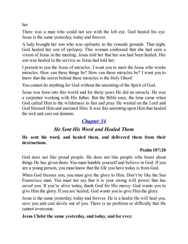her.

There was a man who could not see with the left eye. God healed his eye. Jesus is the same yesterday, today and forever.

A lady brought her son who was epileptic to the crusade grounds. That night, God healed her son of epilepsy. This woman confessed that she had seen a vision of Jesus in the meeting. Jesus told her that her son had been healed. Her son was healed in the service as Jesus had told her.

I present to you the Jesus of miracles. I want you to meet the Jesus who works miracles. How can these things be? How can these miracles be? I want you to know that the secret behind these miracles is the Holy Ghost!

You cannot do anything for God without the anointing of the Spirit of God.

Jesus was born into this world and for thirty years He did no miracle. He was a carpenter working with His father. But the Bible says, the time came when God called Him to the wilderness to fast and pray. He waited on the Lord and God blessed Him and anointed Him. It was this anointing upon Him that healed the sick and cast out demons.

# *[Chapter](#page-2-0) 34*

# *He Sent His Word and Healed Them*

**He sent his word, and healed them, and delivered them from their destructions.**

## **Psalm 107:20**

God does not like proud people. He does not like people who boast about things He has given them. You must humble yourself and believe in God. If you are a young person, you must know that the life you have today is from God.

When God blesses you, you must give the glory to Him. Don't be like the San Franscisco man. You must not say that it is your strong will power that has saved you. If you're alive today, thank God for His mercy. God wants you to give Him the glory. If you are healed, God wants you to give Him the glory.

Jesus is the same yesterday, today and forever. He is a healer He will heal you, save you and cast devils out of you. There is no problem or difficulty that He cannot overcome.

## **Jesus Christ the same yesterday, and today, and for ever.**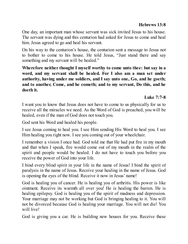One day, an important man whose servant was sick invited Jesus to his house. The servant was dying and this centurion had asked for Jesus to come and heal him. Jesus agreed to go and heal his servant.

On his way to the centurion's house, the centurion sent a message to Jesus not to bother to come to his house. He told Jesus, "Just stand there and say something and my servant will be healed."

**Wherefore neither thought I myself worthy to come unto thee: but say in a word, and my servant shall be healed. For I also am a man set under authority, having under me soldiers, and I say unto one, Go, and he goeth; and to another, Come, and he cometh; and to my servant, Do this, and he doeth it.**

**Luke 7:7-8**

I want you to know that Jesus does not have to come to us physically for us to receive all the miracles we need. As the Word of God is preached, you will be healed, even if the man of God does not touch you.

God sent his Word and healed his people.

I see Jesus coming to heal you. I see Him sending His Word to heal you. I see Him healing you right now. I see you coming out of your wheelchair.

I remember a vision I once had. God told me that He had put fire in my mouth and that when I speak, fire would come out of my mouth in the realm of the spirit and people would be healed. I do not have to touch you before you receive the power of God into your life.

I bind every blind spirit in your life in the name of Jesus! I bind the spirit of paralysis in the name of Jesus. Receive your healing in the name of Jesus. God is opening the eyes of the blind. Receive it now in Jesus' name!

God is healing you of cancer. He is healing you of arthritis. His power is like ointment. Receive its warmth all over you! He is healing the barren. He is healing epilepsy. God is healing you of the spirit of madness and depression. Your marriage may not be working but God is bringing healing to it. You will not be divorced because God is healing your marriage. You will not die! You will live!

God is giving you a car. He is building new houses for you. Receive these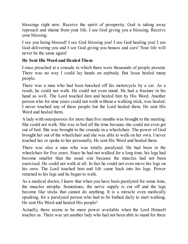blessings right now. Receive the spirit of prosperity. God is taking away reproach and shame from your life. I see God giving you a blessing. Receive your blessing.

I see you being blessed! I see God blessing you! I see God healing you! I see God delivering you and I see God giving you houses and cars! Your life will never be the same again!

#### **He Sent His Word and Healed Them**

I once preached at a crusade in which there were thousands of people present. There was no way I could lay hands on anybody. But Jesus healed many people.

There was a man who had been knocked off his motorcycle by a car. As a result, he could not walk. He could not even stand. He had a fracture in his hand as well. The Lord touched him and healed him by His Word. Another person who for nine years could not walk without a walking stick, was healed. I never touched any of these people but the Lord healed them. He sent His Word and healed them.

A lady with osteoporosis for more than five months was brought to the meeting. She could not walk. She was in bed all the time because she could not even get out of bed. She was brought to the crusade in a wheelchair. The power of God brought her out of the wheelchair and she was able to walk on her own. I never touched her or spoke to her personally. He sent His Word and healed them.

There was also a man who was totally paralyzed. He had been in the wheelchair for five years. Since he had not walked for a long time, his legs had become smaller than the usual size because the muscles had not been exercised. He could not walk at all. In fact he could not even move his legs on his own. The Lord touched him and life came back into his legs. Power returned to his legs and he began to walk.

As a medical doctor, I know that when you have been paralyzed for some time, the muscles atrophy. Sometimes, the nerve supply is cut off and the legs become like sticks that cannot do anything. It is a miracle even medically speaking, for a paralyzed person who had to be bathed daily to start walking. He sent His Word and healed His people!

Actually, there seems to be more power available when the Lord Himself touches us. There was yet another lady who had not been able to stand for three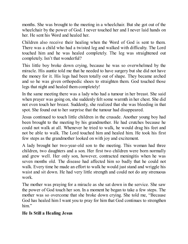months. She was brought to the meeting in a wheelchair. But she got out of the wheelchair by the power of God. I never touched her and I never laid hands on her. He sent his Word and healed her.

Children also receive their healing when the Word of God is sent to them. There was a child who had a twisted leg and walked with difficulty. The Lord touched him and he was healed completely. The leg was straightened out completely. Isn't that wonderful?

This little boy broke down crying, because he was so overwhelmed by the miracle. His auntie told me that he needed to have surgery but she did not have the money for it. His legs had been totally out of shape. They became arched and so he was given orthopedic shoes to straighten them. God touched those legs that night and healed them completely!

In the same meeting there was a lady who had a tumour in her breast. She said when prayer was going on, she suddenly felt some warmth in her chest. She did not even touch her breast. Suddenly, she realized that she was bleeding in that spot. She found out to her surprise that the tumour had disappeared.

Jesus continued to touch little children in the crusade. Another young boy had been brought to the meeting by his grandmother. He had crutches because he could not walk at all. Whenever he tried to walk, he would drag his feet and not be able to walk. The Lord touched him and healed him. He took his first few steps as the grandmother looked on with joy and excitement.

A lady brought her two-year-old son to the meeting. This woman had three children, two daughters and a son. Her first two children were born normally and grew well. Her only son, however, contracted meningitis when he was seven months old. The disease had affected him so badly that he could not walk. Every time he made an effort to walk he would just stand and wriggle his waist and sit down. He had very little strength and could not do any strenuous work.

The mother was praying for a miracle as she sat down in the service. She saw the power of God touch her son. In a moment he began to take a few steps. The mother was so overcome that she broke down crying. She told me, "Because God has healed him I want you to pray for him that God continues to strengthen him."

## **He Is Still a Healing Jesus**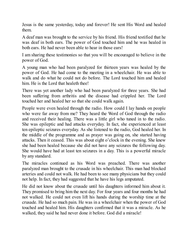Jesus is the same yesterday, today and forever! He sent His Word and healed them.

A deaf man was brought to the service by his friend. His friend testified that he was deaf in both ears. The power of God touched him and he was healed in both ears. He had never been able to hear in those ears!

I am sharing these testimonies so that you will be encouraged to believe in the power of God.

A young man who had been paralyzed for thirteen years was healed by the power of God. He had come to the meeting in a wheelchair. He was able to walk and do what he could not do before. The Lord touched him and healed him. He is the Lord that healeth thee!

There was yet another lady who had been paralyzed for three years. She had been suffering from arthritis and the disease had crippled her. The Lord touched her and healed her so that she could walk again.

People were even healed through the radio. How could I lay hands on people who were far away from me? They heard the Word of God through the radio and received their healing. There was a little girl who tuned in to the radio. She was epileptic and had attacks everyday. In fact, she experienced at least ten epileptic seizures everyday. As she listened to the radio, God healed her. In the middle of the programme and as prayer was going on, she started having attacks. Then it ceased. This was about eight o'clock in the evening. She knew she had been healed because she did not have any seizures the following day. She would have had at least ten seizures in a day. This is a powerful miracle by any standard.

The miracles continued as his Word was preached. There was another paralyzed man brought to the crusade in his wheelchair. This man had blocked arteries and could not walk. He had been to see many physicians but they could not help. In fact, they had suggested that he have his legs amputated.

He did not know about the crusade until his daughters informed him about it. They promised to bring him the next day. For four years and four months he had not walked. He could not even lift his hands during the worship time at the crusade. He had so much pain. He was in a wheelchair when the power of God touched and healed him. His daughters confirmed that it was a miracle. As he walked, they said he had never done it before. God did a miracle!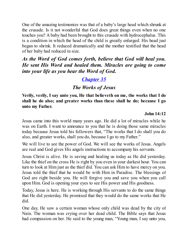One of the amazing testimonies was that of a baby's large head which shrunk at the crusade. Is it not wonderful that God does great things even when no one touches you? A baby had been brought to this crusade with hydrocephalus. This is a condition in which the head of the child is greatly enlarged. His head just began to shrink. It reduced dramatically and the mother testified that the head of her baby had reduced in size.

*As the Word of God comes forth, believe that God will heal you. He sent His Word and healed them. Miracles are going to come into your life as you hear the Word of God.*

# *[Chapter](#page-2-0) 35*

# *The Works of Jesus*

**Verily, verily, I say unto you, He that believeth on me, the works that I do shall he do also; and greater works than these shall he do; because I go unto my Father.**

## **John 14:12**

Jesus came into this world many years ago. He did a lot of miracles while he was on Earth. I want to announce to you that he is doing those same miracles today because Jesus told his followers that, "The works that I do shall you do also, and greater works, shall you do, because I go to my Father."

We will live to see the power of God. We will see the works of Jesus. Angels are real and God gives His angels instructions to accompany his servants.

Jesus Christ is alive. He is saving and healing us today as He did yesterday. Like the thief on the cross He is right by you even in your darkest hour. You can turn to look at Him just as the thief did. You can ask Him to have mercy on you. Jesus told the thief that he would be with Him in Paradise. The blessings of God are right beside you. He will forgive you and save you when you call upon Him. God is opening your eyes to see His power and His goodness.

Today, Jesus is here. He is working through His servants to do the same things that He did yesterday. He promised that they would do the same works that He did.

One day, He saw a certain woman whose only child was dead by the city of Nain. The woman was crying over her dead child. The Bible says that Jesus had compassion on her. He said to the young man, "Young man, I say unto you,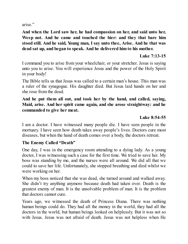arise."

**And when the Lord saw her, he had compassion on her, and said unto her, Weep not. And he came and touched the bier: and they that bare him stood still. And he said, Young man, I say unto thee, Arise. And he that was dead sat up, and began to speak. And he delivered him to his mother.**

#### **Luke 7:13-15**

I command you to arise from your wheelchair, or your stretcher. Jesus is saying unto you to arise. You will experience Jesus and the power of the Holy Spirit in your body!

The Bible tells us that Jesus was called to a certain man's house. This man was a ruler of the synagogue. His daughter died. But Jesus laid hands on her and she rose from the dead.

#### **And he put them all out, and took her by the hand, and called, saying, Maid, arise. And her spirit came again, and she arose straightway: and he commanded to give her meat.**

## **Luke 8:54-55**

I am a doctor. I have witnessed many people die. I have seen people in the mortuary. I have seen how death takes away people's lives. Doctors cure most diseases, but when the hand of death comes over a body, the doctors retreat.

## **The Enemy Called "Death"**

One day, I was in the emergency room attending to a dying lady. As a young doctor, I was witnessing such a case for the first time. We tried to save her. My boss was standing by me, and the nurses were all around. We did all that we could to save her life. Unfortunately, she stopped breathing and died whilst we were working on her.

When my boss noticed that she was dead, she turned around and walked away. She didn't try anything anymore because death had taken over. Death is the greatest enemy of man. It is the unsolvable problem of man. It is the problem that doctors cannot cure.

Years ago, we witnessed the death of Princess Diana. There was nothing human beings could do. They had all the money in the world, they had all the doctors in the world, but human beings looked on helplessly. But it was not so with Jesus. Jesus was not afraid of death. Jesus was not helpless when He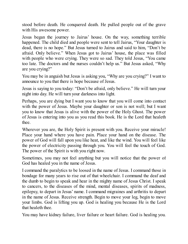stood before death. He conquered death. He pulled people out of the grave with His awesome power.

Jesus began the journey to Jairus' house. On the way, something terrible happened. The child died and people were sent to tell Jairus, "Your daughter is dead, there is no hope." But Jesus turned to Jairus and said to him, "Don't be afraid. Only believe." When Jesus got to Jairus' house, the place was filled with people who were crying. They were so sad. They told Jesus, "You came too late. The doctors and the nurses couldn't help us." But Jesus asked, "Why are you crying?"

You may be in anguish but Jesus is asking you, "Why are you crying?" I want to announce to you that there is hope because of Jesus.

Jesus is saying to you today: "Don't be afraid, only believe." He will turn your night into day. He will turn your darkness into light.

Perhaps, you are dying but I want you to know that you will come into contact with the power of Jesus. Maybe your daughter or son is not well; but I want you to know that Jesus is alive with the power of the Holy Ghost. The power of Jesus is entering into you as you read this book. He is the Lord that healeth thee.

Wherever you are, the Holy Spirit is present with you. Receive your miracle! Place your hand where you have pain. Place your hand on the disease. The power of God will fall upon you like heat, and like the wind. You will feel like the power of electricity passing through you. You will feel the touch of God. The power of the Spirit is with you right now.

Sometimes, you may not feel anything but you will notice that the power of God has healed you in the name of Jesus.

I command the paralytics to be loosed in the name of Jesus. I command those in bondage for many years to rise out of that wheelchair. I command the deaf and the dumb to begin to speak and hear in the mighty name of Jesus Christ. I speak to cancers, to the diseases of the mind, mental diseases, spirits of madness, epilepsy, to depart in Jesus' name. I command migraines and arthritis to depart in the name of Jesus. Receive strength. Begin to move your leg, begin to move your limbs. God is lifting you up. God is healing you because He is the Lord that healeth thee.

You may have kidney failure, liver failure or heart failure. God is healing you.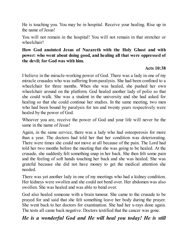He is touching you. You may be in hospital. Receive your healing. Rise up in the name of Jesus!

You will not remain in the hospital! You will not remain in that stretcher or wheelchair!

### **How God anointed Jesus of Nazareth with the Holy Ghost and with power: who went about doing good, and healing all that were oppressed of the devil; for God was with him.**

#### **Acts 10:38**

I believe in the miracle-working power of God. There was a lady in one of my miracle crusades who was suffering from paralysis. She had been confined to a wheelchair for three months. When she was healed, she pushed her own wheelchair around on the platform. God healed another lady of polio so that she could walk. She was a student in the university and she had asked for healing so that she could continue her studies. In the same meeting, two men who had been bound by paralysis for ten and twenty years respectively were healed by the power of God.

Whoever you are, receive the power of God and your life will never be the same in the name of Jesus!

Again, in the same service, there was a lady who had osteoporosis for more than a year. The doctors had told her that her condition was deteriorating. There were times she could not move at all because of the pain. The Lord had told her two months before the meeting that she was going to be healed. At the crusade, she suddenly felt something snap in her back. She then felt some pain and the feeling of soft hands touching her back and she was healed. She was grateful because she did not have money to get the medical attention she needed.

There was yet another lady in one of my meetings who had a kidney condition. Her kidneys were swollen and she could not bend over. Her abdomen was also swollen. She was healed and was able to bend over.

God also healed someone with a brain tumour. She came to the crusade to be prayed for and said that she felt something leave her body during the prayer. She went back to her doctors for examination. She had her x-rays done again. The tests all came back negative. Doctors testified that the cancer was gone.

## *He is a wonderful God and He will heal you today! He is still*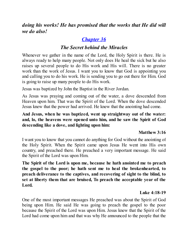*doing his works! He has promised that the works that He did will we do also!*

# *[Chapter](#page-2-0) 36*

## *The Secret behind the Miracles*

Whenever we gather in the name of the Lord, the Holy Spirit is there. He is always ready to help many people. Not only does He heal the sick but he also raises up several people to do His work and His will. There is no greater work than the work of Jesus. I want you to know that God is appointing you and calling you to do his work. He is sending you to go out there for Him. God is going to raise up many people to do His work.

Jesus was baptized by John the Baptist in the River Jordan.

As Jesus was praying and coming out of the water, a dove descended from Heaven upon him. That was the Spirit of the Lord. When the dove descended Jesus knew that the power had arrived. He knew that the anointing had come.

## **And Jesus, when he was baptized, went up straightway out of the water: and, lo, the heavens were opened unto him, and he saw the Spirit of God descending like a dove, and lighting upon him:**

## **Matthew 3:16**

I want you to know that you cannot do anything for God without the anointing of the Holy Spirit. When the Spirit came upon Jesus He went into His own country, and preached there. He preached a very important message. He said the Spirit of the Lord was upon Him.

**The Spirit of the Lord is upon me, because he hath anointed me to preach the gospel to the poor; he hath sent me to heal the brokenhearted, to preach deliverance to the captives, and recovering of sight to the blind, to set at liberty them that are bruised, To preach the acceptable year of the Lord.**

## **Luke 4:18-19**

One of the most important messages He preached was about the Spirit of God being upon Him. He said He was going to preach the gospel to the poor because the Spirit of the Lord was upon Him. Jesus knew that the Spirit of the Lord had come upon him and that was why He announced to the people that the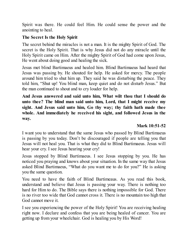Spirit was there. He could feel Him. He could sense the power and the anointing to heal.

#### **The Secret Is the Holy Spirit**

The secret behind the miracles is not a man. It is the mighty Spirit of God. The secret is the Holy Spirit. That is why Jesus did not do any miracle until the Holy Spirit came on Him. After the mighty Spirit of God had come upon Jesus, He went about doing good and healing the sick.

Jesus met blind Bartimaeus and healed him. Blind Bartimaeus had heard that Jesus was passing by. He shouted for help. He asked for mercy. The people around him tried to shut him up. They said he was disturbing the peace. They told him, "Shut up! You blind man, keep quiet and do not disturb Jesus." But the man continued to shout and to cry louder for help.

**And Jesus answered and said unto him, What wilt thou that I should do unto thee? The blind man said unto him, Lord, that I might receive my sight. And Jesus said unto him, Go thy way; thy faith hath made thee whole. And immediately he received his sight, and followed Jesus in the way.**

## **Mark 10:51-52**

I want you to understand that the same Jesus who passed by Blind Bartimaeus is passing by you today. Don't be discouraged if people are telling you that Jesus will not heal you. That is what they did to Blind Bartimaeus. Jesus will hear your cry. I see Jesus hearing your cry!

Jesus stopped by Blind Bartimaeus. I see Jesus stopping by you. He has noticed you praying and knows about your situation. In the same way that Jesus asked Blind Bartimaeus, "What do you want me to do for you?" He is asking you the same question.

You need to have the faith of Blind Bartimeaus. As you read this book, understand and believe that Jesus is passing your way. There is nothing too hard for Him to do. The Bible says there is nothing impossible for God. There is no river too wide that God cannot cross it. There is no mountain too high that God cannot move it.

I see you experiencing the power of the Holy Spirit! You are receiving healing right now. I declare and confess that you are being healed of cancer. You are getting up from your wheelchair. God is healing you by His Word!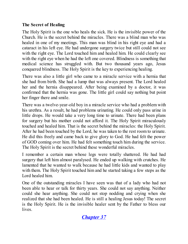## **The Secret of Healing**

The Holy Spirit is the one who heals the sick. He is the invisible power of the Church. He is the secret behind the miracles. There was a blind man who was healed in one of my meetings. This man was blind in his right eye and had a cataract in his left eye. He had undergone surgery twice but still could not see with the right eye. The Lord touched him and healed him. He could clearly see with the right eye when he had the left one covered. Blindness is something that medical science has struggled with. But two thousand years ago, Jesus conquered blindness. The Holy Spirit is the key to experiencing healing.

There was also a little girl who came to a miracle service with a hernia that she had from birth. She had a lump that was always present. The Lord healed her and the hernia disappeared. After being examined by a doctor, it was confirmed that the hernia was gone. The little girl could say nothing but point her finger there and smile.

There was a twelve-year-old boy in a miracle service who had a problem with his urethra. As a result, he had problems urinating. He could only pass urine in little drops. He would take a very long time to urinate. There had been plans for surgery but his mother could not afford it. The Holy Spirit miraculously touched and healed him. That is the secret behind the miracles: the Holy Spirit. After he had been touched by the Lord, he was taken to the rest room to urinate. He did this freely and came back to give glory to God. He had felt the power of GOD coming over him. He had felt something touch him during the service. The Holy Spirit is the secret behind these wonderful miracles.

I remember a certain man whose legs were totally shattered. He had had surgery that left him almost paralysed. He ended up walking with crutches. He lamented that he wanted to walk because he had little kids and wanted to play with them. The Holy Spirit touched him and he started taking a few steps as the Lord healed him.

One of the outstanding miracles I have seen was that of a lady who had not been able to hear or talk for thirty years. She could not say anything. Neither could she hear anything. She could not stop nodding and crying when she realized that she had been healed. He is still a healing Jesus today! The secret is the Holy Spirit. He is the invisible healer sent by the Father to bless our lives.

# *[Chapter](#page-2-0) 37*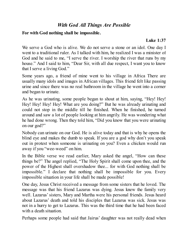## *With God All Things Are Possible*

#### **For with God nothing shall be impossible.**

#### **Luke 1:37**

We serve a God who is alive. We do not serve a stone or an idol. One day I went to a traditional ruler. As I talked with him, he realized I was a minister of God and he said to me, "I serve the river. I worship the river that runs by my house." And I said to him, "Dear Sir, with all due respect, I want you to know that I serve a living God."

Some years ago, a friend of mine went to his village in Africa There are usually many idols and images in African villages. This friend felt like passing urine and since there was no real bathroom in the village he went into a corner and began to urinate.

As he was urinating, some people began to shout at him, saying, "Hey! Hey! Hey! Hey! Hey! Hey! What are you doing?" But he was already urinating and could not stop in the middle till he finished. When he finished, he turned around and saw a lot of people looking at him angrily. He was wondering what he had done wrong. Then they told him, "Did you know that you were urinating on our god?"

Nobody can urinate on our God. He is alive today and that is why he opens the blind eye and makes the dumb to speak. If you are a god why don't you speak out in protest when someone is urinating on you? Even a chicken would run away if you "wee-weed" on him.

In the Bible verse we read earlier, Mary asked the angel, "How can these things be?" The angel replied, "The Holy Spirit shall come upon thee, and the power of the Highest shall overshadow thee... for with God nothing shall be impossible." I declare that nothing shall be impossible for you. Every impossible situation in your life shall be made possible!

One day, Jesus Christ received a message from some sisters that he loved. The message was that his friend Lazarus was dying. Jesus knew the family very well. Lazarus'sisters, Mary and Martha were his personal friends. Jesus heard about Lazarus' death and told his disciples that Lazarus was sick. Jesus was not in a hurry to get to Lazarus. This was the third time that he had been faced with a death situation.

Perhaps some people had said that Jairus' daughter was not really dead when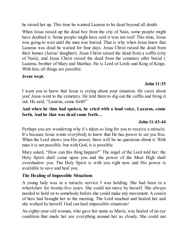he raised her up. This time he wanted Lazarus to be dead beyond all doubt.

When Jesus raised up the dead boy from the city of Nain, some people might have doubted it. Some people might have said it was not real! This time, Jesus was going to wait until the man was buried. That is why when Jesus knew that Lazarus was dead he waited for four days. Jesus Christ raised the dead from their homes (Jairus' daughter). Jesus Christ raised the dead from a coffin (city of Nain), and Jesus Christ raised the dead from the cemetery after burial ( Lazarus, brother of Mary and Martha). He is Lord of Lords and King of Kings. With him, all things are possible.

#### **Jesus wept.**

#### **John 11:35**

I want you to know that Jesus is crying about your situation. He cares about you! Jesus went to the cemetery. He told them to dig out the coffin and bring it out. He said, "Lazarus, come forth!"

#### **And when he thus had spoken, he cried with a loud voice, Lazarus, come forth. And he that was dead came forth…**

#### **John 11:43-44**

Perhaps you are wondering why it's taken so long for you to receive a miracle. It's because Jesus wants everybody to know that He has power to set you free. When the Lord shows you His power, there will be no questions about it. With man it is not possible, but with God, it is possible.

Mary asked, "How can this thing happen?" The angel of the Lord told her: the Holy Spirit shall come upon you and the power of the Most High shall overshadow you. The Holy Spirit is with you right now and His power is available to save and heal you.

#### **The Healing of Impossible Situations**

A young lady was at a miracle service I was holding. She had been in a wheelchair for twenty-five years. She could not move by herself. She always needed to hold on to somebody before she could make any movement. A cousin of hers had brought her to the meeting. The Lord touched and healed her and she walked by herself. God can heal impossible situations!

An eighty-year-old woman, who gave her name as Maria, was healed of an eye condition that made her see everything around her as cloudy. She could not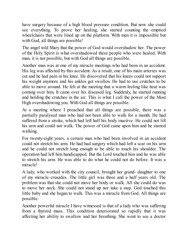have surgery because of a high blood pressure condition. But now she could see everything. To prove her healing, she started counting the emptied wheelchairs that were lined up on the platform. With men it is impossible but with God, all things are possible!

The angel told Mary that the power of God would overshadow her. The power of the Holy Spirit is what overshadowed these people who were healed. With man, it is not possible, but with God all things are possible.

Another man was at one of my miracle meetings who had been in an accident. His leg was affected by this accident. As a result, one of his main arteries was cut and he had pain in his knee. He discovered that his knees could not support his weight anymore and his ankles got swollen. He had to use crutches to be able to move around. He felt at the meeting that a warm feeling like heat was coming over him. It came over his diseased leg. Suddenly, he started running and holding the crutches in the air. This is what I call the power of the Most High overshadowing you. With God all things are possible.

At a meeting where I preached that all things are possible, there was a partially paralysed man who had not been able to walk for a month. He had suffered from a stroke, which had left half his body inactive. He could not lift his arm and could not walk. The power of God came upon him and he started walking.

For twenty-eight years, a certain man who had been involved in an accident could not stretch his arm. He had had surgery which had left a scar on his arm and he could not stretch long enough to be able to touch his shoulder. The operation had left him handicapped. But the Lord touched him and he was able to stretch his arm. He was able to do what he could not do before. It was a miracle!

A lady, who worked with the city council, brought her grand- daughter to one of my miracle crusades. The little girl was three and a half years old. The problem was that she could not move her body or walk. All she could do was to move her neck. She could not stand up nor take a step. God touched this little baby and she began to walk. This was a miracle from God. All things are possible.

Another powerful miracle I have witnessed is that of a lady who was suffering from a thyroid mass. This condition deteriorated so rapidly that it was affecting her ability to swallow and her breathing. She went to see a doctor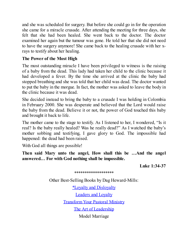and she was scheduled for surgery. But before she could go in for the operation she came for a miracle crusade. After attending the meeting for three days, she felt that she had been healed. She went back to the doctor. The doctor examined her again but the tumour was gone. He told her that she did not need to have the surgery anymore! She came back to the healing crusade with her xrays to testify about her healing.

#### **The Power of the Most High**

The most outstanding miracle I have been privileged to witness is the raising of a baby from the dead. This lady had taken her child to the clinic because it had developed a fever. By the time she arrived at the clinic the baby had stopped breathing and she was told that her child was dead. The doctor wanted to put the baby in the morgue. In fact, the mother was asked to leave the body in the clinic because it was dead.

She decided instead to bring the baby to a crusade I was holding in Colombia in February 2000. She was desperate and believed that the Lord would raise the baby from the dead. Believe it or not, the power of God touched this baby and brought it back to life.

The mother came to the stage to testify. As I listened to her, I wondered, "Is it real? Is the baby really healed? Was he really dead?" As I watched the baby's mother sobbing and testifying, I gave glory to God. The impossible had happened: the dead had been raised.

With God all things are possible!

**Then said Mary unto the angel, How shall this be …And the angel answered… For with God nothing shall be impossible.**

**Luke 1:34-37**

\*\*\*\*\*\*\*\*\*\*\*\*\*\*\*\*\*\*\* Other Best-Selling Books by Dag Heward-Mills: \*Loyalty and [Disloyalty](http://www.smashwords.com/books/view/16044) [Leaders](http://www.smashwords.com/books/view/38395) and Loyalty [Transform](http://www.smashwords.com/books/view/38526) Your Pastoral Ministry The Art of [Leadership](http://www.smashwords.com/books/view/38217) Model Marriage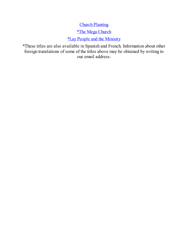# **Church [Planting](http://www.smashwords.com/books/view/16119)**

## \*The Mega [Church](http://www.smashwords.com/books/view/16117)

## \*Lay People and the [Ministry](http://www.smashwords.com/books/view/16045)

\*These titles are also available in Spanish and French. Information about other foreign translations of some of the titles above may be obtained by writing to our email address.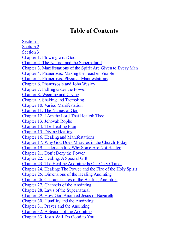# **Table of Contents**

Section 1 Section 2 Section 3 Chapter 1. Flowing with God Chapter 2. The Natural and the Supernatural Chapter 3. Manifestations of the Spirit Are Given to Every Man Chapter 4. Phanerosis: Making the Teacher Visible Chapter 5. Phanerosis: Physical Manifestations Chapter 6. Phanersosis and John Wesley Chapter 7. Falling under the Power Chapter 8. Weeping and Crying Chapter 9. Shaking and Trembling Chapter 10. Varied Manifestation Chapter 11. The Names of God Chapter 12. I Am the Lord That Healeth Thee Chapter 13. Jehovah Rophe Chapter 14. The Healing Plan Chapter 15. Divine Healing Chapter 16. Healing and Manifestations Chapter 17. Why God Does Miracles in the Church Today Chapter 19. Understanding Why Some Are Not Healed Chapter 21. Don't Deny the Power Chapter 22. Healing, A Special Gift Chapter 23. The Healing Anointing Is Our Only Chance Chapter 24. Healing: The Power and the Fire of the Holy Spirit Chapter 25. Dimensions of the Healing Anointing Chapter 26. Characteristics of the Healing Anointing Chapter 27. Channels of the Anointing Chapter 28. Laws of the Supernatural Chapter 29. How God Anointed Jesus of Nazareth Chapter 30. Humility and the Anointing Chapter 31. Prayer and the Anointing Chapter 32. A Season of the Anointing Chapter 33. Jesus Will Do Good to You